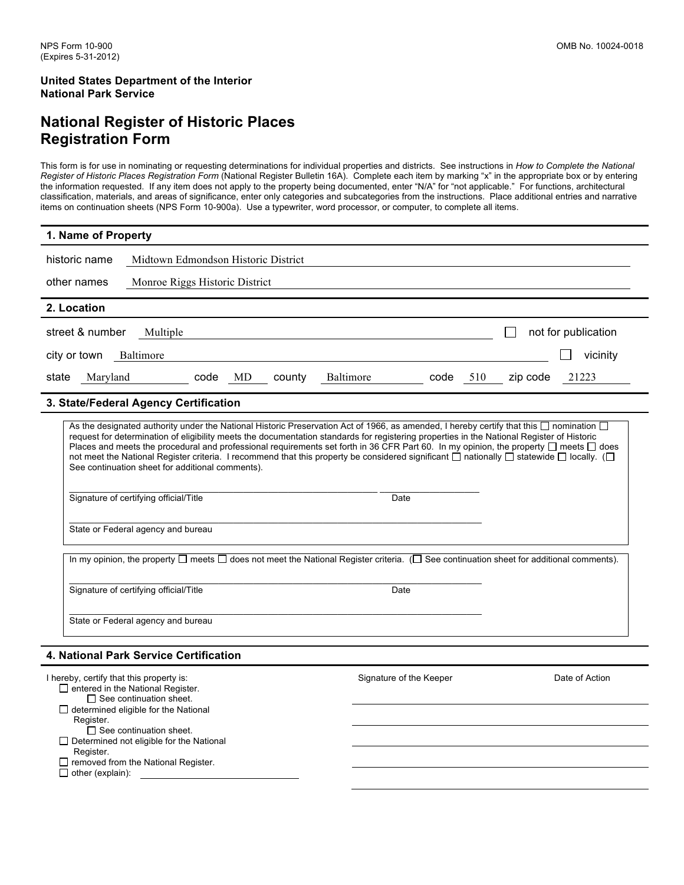$\Box$  determined eligible for the National

 $\square$  See continuation sheet. Determined not eligible for the National

 $\Box$  removed from the National Register.

Register.

Register.

 $\Box$  other (explain):

### **National Register of Historic Places Registration Form**

This form is for use in nominating or requesting determinations for individual properties and districts. See instructions in *How to Complete the National Register of Historic Places Registration Form* (National Register Bulletin 16A). Complete each item by marking "x" in the appropriate box or by entering the information requested. If any item does not apply to the property being documented, enter "N/A" for "not applicable." For functions, architectural classification, materials, and areas of significance, enter only categories and subcategories from the instructions. Place additional entries and narrative items on continuation sheets (NPS Form 10-900a). Use a typewriter, word processor, or computer, to complete all items.

| 1. Name of Property                                                                                                                                                                                                                                                                                                                                                                                                                                                                                                                                                                                                                                                                                                                                             |  |  |  |  |  |  |
|-----------------------------------------------------------------------------------------------------------------------------------------------------------------------------------------------------------------------------------------------------------------------------------------------------------------------------------------------------------------------------------------------------------------------------------------------------------------------------------------------------------------------------------------------------------------------------------------------------------------------------------------------------------------------------------------------------------------------------------------------------------------|--|--|--|--|--|--|
| historic name<br>Midtown Edmondson Historic District                                                                                                                                                                                                                                                                                                                                                                                                                                                                                                                                                                                                                                                                                                            |  |  |  |  |  |  |
| other names<br>Monroe Riggs Historic District                                                                                                                                                                                                                                                                                                                                                                                                                                                                                                                                                                                                                                                                                                                   |  |  |  |  |  |  |
| 2. Location                                                                                                                                                                                                                                                                                                                                                                                                                                                                                                                                                                                                                                                                                                                                                     |  |  |  |  |  |  |
| not for publication<br>street & number<br>Multiple                                                                                                                                                                                                                                                                                                                                                                                                                                                                                                                                                                                                                                                                                                              |  |  |  |  |  |  |
| vicinity<br>city or town<br>Baltimore                                                                                                                                                                                                                                                                                                                                                                                                                                                                                                                                                                                                                                                                                                                           |  |  |  |  |  |  |
| Maryland<br>MD<br>Baltimore<br>510<br>21223<br>state<br>code<br>county<br>code<br>zip code                                                                                                                                                                                                                                                                                                                                                                                                                                                                                                                                                                                                                                                                      |  |  |  |  |  |  |
| 3. State/Federal Agency Certification                                                                                                                                                                                                                                                                                                                                                                                                                                                                                                                                                                                                                                                                                                                           |  |  |  |  |  |  |
| As the designated authority under the National Historic Preservation Act of 1966, as amended, I hereby certify that this $\Box$ nomination $\Box$<br>request for determination of eligibility meets the documentation standards for registering properties in the National Register of Historic<br>Places and meets the procedural and professional requirements set forth in 36 CFR Part 60. In my opinion, the property $\Box$ meets $\Box$ does<br>not meet the National Register criteria. I recommend that this property be considered significant $\Box$ nationally $\Box$ statewide $\Box$ locally. ( $\Box$<br>See continuation sheet for additional comments).<br>Signature of certifying official/Title<br>Date<br>State or Federal agency and bureau |  |  |  |  |  |  |
| In my opinion, the property $\square$ meets $\square$ does not meet the National Register criteria. ( $\square$ See continuation sheet for additional comments).                                                                                                                                                                                                                                                                                                                                                                                                                                                                                                                                                                                                |  |  |  |  |  |  |
| Signature of certifying official/Title<br>Date                                                                                                                                                                                                                                                                                                                                                                                                                                                                                                                                                                                                                                                                                                                  |  |  |  |  |  |  |
| State or Federal agency and bureau                                                                                                                                                                                                                                                                                                                                                                                                                                                                                                                                                                                                                                                                                                                              |  |  |  |  |  |  |
| 4. National Park Service Certification                                                                                                                                                                                                                                                                                                                                                                                                                                                                                                                                                                                                                                                                                                                          |  |  |  |  |  |  |
| I hereby, certify that this property is:<br>Signature of the Keeper<br>Date of Action<br>$\Box$ entered in the National Register.<br>$\square$ See continuation sheet.                                                                                                                                                                                                                                                                                                                                                                                                                                                                                                                                                                                          |  |  |  |  |  |  |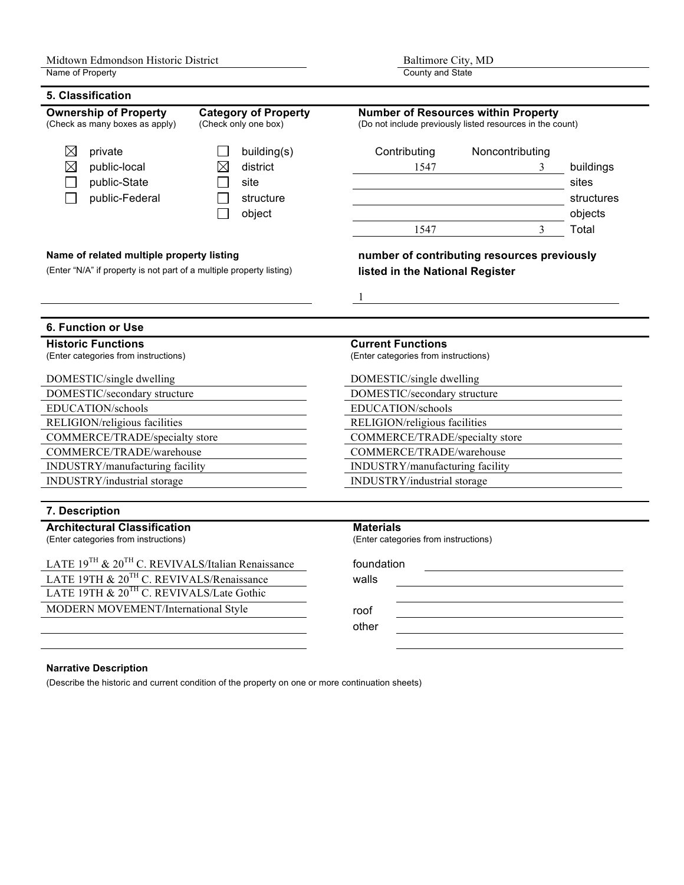### **5. Classification**

| VIAJJIIIUALIVI<br><b>Ownership of Property</b><br><b>Category of Property</b><br>(Check only one box)<br>(Check as many boxes as apply) |                                                                  | <b>Number of Resources within Property</b><br>(Do not include previously listed resources in the count) |                                             |                                  |
|-----------------------------------------------------------------------------------------------------------------------------------------|------------------------------------------------------------------|---------------------------------------------------------------------------------------------------------|---------------------------------------------|----------------------------------|
| $\boxtimes$<br>private<br>$\boxtimes$<br>public-local<br>public-State<br>public-Federal                                                 | building(s)<br>district<br>$\times$<br>site<br>structure         | Contributing<br>1547                                                                                    | Noncontributing<br>3                        | buildings<br>sites<br>structures |
|                                                                                                                                         | object                                                           | 1547                                                                                                    | 3                                           | objects<br>Total                 |
| Name of related multiple property listing<br>(Enter "N/A" if property is not part of a multiple property listing)                       |                                                                  | listed in the National Register                                                                         | number of contributing resources previously |                                  |
| <b>6. Function or Use</b>                                                                                                               |                                                                  |                                                                                                         |                                             |                                  |
| <b>Historic Functions</b><br>(Enter categories from instructions)                                                                       | <b>Current Functions</b><br>(Enter categories from instructions) |                                                                                                         |                                             |                                  |
| DOMESTIC/single dwelling<br>DOMESTIC/secondary structure                                                                                |                                                                  | DOMESTIC/single dwelling<br>DOMESTIC/secondary structure                                                |                                             |                                  |
| EDUCATION/schools                                                                                                                       |                                                                  | EDUCATION/schools                                                                                       |                                             |                                  |
| RELIGION/religious facilities                                                                                                           |                                                                  | RELIGION/religious facilities                                                                           |                                             |                                  |
| COMMERCE/TRADE/specialty store                                                                                                          |                                                                  | COMMERCE/TRADE/specialty store                                                                          |                                             |                                  |
| COMMERCE/TRADE/warehouse<br>INDUSTRY/manufacturing facility                                                                             |                                                                  | COMMERCE/TRADE/warehouse<br>INDUSTRY/manufacturing facility                                             |                                             |                                  |
| INDUSTRY/industrial storage                                                                                                             |                                                                  | INDUSTRY/industrial storage                                                                             |                                             |                                  |
| 7. Description                                                                                                                          |                                                                  |                                                                                                         |                                             |                                  |
| <b>Architectural Classification</b><br>(Enter categories from instructions)                                                             |                                                                  | <b>Materials</b><br>(Enter categories from instructions)                                                |                                             |                                  |
| LATE 19 <sup>TH</sup> & 20 <sup>TH</sup> C. REVIVALS/Italian Renaissance                                                                |                                                                  | foundation                                                                                              |                                             |                                  |
| LATE 19TH & 20 <sup>TH</sup> C. REVIVALS/Renaissance<br>LATE 19TH & 20 <sup>TH</sup> C. REVIVALS/Late Gothic                            |                                                                  | walls                                                                                                   |                                             |                                  |
|                                                                                                                                         |                                                                  |                                                                                                         |                                             |                                  |
| MODERN MOVEMENT/International Style                                                                                                     |                                                                  | roof                                                                                                    |                                             |                                  |
|                                                                                                                                         |                                                                  | other                                                                                                   |                                             |                                  |

#### **Narrative Description**

(Describe the historic and current condition of the property on one or more continuation sheets)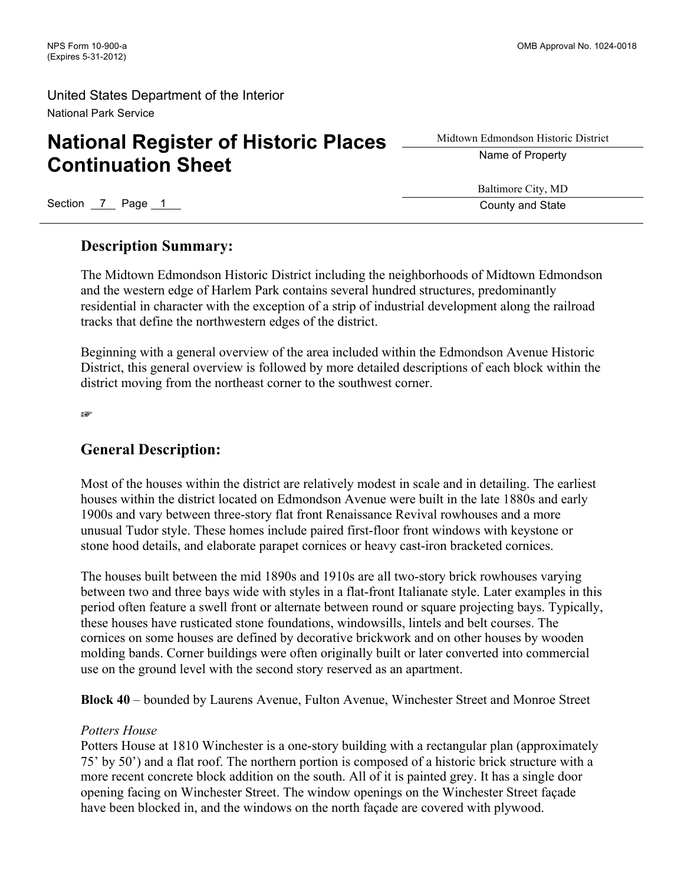# **National Register of Historic Places Continuation Sheet**

Midtown Edmondson Historic District Name of Property

Section 7 Page 1 County and State 3 Australian County and State 3 Australian County and State

Baltimore City, MD

### **Description Summary:**

The Midtown Edmondson Historic District including the neighborhoods of Midtown Edmondson and the western edge of Harlem Park contains several hundred structures, predominantly residential in character with the exception of a strip of industrial development along the railroad tracks that define the northwestern edges of the district.

Beginning with a general overview of the area included within the Edmondson Avenue Historic District, this general overview is followed by more detailed descriptions of each block within the district moving from the northeast corner to the southwest corner.

☞

# **General Description:**

Most of the houses within the district are relatively modest in scale and in detailing. The earliest houses within the district located on Edmondson Avenue were built in the late 1880s and early 1900s and vary between three-story flat front Renaissance Revival rowhouses and a more unusual Tudor style. These homes include paired first-floor front windows with keystone or stone hood details, and elaborate parapet cornices or heavy cast-iron bracketed cornices.

The houses built between the mid 1890s and 1910s are all two-story brick rowhouses varying between two and three bays wide with styles in a flat-front Italianate style. Later examples in this period often feature a swell front or alternate between round or square projecting bays. Typically, these houses have rusticated stone foundations, windowsills, lintels and belt courses. The cornices on some houses are defined by decorative brickwork and on other houses by wooden molding bands. Corner buildings were often originally built or later converted into commercial use on the ground level with the second story reserved as an apartment.

**Block 40** – bounded by Laurens Avenue, Fulton Avenue, Winchester Street and Monroe Street

### *Potters House*

Potters House at 1810 Winchester is a one-story building with a rectangular plan (approximately 75' by 50') and a flat roof. The northern portion is composed of a historic brick structure with a more recent concrete block addition on the south. All of it is painted grey. It has a single door opening facing on Winchester Street. The window openings on the Winchester Street façade have been blocked in, and the windows on the north façade are covered with plywood.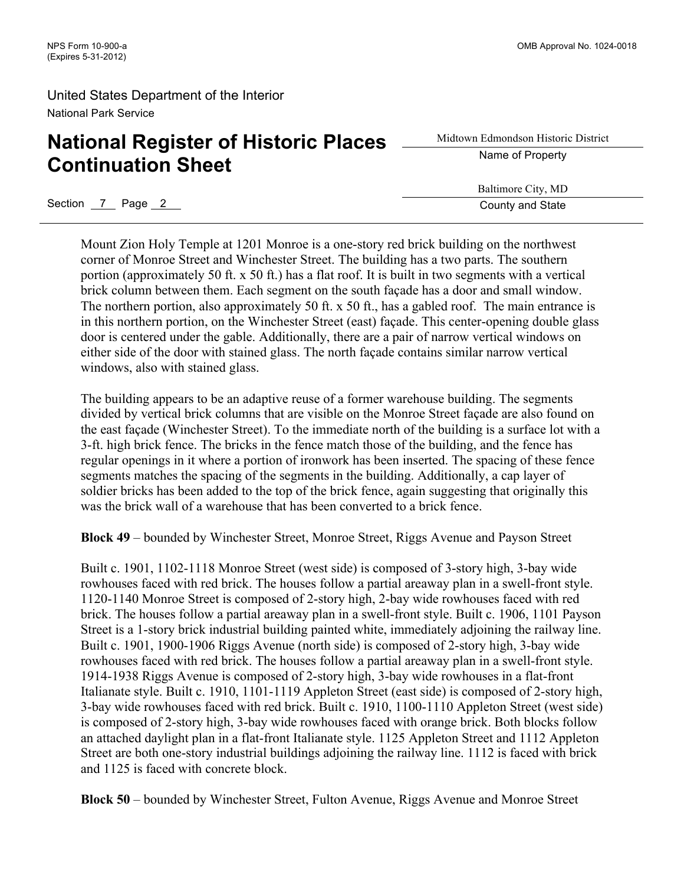# **National Register of Historic Places Continuation Sheet**

Midtown Edmondson Historic District Name of Property

Baltimore City, MD

Section 7 Page 2 County and State

Mount Zion Holy Temple at 1201 Monroe is a one-story red brick building on the northwest corner of Monroe Street and Winchester Street. The building has a two parts. The southern portion (approximately 50 ft. x 50 ft.) has a flat roof. It is built in two segments with a vertical brick column between them. Each segment on the south façade has a door and small window. The northern portion, also approximately 50 ft. x 50 ft., has a gabled roof. The main entrance is in this northern portion, on the Winchester Street (east) façade. This center-opening double glass door is centered under the gable. Additionally, there are a pair of narrow vertical windows on either side of the door with stained glass. The north façade contains similar narrow vertical windows, also with stained glass.

The building appears to be an adaptive reuse of a former warehouse building. The segments divided by vertical brick columns that are visible on the Monroe Street façade are also found on the east façade (Winchester Street). To the immediate north of the building is a surface lot with a 3-ft. high brick fence. The bricks in the fence match those of the building, and the fence has regular openings in it where a portion of ironwork has been inserted. The spacing of these fence segments matches the spacing of the segments in the building. Additionally, a cap layer of soldier bricks has been added to the top of the brick fence, again suggesting that originally this was the brick wall of a warehouse that has been converted to a brick fence.

**Block 49** – bounded by Winchester Street, Monroe Street, Riggs Avenue and Payson Street

Built c. 1901, 1102-1118 Monroe Street (west side) is composed of 3-story high, 3-bay wide rowhouses faced with red brick. The houses follow a partial areaway plan in a swell-front style. 1120-1140 Monroe Street is composed of 2-story high, 2-bay wide rowhouses faced with red brick. The houses follow a partial areaway plan in a swell-front style. Built c. 1906, 1101 Payson Street is a 1-story brick industrial building painted white, immediately adjoining the railway line. Built c. 1901, 1900-1906 Riggs Avenue (north side) is composed of 2-story high, 3-bay wide rowhouses faced with red brick. The houses follow a partial areaway plan in a swell-front style. 1914-1938 Riggs Avenue is composed of 2-story high, 3-bay wide rowhouses in a flat-front Italianate style. Built c. 1910, 1101-1119 Appleton Street (east side) is composed of 2-story high, 3-bay wide rowhouses faced with red brick. Built c. 1910, 1100-1110 Appleton Street (west side) is composed of 2-story high, 3-bay wide rowhouses faced with orange brick. Both blocks follow an attached daylight plan in a flat-front Italianate style. 1125 Appleton Street and 1112 Appleton Street are both one-story industrial buildings adjoining the railway line. 1112 is faced with brick and 1125 is faced with concrete block.

**Block 50** – bounded by Winchester Street, Fulton Avenue, Riggs Avenue and Monroe Street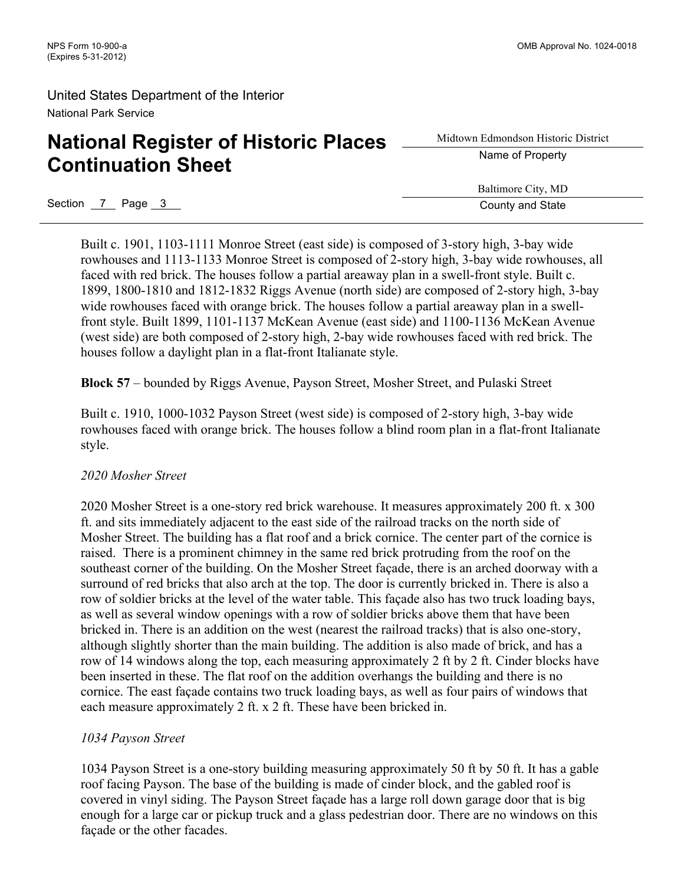# **National Register of Historic Places Continuation Sheet**

Midtown Edmondson Historic District Name of Property

Baltimore City, MD

Section 7 Page 3 County and State

Built c. 1901, 1103-1111 Monroe Street (east side) is composed of 3-story high, 3-bay wide rowhouses and 1113-1133 Monroe Street is composed of 2-story high, 3-bay wide rowhouses, all faced with red brick. The houses follow a partial areaway plan in a swell-front style. Built c. 1899, 1800-1810 and 1812-1832 Riggs Avenue (north side) are composed of 2-story high, 3-bay wide rowhouses faced with orange brick. The houses follow a partial areaway plan in a swellfront style. Built 1899, 1101-1137 McKean Avenue (east side) and 1100-1136 McKean Avenue (west side) are both composed of 2-story high, 2-bay wide rowhouses faced with red brick. The houses follow a daylight plan in a flat-front Italianate style.

**Block 57** – bounded by Riggs Avenue, Payson Street, Mosher Street, and Pulaski Street

Built c. 1910, 1000-1032 Payson Street (west side) is composed of 2-story high, 3-bay wide rowhouses faced with orange brick. The houses follow a blind room plan in a flat-front Italianate style.

### *2020 Mosher Street*

2020 Mosher Street is a one-story red brick warehouse. It measures approximately 200 ft. x 300 ft. and sits immediately adjacent to the east side of the railroad tracks on the north side of Mosher Street. The building has a flat roof and a brick cornice. The center part of the cornice is raised. There is a prominent chimney in the same red brick protruding from the roof on the southeast corner of the building. On the Mosher Street façade, there is an arched doorway with a surround of red bricks that also arch at the top. The door is currently bricked in. There is also a row of soldier bricks at the level of the water table. This façade also has two truck loading bays, as well as several window openings with a row of soldier bricks above them that have been bricked in. There is an addition on the west (nearest the railroad tracks) that is also one-story, although slightly shorter than the main building. The addition is also made of brick, and has a row of 14 windows along the top, each measuring approximately 2 ft by 2 ft. Cinder blocks have been inserted in these. The flat roof on the addition overhangs the building and there is no cornice. The east façade contains two truck loading bays, as well as four pairs of windows that each measure approximately 2 ft. x 2 ft. These have been bricked in.

### *1034 Payson Street*

1034 Payson Street is a one-story building measuring approximately 50 ft by 50 ft. It has a gable roof facing Payson. The base of the building is made of cinder block, and the gabled roof is covered in vinyl siding. The Payson Street façade has a large roll down garage door that is big enough for a large car or pickup truck and a glass pedestrian door. There are no windows on this façade or the other facades.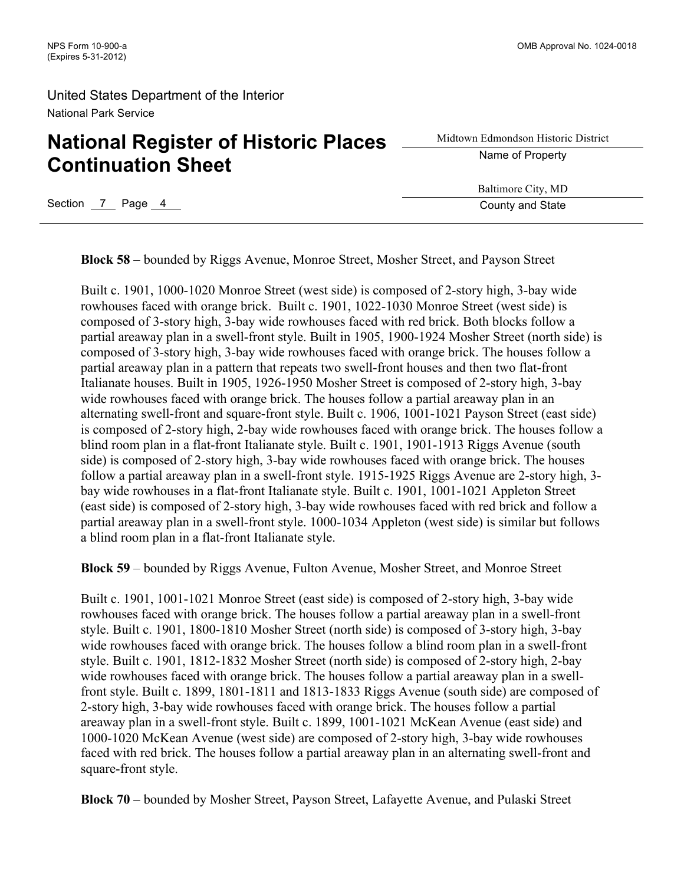# **National Register of Historic Places Continuation Sheet**

| Midtown Edmondson Historic District |  |  |  |  |
|-------------------------------------|--|--|--|--|
| Name of Property                    |  |  |  |  |

Baltimore City, MD

Section 7 Page 4 County and State

**Block 58** – bounded by Riggs Avenue, Monroe Street, Mosher Street, and Payson Street

Built c. 1901, 1000-1020 Monroe Street (west side) is composed of 2-story high, 3-bay wide rowhouses faced with orange brick. Built c. 1901, 1022-1030 Monroe Street (west side) is composed of 3-story high, 3-bay wide rowhouses faced with red brick. Both blocks follow a partial areaway plan in a swell-front style. Built in 1905, 1900-1924 Mosher Street (north side) is composed of 3-story high, 3-bay wide rowhouses faced with orange brick. The houses follow a partial areaway plan in a pattern that repeats two swell-front houses and then two flat-front Italianate houses. Built in 1905, 1926-1950 Mosher Street is composed of 2-story high, 3-bay wide rowhouses faced with orange brick. The houses follow a partial areaway plan in an alternating swell-front and square-front style. Built c. 1906, 1001-1021 Payson Street (east side) is composed of 2-story high, 2-bay wide rowhouses faced with orange brick. The houses follow a blind room plan in a flat-front Italianate style. Built c. 1901, 1901-1913 Riggs Avenue (south side) is composed of 2-story high, 3-bay wide rowhouses faced with orange brick. The houses follow a partial areaway plan in a swell-front style. 1915-1925 Riggs Avenue are 2-story high, 3 bay wide rowhouses in a flat-front Italianate style. Built c. 1901, 1001-1021 Appleton Street (east side) is composed of 2-story high, 3-bay wide rowhouses faced with red brick and follow a partial areaway plan in a swell-front style. 1000-1034 Appleton (west side) is similar but follows a blind room plan in a flat-front Italianate style.

**Block 59** – bounded by Riggs Avenue, Fulton Avenue, Mosher Street, and Monroe Street

Built c. 1901, 1001-1021 Monroe Street (east side) is composed of 2-story high, 3-bay wide rowhouses faced with orange brick. The houses follow a partial areaway plan in a swell-front style. Built c. 1901, 1800-1810 Mosher Street (north side) is composed of 3-story high, 3-bay wide rowhouses faced with orange brick. The houses follow a blind room plan in a swell-front style. Built c. 1901, 1812-1832 Mosher Street (north side) is composed of 2-story high, 2-bay wide rowhouses faced with orange brick. The houses follow a partial areaway plan in a swellfront style. Built c. 1899, 1801-1811 and 1813-1833 Riggs Avenue (south side) are composed of 2-story high, 3-bay wide rowhouses faced with orange brick. The houses follow a partial areaway plan in a swell-front style. Built c. 1899, 1001-1021 McKean Avenue (east side) and 1000-1020 McKean Avenue (west side) are composed of 2-story high, 3-bay wide rowhouses faced with red brick. The houses follow a partial areaway plan in an alternating swell-front and square-front style.

**Block 70** – bounded by Mosher Street, Payson Street, Lafayette Avenue, and Pulaski Street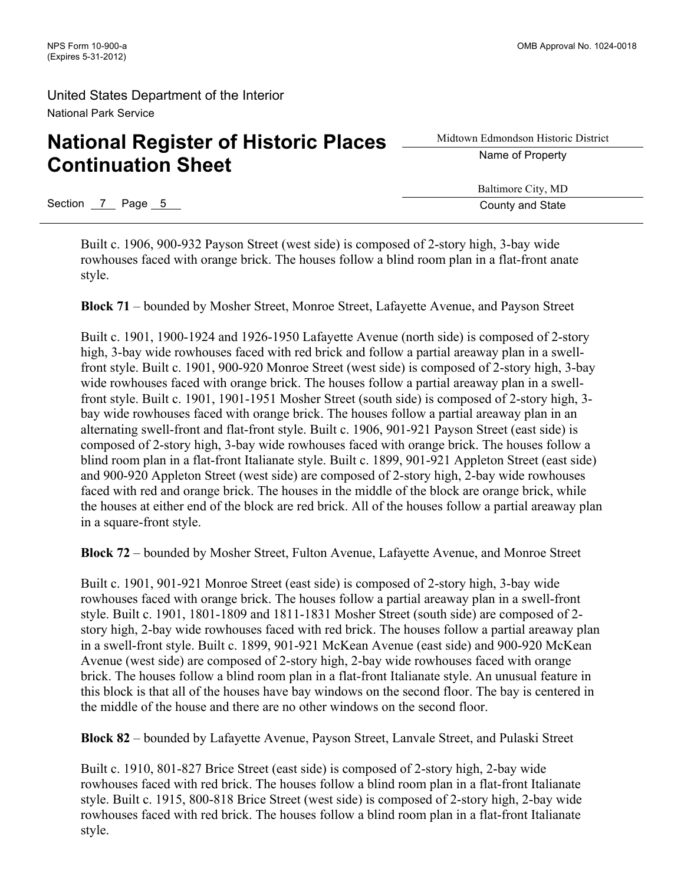# **National Register of Historic Places Continuation Sheet**

Midtown Edmondson Historic District Name of Property

Baltimore City, MD

Section 7 Page 5 County and State

Built c. 1906, 900-932 Payson Street (west side) is composed of 2-story high, 3-bay wide rowhouses faced with orange brick. The houses follow a blind room plan in a flat-front anate style.

**Block 71** – bounded by Mosher Street, Monroe Street, Lafayette Avenue, and Payson Street

Built c. 1901, 1900-1924 and 1926-1950 Lafayette Avenue (north side) is composed of 2-story high, 3-bay wide rowhouses faced with red brick and follow a partial areaway plan in a swellfront style. Built c. 1901, 900-920 Monroe Street (west side) is composed of 2-story high, 3-bay wide rowhouses faced with orange brick. The houses follow a partial areaway plan in a swellfront style. Built c. 1901, 1901-1951 Mosher Street (south side) is composed of 2-story high, 3 bay wide rowhouses faced with orange brick. The houses follow a partial areaway plan in an alternating swell-front and flat-front style. Built c. 1906, 901-921 Payson Street (east side) is composed of 2-story high, 3-bay wide rowhouses faced with orange brick. The houses follow a blind room plan in a flat-front Italianate style. Built c. 1899, 901-921 Appleton Street (east side) and 900-920 Appleton Street (west side) are composed of 2-story high, 2-bay wide rowhouses faced with red and orange brick. The houses in the middle of the block are orange brick, while the houses at either end of the block are red brick. All of the houses follow a partial areaway plan in a square-front style.

**Block 72** – bounded by Mosher Street, Fulton Avenue, Lafayette Avenue, and Monroe Street

Built c. 1901, 901-921 Monroe Street (east side) is composed of 2-story high, 3-bay wide rowhouses faced with orange brick. The houses follow a partial areaway plan in a swell-front style. Built c. 1901, 1801-1809 and 1811-1831 Mosher Street (south side) are composed of 2 story high, 2-bay wide rowhouses faced with red brick. The houses follow a partial areaway plan in a swell-front style. Built c. 1899, 901-921 McKean Avenue (east side) and 900-920 McKean Avenue (west side) are composed of 2-story high, 2-bay wide rowhouses faced with orange brick. The houses follow a blind room plan in a flat-front Italianate style. An unusual feature in this block is that all of the houses have bay windows on the second floor. The bay is centered in the middle of the house and there are no other windows on the second floor.

**Block 82** – bounded by Lafayette Avenue, Payson Street, Lanvale Street, and Pulaski Street

Built c. 1910, 801-827 Brice Street (east side) is composed of 2-story high, 2-bay wide rowhouses faced with red brick. The houses follow a blind room plan in a flat-front Italianate style. Built c. 1915, 800-818 Brice Street (west side) is composed of 2-story high, 2-bay wide rowhouses faced with red brick. The houses follow a blind room plan in a flat-front Italianate style.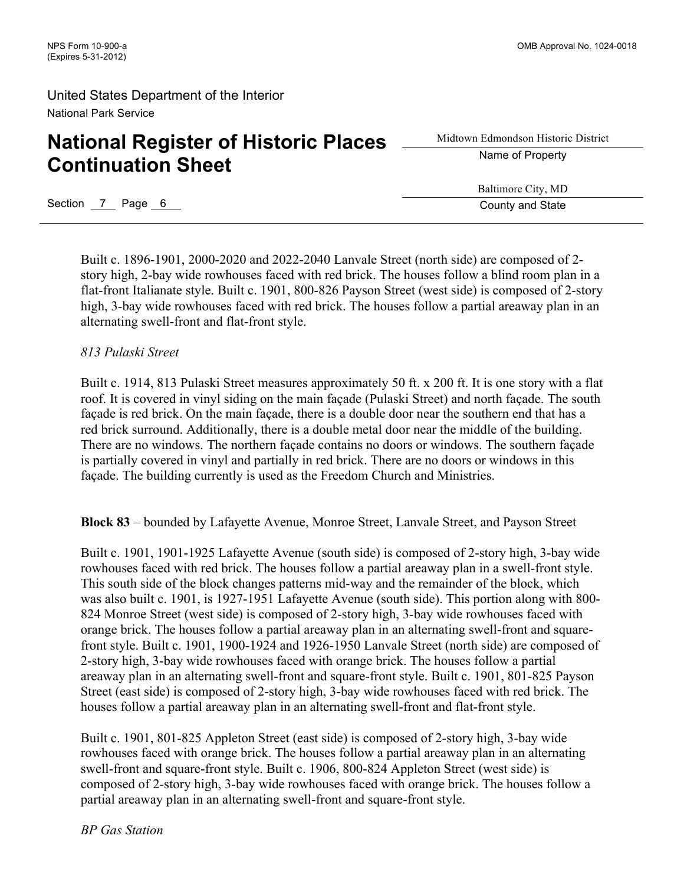# **National Register of Historic Places Continuation Sheet**

Midtown Edmondson Historic District Name of Property

Baltimore City, MD

Section 7 Page 6 County and State

Built c. 1896-1901, 2000-2020 and 2022-2040 Lanvale Street (north side) are composed of 2 story high, 2-bay wide rowhouses faced with red brick. The houses follow a blind room plan in a flat-front Italianate style. Built c. 1901, 800-826 Payson Street (west side) is composed of 2-story high, 3-bay wide rowhouses faced with red brick. The houses follow a partial areaway plan in an alternating swell-front and flat-front style.

### *813 Pulaski Street*

Built c. 1914, 813 Pulaski Street measures approximately 50 ft. x 200 ft. It is one story with a flat roof. It is covered in vinyl siding on the main façade (Pulaski Street) and north façade. The south façade is red brick. On the main façade, there is a double door near the southern end that has a red brick surround. Additionally, there is a double metal door near the middle of the building. There are no windows. The northern façade contains no doors or windows. The southern façade is partially covered in vinyl and partially in red brick. There are no doors or windows in this façade. The building currently is used as the Freedom Church and Ministries.

**Block 83** – bounded by Lafayette Avenue, Monroe Street, Lanvale Street, and Payson Street

Built c. 1901, 1901-1925 Lafayette Avenue (south side) is composed of 2-story high, 3-bay wide rowhouses faced with red brick. The houses follow a partial areaway plan in a swell-front style. This south side of the block changes patterns mid-way and the remainder of the block, which was also built c. 1901, is 1927-1951 Lafayette Avenue (south side). This portion along with 800- 824 Monroe Street (west side) is composed of 2-story high, 3-bay wide rowhouses faced with orange brick. The houses follow a partial areaway plan in an alternating swell-front and squarefront style. Built c. 1901, 1900-1924 and 1926-1950 Lanvale Street (north side) are composed of 2-story high, 3-bay wide rowhouses faced with orange brick. The houses follow a partial areaway plan in an alternating swell-front and square-front style. Built c. 1901, 801-825 Payson Street (east side) is composed of 2-story high, 3-bay wide rowhouses faced with red brick. The houses follow a partial areaway plan in an alternating swell-front and flat-front style.

Built c. 1901, 801-825 Appleton Street (east side) is composed of 2-story high, 3-bay wide rowhouses faced with orange brick. The houses follow a partial areaway plan in an alternating swell-front and square-front style. Built c. 1906, 800-824 Appleton Street (west side) is composed of 2-story high, 3-bay wide rowhouses faced with orange brick. The houses follow a partial areaway plan in an alternating swell-front and square-front style.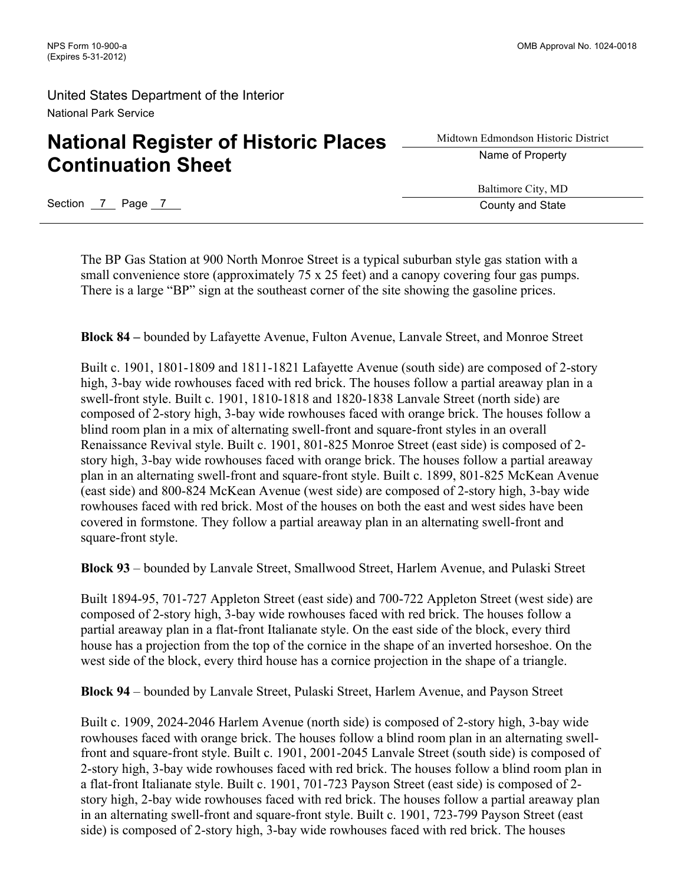# **National Register of Historic Places Continuation Sheet**

Midtown Edmondson Historic District Name of Property

Baltimore City, MD

Section 7 Page 7 County and State

The BP Gas Station at 900 North Monroe Street is a typical suburban style gas station with a small convenience store (approximately 75 x 25 feet) and a canopy covering four gas pumps. There is a large "BP" sign at the southeast corner of the site showing the gasoline prices.

**Block 84 –** bounded by Lafayette Avenue, Fulton Avenue, Lanvale Street, and Monroe Street

Built c. 1901, 1801-1809 and 1811-1821 Lafayette Avenue (south side) are composed of 2-story high, 3-bay wide rowhouses faced with red brick. The houses follow a partial areaway plan in a swell-front style. Built c. 1901, 1810-1818 and 1820-1838 Lanvale Street (north side) are composed of 2-story high, 3-bay wide rowhouses faced with orange brick. The houses follow a blind room plan in a mix of alternating swell-front and square-front styles in an overall Renaissance Revival style. Built c. 1901, 801-825 Monroe Street (east side) is composed of 2 story high, 3-bay wide rowhouses faced with orange brick. The houses follow a partial areaway plan in an alternating swell-front and square-front style. Built c. 1899, 801-825 McKean Avenue (east side) and 800-824 McKean Avenue (west side) are composed of 2-story high, 3-bay wide rowhouses faced with red brick. Most of the houses on both the east and west sides have been covered in formstone. They follow a partial areaway plan in an alternating swell-front and square-front style.

**Block 93** – bounded by Lanvale Street, Smallwood Street, Harlem Avenue, and Pulaski Street

Built 1894-95, 701-727 Appleton Street (east side) and 700-722 Appleton Street (west side) are composed of 2-story high, 3-bay wide rowhouses faced with red brick. The houses follow a partial areaway plan in a flat-front Italianate style. On the east side of the block, every third house has a projection from the top of the cornice in the shape of an inverted horseshoe. On the west side of the block, every third house has a cornice projection in the shape of a triangle.

**Block 94** – bounded by Lanvale Street, Pulaski Street, Harlem Avenue, and Payson Street

Built c. 1909, 2024-2046 Harlem Avenue (north side) is composed of 2-story high, 3-bay wide rowhouses faced with orange brick. The houses follow a blind room plan in an alternating swellfront and square-front style. Built c. 1901, 2001-2045 Lanvale Street (south side) is composed of 2-story high, 3-bay wide rowhouses faced with red brick. The houses follow a blind room plan in a flat-front Italianate style. Built c. 1901, 701-723 Payson Street (east side) is composed of 2 story high, 2-bay wide rowhouses faced with red brick. The houses follow a partial areaway plan in an alternating swell-front and square-front style. Built c. 1901, 723-799 Payson Street (east side) is composed of 2-story high, 3-bay wide rowhouses faced with red brick. The houses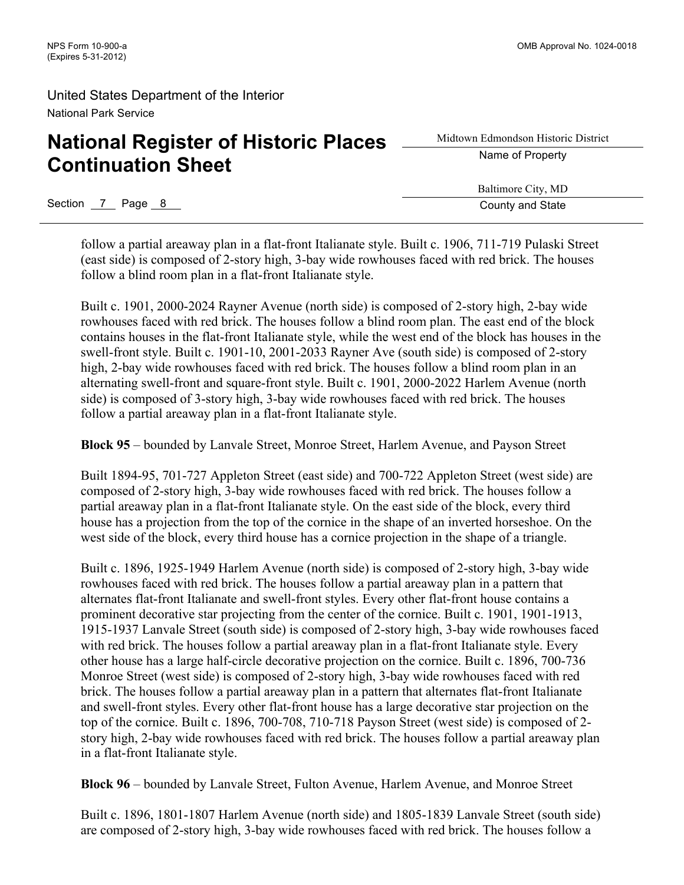# **National Register of Historic Places Continuation Sheet**

Midtown Edmondson Historic District Name of Property

Baltimore City, MD

Section 7 Page 8 County and State

follow a partial areaway plan in a flat-front Italianate style. Built c. 1906, 711-719 Pulaski Street (east side) is composed of 2-story high, 3-bay wide rowhouses faced with red brick. The houses follow a blind room plan in a flat-front Italianate style.

Built c. 1901, 2000-2024 Rayner Avenue (north side) is composed of 2-story high, 2-bay wide rowhouses faced with red brick. The houses follow a blind room plan. The east end of the block contains houses in the flat-front Italianate style, while the west end of the block has houses in the swell-front style. Built c. 1901-10, 2001-2033 Rayner Ave (south side) is composed of 2-story high, 2-bay wide rowhouses faced with red brick. The houses follow a blind room plan in an alternating swell-front and square-front style. Built c. 1901, 2000-2022 Harlem Avenue (north side) is composed of 3-story high, 3-bay wide rowhouses faced with red brick. The houses follow a partial areaway plan in a flat-front Italianate style.

**Block 95** – bounded by Lanvale Street, Monroe Street, Harlem Avenue, and Payson Street

Built 1894-95, 701-727 Appleton Street (east side) and 700-722 Appleton Street (west side) are composed of 2-story high, 3-bay wide rowhouses faced with red brick. The houses follow a partial areaway plan in a flat-front Italianate style. On the east side of the block, every third house has a projection from the top of the cornice in the shape of an inverted horseshoe. On the west side of the block, every third house has a cornice projection in the shape of a triangle.

Built c. 1896, 1925-1949 Harlem Avenue (north side) is composed of 2-story high, 3-bay wide rowhouses faced with red brick. The houses follow a partial areaway plan in a pattern that alternates flat-front Italianate and swell-front styles. Every other flat-front house contains a prominent decorative star projecting from the center of the cornice. Built c. 1901, 1901-1913, 1915-1937 Lanvale Street (south side) is composed of 2-story high, 3-bay wide rowhouses faced with red brick. The houses follow a partial areaway plan in a flat-front Italianate style. Every other house has a large half-circle decorative projection on the cornice. Built c. 1896, 700-736 Monroe Street (west side) is composed of 2-story high, 3-bay wide rowhouses faced with red brick. The houses follow a partial areaway plan in a pattern that alternates flat-front Italianate and swell-front styles. Every other flat-front house has a large decorative star projection on the top of the cornice. Built c. 1896, 700-708, 710-718 Payson Street (west side) is composed of 2 story high, 2-bay wide rowhouses faced with red brick. The houses follow a partial areaway plan in a flat-front Italianate style.

**Block 96** – bounded by Lanvale Street, Fulton Avenue, Harlem Avenue, and Monroe Street

Built c. 1896, 1801-1807 Harlem Avenue (north side) and 1805-1839 Lanvale Street (south side) are composed of 2-story high, 3-bay wide rowhouses faced with red brick. The houses follow a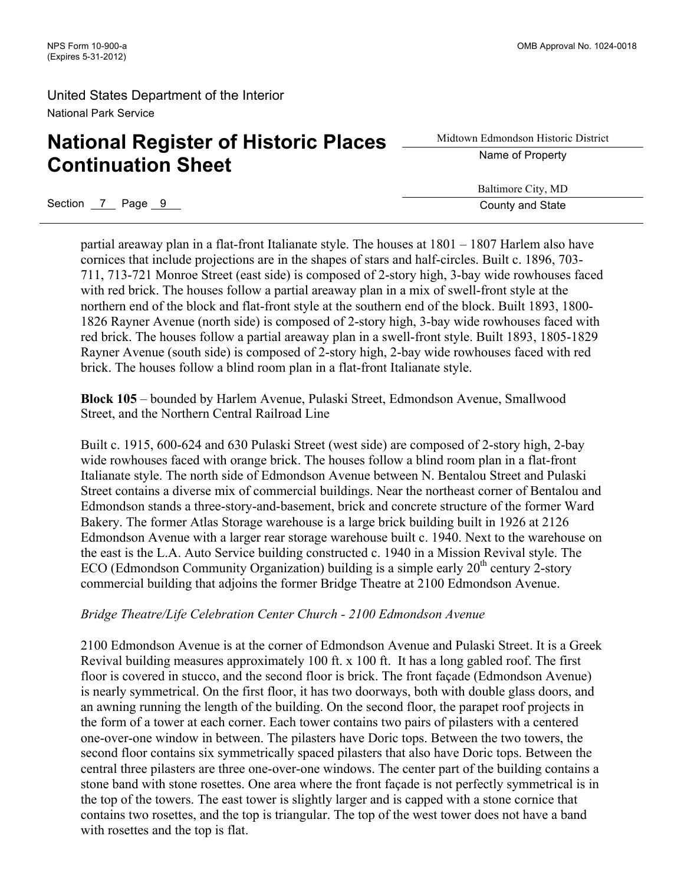# **National Register of Historic Places Continuation Sheet**

Midtown Edmondson Historic District Name of Property

Baltimore City, MD

Section 7 Page 9 County and State

partial areaway plan in a flat-front Italianate style. The houses at 1801 – 1807 Harlem also have cornices that include projections are in the shapes of stars and half-circles. Built c. 1896, 703- 711, 713-721 Monroe Street (east side) is composed of 2-story high, 3-bay wide rowhouses faced with red brick. The houses follow a partial areaway plan in a mix of swell-front style at the northern end of the block and flat-front style at the southern end of the block. Built 1893, 1800- 1826 Rayner Avenue (north side) is composed of 2-story high, 3-bay wide rowhouses faced with red brick. The houses follow a partial areaway plan in a swell-front style. Built 1893, 1805-1829 Rayner Avenue (south side) is composed of 2-story high, 2-bay wide rowhouses faced with red brick. The houses follow a blind room plan in a flat-front Italianate style.

**Block 105** – bounded by Harlem Avenue, Pulaski Street, Edmondson Avenue, Smallwood Street, and the Northern Central Railroad Line

Built c. 1915, 600-624 and 630 Pulaski Street (west side) are composed of 2-story high, 2-bay wide rowhouses faced with orange brick. The houses follow a blind room plan in a flat-front Italianate style. The north side of Edmondson Avenue between N. Bentalou Street and Pulaski Street contains a diverse mix of commercial buildings. Near the northeast corner of Bentalou and Edmondson stands a three-story-and-basement, brick and concrete structure of the former Ward Bakery. The former Atlas Storage warehouse is a large brick building built in 1926 at 2126 Edmondson Avenue with a larger rear storage warehouse built c. 1940. Next to the warehouse on the east is the L.A. Auto Service building constructed c. 1940 in a Mission Revival style. The ECO (Edmondson Community Organization) building is a simple early  $20<sup>th</sup>$  century 2-story commercial building that adjoins the former Bridge Theatre at 2100 Edmondson Avenue.

#### *Bridge Theatre/Life Celebration Center Church - 2100 Edmondson Avenue*

2100 Edmondson Avenue is at the corner of Edmondson Avenue and Pulaski Street. It is a Greek Revival building measures approximately 100 ft. x 100 ft. It has a long gabled roof. The first floor is covered in stucco, and the second floor is brick. The front façade (Edmondson Avenue) is nearly symmetrical. On the first floor, it has two doorways, both with double glass doors, and an awning running the length of the building. On the second floor, the parapet roof projects in the form of a tower at each corner. Each tower contains two pairs of pilasters with a centered one-over-one window in between. The pilasters have Doric tops. Between the two towers, the second floor contains six symmetrically spaced pilasters that also have Doric tops. Between the central three pilasters are three one-over-one windows. The center part of the building contains a stone band with stone rosettes. One area where the front façade is not perfectly symmetrical is in the top of the towers. The east tower is slightly larger and is capped with a stone cornice that contains two rosettes, and the top is triangular. The top of the west tower does not have a band with rosettes and the top is flat.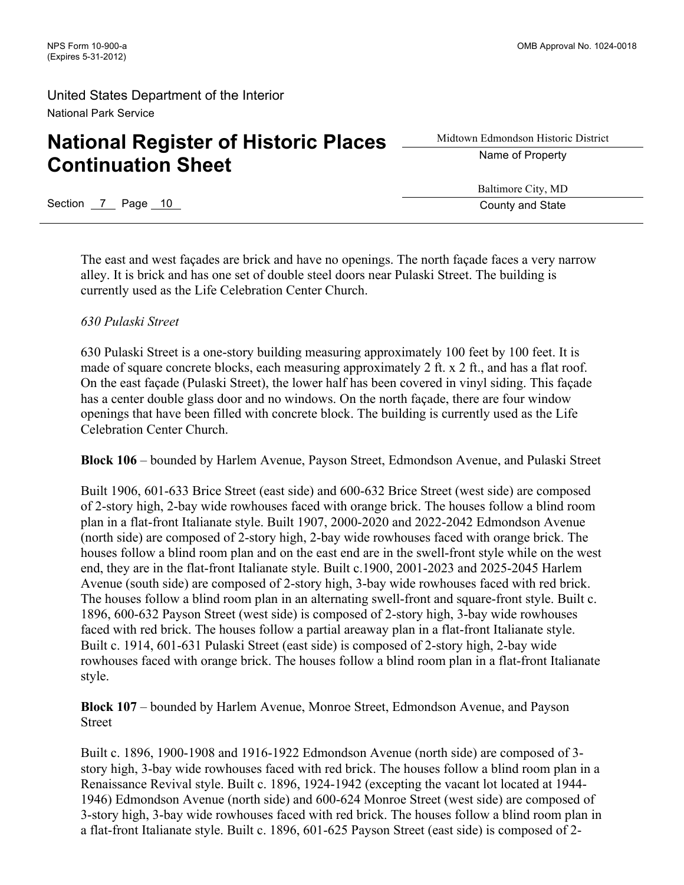# **National Register of Historic Places Continuation Sheet**

Midtown Edmondson Historic District Name of Property

Baltimore City, MD

Section 7 Page 10 County and State

The east and west façades are brick and have no openings. The north façade faces a very narrow alley. It is brick and has one set of double steel doors near Pulaski Street. The building is currently used as the Life Celebration Center Church.

### *630 Pulaski Street*

630 Pulaski Street is a one-story building measuring approximately 100 feet by 100 feet. It is made of square concrete blocks, each measuring approximately 2 ft. x 2 ft., and has a flat roof. On the east façade (Pulaski Street), the lower half has been covered in vinyl siding. This façade has a center double glass door and no windows. On the north façade, there are four window openings that have been filled with concrete block. The building is currently used as the Life Celebration Center Church.

**Block 106** – bounded by Harlem Avenue, Payson Street, Edmondson Avenue, and Pulaski Street

Built 1906, 601-633 Brice Street (east side) and 600-632 Brice Street (west side) are composed of 2-story high, 2-bay wide rowhouses faced with orange brick. The houses follow a blind room plan in a flat-front Italianate style. Built 1907, 2000-2020 and 2022-2042 Edmondson Avenue (north side) are composed of 2-story high, 2-bay wide rowhouses faced with orange brick. The houses follow a blind room plan and on the east end are in the swell-front style while on the west end, they are in the flat-front Italianate style. Built c.1900, 2001-2023 and 2025-2045 Harlem Avenue (south side) are composed of 2-story high, 3-bay wide rowhouses faced with red brick. The houses follow a blind room plan in an alternating swell-front and square-front style. Built c. 1896, 600-632 Payson Street (west side) is composed of 2-story high, 3-bay wide rowhouses faced with red brick. The houses follow a partial areaway plan in a flat-front Italianate style. Built c. 1914, 601-631 Pulaski Street (east side) is composed of 2-story high, 2-bay wide rowhouses faced with orange brick. The houses follow a blind room plan in a flat-front Italianate style.

**Block 107** – bounded by Harlem Avenue, Monroe Street, Edmondson Avenue, and Payson Street

Built c. 1896, 1900-1908 and 1916-1922 Edmondson Avenue (north side) are composed of 3 story high, 3-bay wide rowhouses faced with red brick. The houses follow a blind room plan in a Renaissance Revival style. Built c. 1896, 1924-1942 (excepting the vacant lot located at 1944- 1946) Edmondson Avenue (north side) and 600-624 Monroe Street (west side) are composed of 3-story high, 3-bay wide rowhouses faced with red brick. The houses follow a blind room plan in a flat-front Italianate style. Built c. 1896, 601-625 Payson Street (east side) is composed of 2-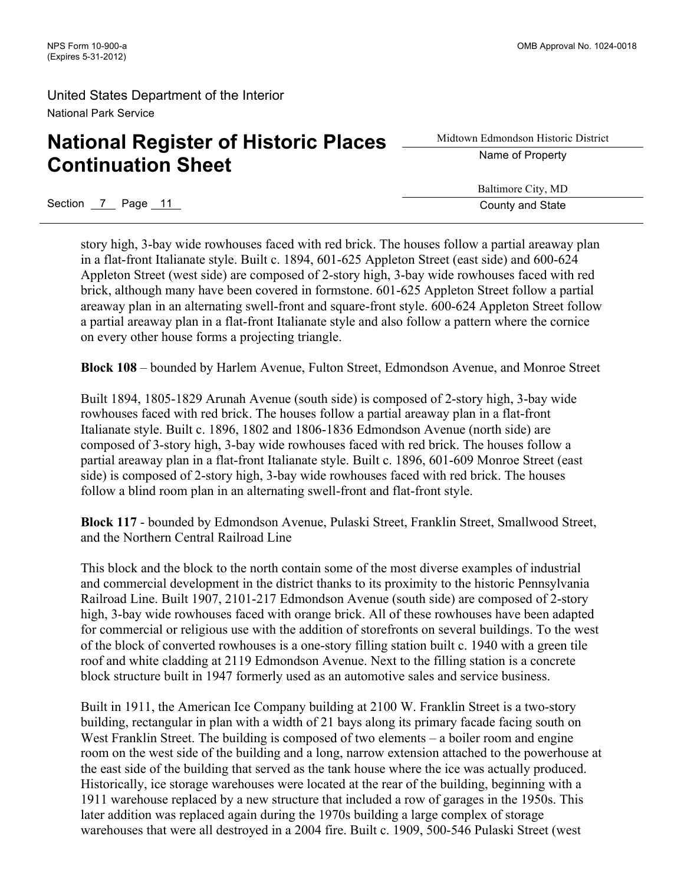# **National Register of Historic Places Continuation Sheet**

Midtown Edmondson Historic District Name of Property

Baltimore City, MD

Section 7 Page 11 County and State

story high, 3-bay wide rowhouses faced with red brick. The houses follow a partial areaway plan in a flat-front Italianate style. Built c. 1894, 601-625 Appleton Street (east side) and 600-624 Appleton Street (west side) are composed of 2-story high, 3-bay wide rowhouses faced with red brick, although many have been covered in formstone. 601-625 Appleton Street follow a partial areaway plan in an alternating swell-front and square-front style. 600-624 Appleton Street follow a partial areaway plan in a flat-front Italianate style and also follow a pattern where the cornice on every other house forms a projecting triangle.

**Block 108** – bounded by Harlem Avenue, Fulton Street, Edmondson Avenue, and Monroe Street

Built 1894, 1805-1829 Arunah Avenue (south side) is composed of 2-story high, 3-bay wide rowhouses faced with red brick. The houses follow a partial areaway plan in a flat-front Italianate style. Built c. 1896, 1802 and 1806-1836 Edmondson Avenue (north side) are composed of 3-story high, 3-bay wide rowhouses faced with red brick. The houses follow a partial areaway plan in a flat-front Italianate style. Built c. 1896, 601-609 Monroe Street (east side) is composed of 2-story high, 3-bay wide rowhouses faced with red brick. The houses follow a blind room plan in an alternating swell-front and flat-front style.

**Block 117** - bounded by Edmondson Avenue, Pulaski Street, Franklin Street, Smallwood Street, and the Northern Central Railroad Line

This block and the block to the north contain some of the most diverse examples of industrial and commercial development in the district thanks to its proximity to the historic Pennsylvania Railroad Line. Built 1907, 2101-217 Edmondson Avenue (south side) are composed of 2-story high, 3-bay wide rowhouses faced with orange brick. All of these rowhouses have been adapted for commercial or religious use with the addition of storefronts on several buildings. To the west of the block of converted rowhouses is a one-story filling station built c. 1940 with a green tile roof and white cladding at 2119 Edmondson Avenue. Next to the filling station is a concrete block structure built in 1947 formerly used as an automotive sales and service business.

Built in 1911, the American Ice Company building at 2100 W. Franklin Street is a two-story building, rectangular in plan with a width of 21 bays along its primary facade facing south on West Franklin Street. The building is composed of two elements – a boiler room and engine room on the west side of the building and a long, narrow extension attached to the powerhouse at the east side of the building that served as the tank house where the ice was actually produced. Historically, ice storage warehouses were located at the rear of the building, beginning with a 1911 warehouse replaced by a new structure that included a row of garages in the 1950s. This later addition was replaced again during the 1970s building a large complex of storage warehouses that were all destroyed in a 2004 fire. Built c. 1909, 500-546 Pulaski Street (west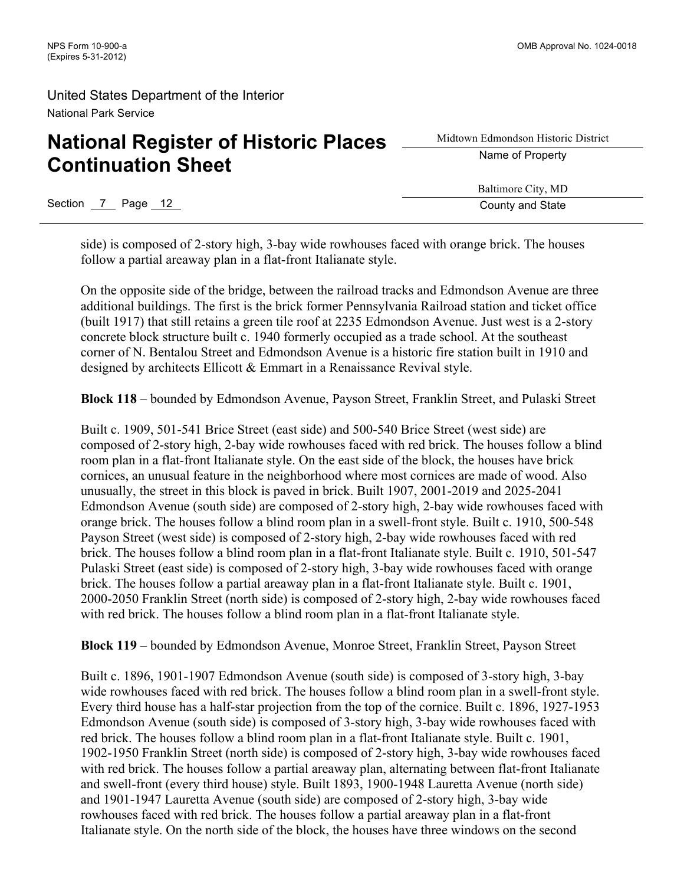# **National Register of Historic Places Continuation Sheet**

Section 7 Page 12 County and State

Midtown Edmondson Historic District Name of Property

Baltimore City, MD

side) is composed of 2-story high, 3-bay wide rowhouses faced with orange brick. The houses follow a partial areaway plan in a flat-front Italianate style.

On the opposite side of the bridge, between the railroad tracks and Edmondson Avenue are three additional buildings. The first is the brick former Pennsylvania Railroad station and ticket office (built 1917) that still retains a green tile roof at 2235 Edmondson Avenue. Just west is a 2-story concrete block structure built c. 1940 formerly occupied as a trade school. At the southeast corner of N. Bentalou Street and Edmondson Avenue is a historic fire station built in 1910 and designed by architects Ellicott & Emmart in a Renaissance Revival style.

**Block 118** – bounded by Edmondson Avenue, Payson Street, Franklin Street, and Pulaski Street

Built c. 1909, 501-541 Brice Street (east side) and 500-540 Brice Street (west side) are composed of 2-story high, 2-bay wide rowhouses faced with red brick. The houses follow a blind room plan in a flat-front Italianate style. On the east side of the block, the houses have brick cornices, an unusual feature in the neighborhood where most cornices are made of wood. Also unusually, the street in this block is paved in brick. Built 1907, 2001-2019 and 2025-2041 Edmondson Avenue (south side) are composed of 2-story high, 2-bay wide rowhouses faced with orange brick. The houses follow a blind room plan in a swell-front style. Built c. 1910, 500-548 Payson Street (west side) is composed of 2-story high, 2-bay wide rowhouses faced with red brick. The houses follow a blind room plan in a flat-front Italianate style. Built c. 1910, 501-547 Pulaski Street (east side) is composed of 2-story high, 3-bay wide rowhouses faced with orange brick. The houses follow a partial areaway plan in a flat-front Italianate style. Built c. 1901, 2000-2050 Franklin Street (north side) is composed of 2-story high, 2-bay wide rowhouses faced with red brick. The houses follow a blind room plan in a flat-front Italianate style.

**Block 119** – bounded by Edmondson Avenue, Monroe Street, Franklin Street, Payson Street

Built c. 1896, 1901-1907 Edmondson Avenue (south side) is composed of 3-story high, 3-bay wide rowhouses faced with red brick. The houses follow a blind room plan in a swell-front style. Every third house has a half-star projection from the top of the cornice. Built c. 1896, 1927-1953 Edmondson Avenue (south side) is composed of 3-story high, 3-bay wide rowhouses faced with red brick. The houses follow a blind room plan in a flat-front Italianate style. Built c. 1901, 1902-1950 Franklin Street (north side) is composed of 2-story high, 3-bay wide rowhouses faced with red brick. The houses follow a partial areaway plan, alternating between flat-front Italianate and swell-front (every third house) style. Built 1893, 1900-1948 Lauretta Avenue (north side) and 1901-1947 Lauretta Avenue (south side) are composed of 2-story high, 3-bay wide rowhouses faced with red brick. The houses follow a partial areaway plan in a flat-front Italianate style. On the north side of the block, the houses have three windows on the second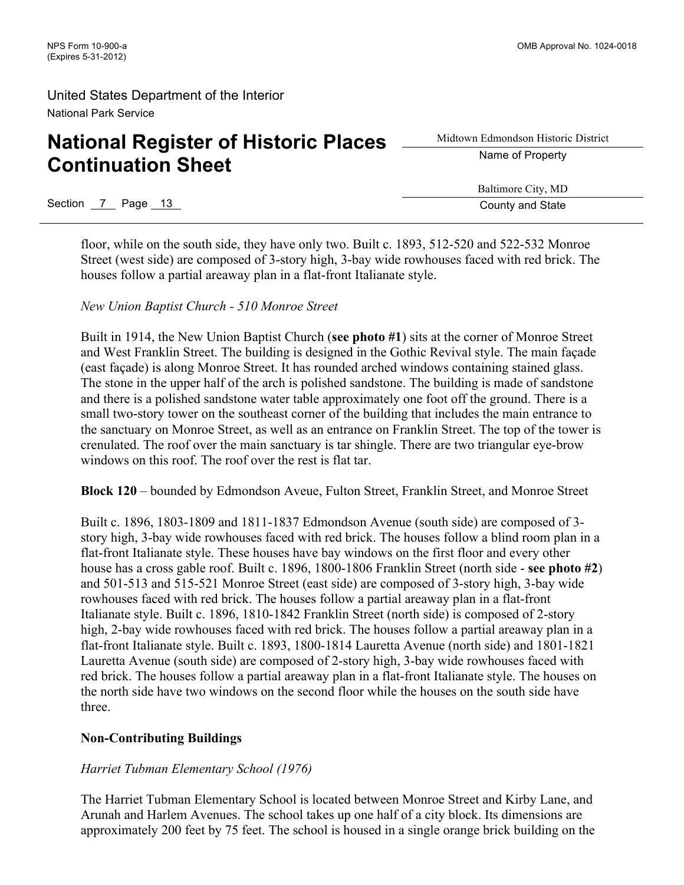# **National Register of Historic Places Continuation Sheet**

Midtown Edmondson Historic District Name of Property

Baltimore City, MD

Section 7 Page 13 County and State

floor, while on the south side, they have only two. Built c. 1893, 512-520 and 522-532 Monroe Street (west side) are composed of 3-story high, 3-bay wide rowhouses faced with red brick. The houses follow a partial areaway plan in a flat-front Italianate style.

#### *New Union Baptist Church - 510 Monroe Street*

Built in 1914, the New Union Baptist Church (**see photo #1**) sits at the corner of Monroe Street and West Franklin Street. The building is designed in the Gothic Revival style. The main façade (east façade) is along Monroe Street. It has rounded arched windows containing stained glass. The stone in the upper half of the arch is polished sandstone. The building is made of sandstone and there is a polished sandstone water table approximately one foot off the ground. There is a small two-story tower on the southeast corner of the building that includes the main entrance to the sanctuary on Monroe Street, as well as an entrance on Franklin Street. The top of the tower is crenulated. The roof over the main sanctuary is tar shingle. There are two triangular eye-brow windows on this roof. The roof over the rest is flat tar.

**Block 120** – bounded by Edmondson Aveue, Fulton Street, Franklin Street, and Monroe Street

Built c. 1896, 1803-1809 and 1811-1837 Edmondson Avenue (south side) are composed of 3 story high, 3-bay wide rowhouses faced with red brick. The houses follow a blind room plan in a flat-front Italianate style. These houses have bay windows on the first floor and every other house has a cross gable roof. Built c. 1896, 1800-1806 Franklin Street (north side - **see photo #2**) and 501-513 and 515-521 Monroe Street (east side) are composed of 3-story high, 3-bay wide rowhouses faced with red brick. The houses follow a partial areaway plan in a flat-front Italianate style. Built c. 1896, 1810-1842 Franklin Street (north side) is composed of 2-story high, 2-bay wide rowhouses faced with red brick. The houses follow a partial areaway plan in a flat-front Italianate style. Built c. 1893, 1800-1814 Lauretta Avenue (north side) and 1801-1821 Lauretta Avenue (south side) are composed of 2-story high, 3-bay wide rowhouses faced with red brick. The houses follow a partial areaway plan in a flat-front Italianate style. The houses on the north side have two windows on the second floor while the houses on the south side have three.

### **Non-Contributing Buildings**

### *Harriet Tubman Elementary School (1976)*

The Harriet Tubman Elementary School is located between Monroe Street and Kirby Lane, and Arunah and Harlem Avenues. The school takes up one half of a city block. Its dimensions are approximately 200 feet by 75 feet. The school is housed in a single orange brick building on the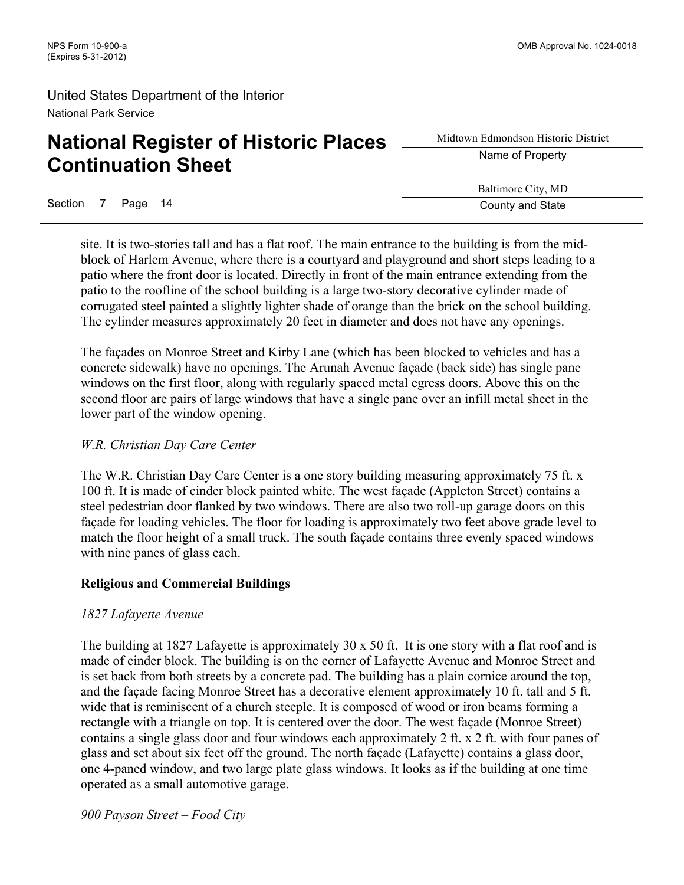# **National Register of Historic Places Continuation Sheet**

Midtown Edmondson Historic District Name of Property

Baltimore City, MD

Section 7 Page 14 County and State site. It is two-stories tall and has a flat roof. The main entrance to the building is from the mid-

block of Harlem Avenue, where there is a courtyard and playground and short steps leading to a patio where the front door is located. Directly in front of the main entrance extending from the patio to the roofline of the school building is a large two-story decorative cylinder made of corrugated steel painted a slightly lighter shade of orange than the brick on the school building. The cylinder measures approximately 20 feet in diameter and does not have any openings.

The façades on Monroe Street and Kirby Lane (which has been blocked to vehicles and has a concrete sidewalk) have no openings. The Arunah Avenue façade (back side) has single pane windows on the first floor, along with regularly spaced metal egress doors. Above this on the second floor are pairs of large windows that have a single pane over an infill metal sheet in the lower part of the window opening.

### *W.R. Christian Day Care Center*

The W.R. Christian Day Care Center is a one story building measuring approximately 75 ft. x 100 ft. It is made of cinder block painted white. The west façade (Appleton Street) contains a steel pedestrian door flanked by two windows. There are also two roll-up garage doors on this façade for loading vehicles. The floor for loading is approximately two feet above grade level to match the floor height of a small truck. The south façade contains three evenly spaced windows with nine panes of glass each.

### **Religious and Commercial Buildings**

### *1827 Lafayette Avenue*

The building at 1827 Lafayette is approximately 30 x 50 ft. It is one story with a flat roof and is made of cinder block. The building is on the corner of Lafayette Avenue and Monroe Street and is set back from both streets by a concrete pad. The building has a plain cornice around the top, and the façade facing Monroe Street has a decorative element approximately 10 ft. tall and 5 ft. wide that is reminiscent of a church steeple. It is composed of wood or iron beams forming a rectangle with a triangle on top. It is centered over the door. The west façade (Monroe Street) contains a single glass door and four windows each approximately 2 ft. x 2 ft. with four panes of glass and set about six feet off the ground. The north façade (Lafayette) contains a glass door, one 4-paned window, and two large plate glass windows. It looks as if the building at one time operated as a small automotive garage.

*900 Payson Street – Food City*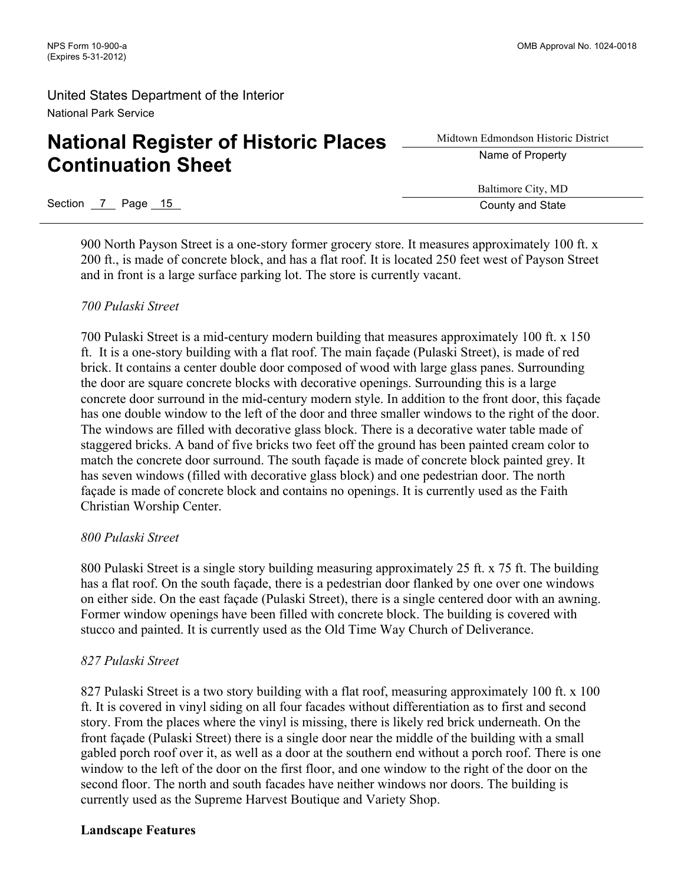# **National Register of Historic Places Continuation Sheet**

Midtown Edmondson Historic District Name of Property

Baltimore City, MD

Section 7 Page 15 County and State County and State County and State

900 North Payson Street is a one-story former grocery store. It measures approximately 100 ft. x 200 ft., is made of concrete block, and has a flat roof. It is located 250 feet west of Payson Street and in front is a large surface parking lot. The store is currently vacant.

### *700 Pulaski Street*

700 Pulaski Street is a mid-century modern building that measures approximately 100 ft. x 150 ft. It is a one-story building with a flat roof. The main façade (Pulaski Street), is made of red brick. It contains a center double door composed of wood with large glass panes. Surrounding the door are square concrete blocks with decorative openings. Surrounding this is a large concrete door surround in the mid-century modern style. In addition to the front door, this façade has one double window to the left of the door and three smaller windows to the right of the door. The windows are filled with decorative glass block. There is a decorative water table made of staggered bricks. A band of five bricks two feet off the ground has been painted cream color to match the concrete door surround. The south façade is made of concrete block painted grey. It has seven windows (filled with decorative glass block) and one pedestrian door. The north façade is made of concrete block and contains no openings. It is currently used as the Faith Christian Worship Center.

### *800 Pulaski Street*

800 Pulaski Street is a single story building measuring approximately 25 ft. x 75 ft. The building has a flat roof. On the south façade, there is a pedestrian door flanked by one over one windows on either side. On the east façade (Pulaski Street), there is a single centered door with an awning. Former window openings have been filled with concrete block. The building is covered with stucco and painted. It is currently used as the Old Time Way Church of Deliverance.

### *827 Pulaski Street*

827 Pulaski Street is a two story building with a flat roof, measuring approximately 100 ft. x 100 ft. It is covered in vinyl siding on all four facades without differentiation as to first and second story. From the places where the vinyl is missing, there is likely red brick underneath. On the front façade (Pulaski Street) there is a single door near the middle of the building with a small gabled porch roof over it, as well as a door at the southern end without a porch roof. There is one window to the left of the door on the first floor, and one window to the right of the door on the second floor. The north and south facades have neither windows nor doors. The building is currently used as the Supreme Harvest Boutique and Variety Shop.

### **Landscape Features**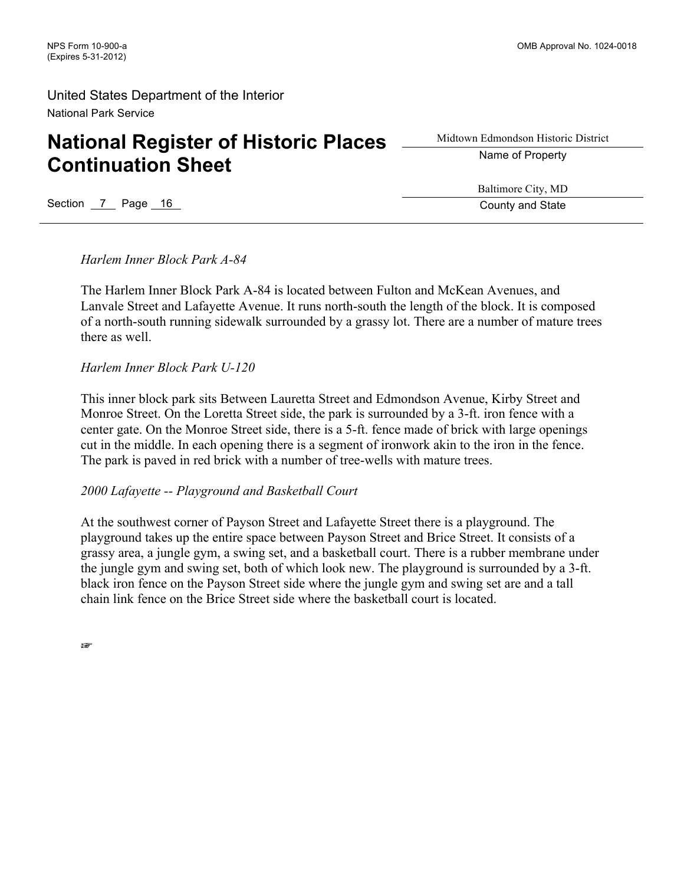# **National Register of Historic Places Continuation Sheet**

Midtown Edmondson Historic District Name of Property

Section 7 Page 16 County and State

Baltimore City, MD

*Harlem Inner Block Park A-84*

The Harlem Inner Block Park A-84 is located between Fulton and McKean Avenues, and Lanvale Street and Lafayette Avenue. It runs north-south the length of the block. It is composed of a north-south running sidewalk surrounded by a grassy lot. There are a number of mature trees there as well.

*Harlem Inner Block Park U-120*

This inner block park sits Between Lauretta Street and Edmondson Avenue, Kirby Street and Monroe Street. On the Loretta Street side, the park is surrounded by a 3-ft. iron fence with a center gate. On the Monroe Street side, there is a 5-ft. fence made of brick with large openings cut in the middle. In each opening there is a segment of ironwork akin to the iron in the fence. The park is paved in red brick with a number of tree-wells with mature trees.

### *2000 Lafayette -- Playground and Basketball Court*

At the southwest corner of Payson Street and Lafayette Street there is a playground. The playground takes up the entire space between Payson Street and Brice Street. It consists of a grassy area, a jungle gym, a swing set, and a basketball court. There is a rubber membrane under the jungle gym and swing set, both of which look new. The playground is surrounded by a 3-ft. black iron fence on the Payson Street side where the jungle gym and swing set are and a tall chain link fence on the Brice Street side where the basketball court is located.

☞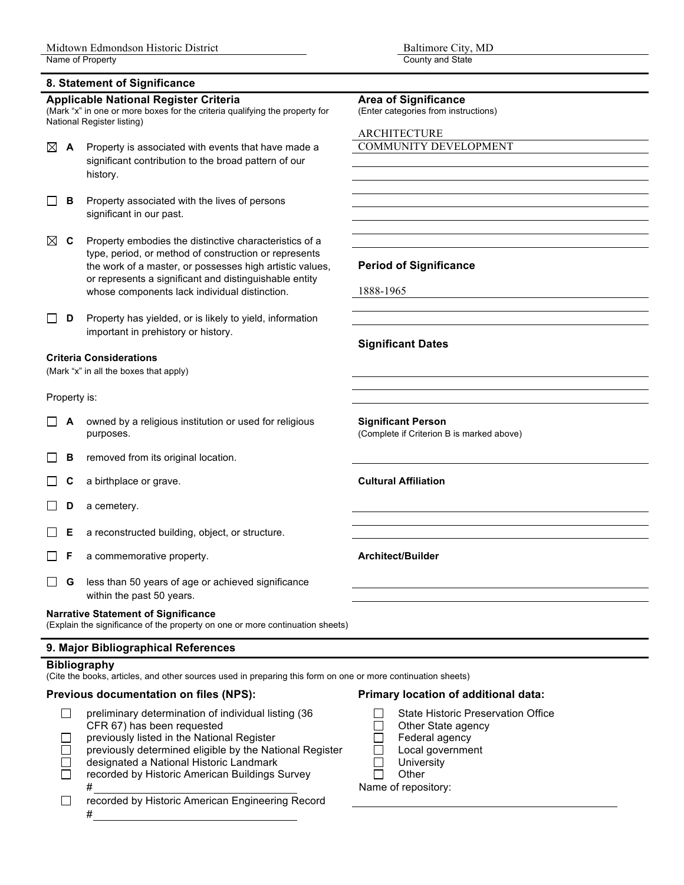#### **8. Statement of Significance**

#### **Applicable National Register Criteria Area of Significance**

(Mark "x" in one or more boxes for the criteria qualifying the property for National Register listing)

- **A** Property is associated with events that have made a COMMUNITY DEVELOPMENT significant contribution to the broad pattern of our history.
- $\Box$ **B** Property associated with the lives of persons significant in our past.
- $\boxtimes$  **C** Property embodies the distinctive characteristics of a type, period, or method of construction or represents the work of a master, or possesses high artistic values, **Period of Significance** or represents a significant and distinguishable entity whose components lack individual distinction. 1888-1965
- **D** Property has yielded, or is likely to yield, information important in prehistory or history.

#### **Criteria Considerations**

(Mark "x" in all the boxes that apply)

#### Property is:

- **A** owned by a religious institution or used for religious **Significant Person** purposes. (Complete if Criterion B is marked above)
- **B** removed from its original location. П
- **C** a birthplace or grave. **Cultural Affiliation** П
- □ **D** a cemetery.
- П **E** a reconstructed building, object, or structure.
- **F** a commemorative property. **Architect/Builder Architect/Builder**  $\perp$
- **G** less than 50 years of age or achieved significance within the past 50 years.

#### **Narrative Statement of Significance**

(Explain the significance of the property on one or more continuation sheets)

#### **9. Major Bibliographical References**

#### **Bibliography**

(Cite the books, articles, and other sources used in preparing this form on one or more continuation sheets)

### **Previous documentation on files (NPS): Primary location of additional data:**

- preliminary determination of individual listing (36  $\Box$  State Historic Preservation Office<br>CFR 67) has been requested  $\Box$  Other State agency  $\Box$ CFR 67) has been requested  $\Box$  Other State agency<br>previously listed in the National Register  $\Box$  Federal agency
- П
- previously listed in the National Register  $\Box$  Federal agency<br>previously determined eligible by the National Register  $\Box$  Local government previously determined eligible by the National Register  $\Box$
- designated a National Historic Landmark University  $\Box$
- $\Box$ recorded by Historic American Buildings Survey  $\Box$  Other # Name of repository:
- $\Box$ recorded by Historic American Engineering Record #

(Enter categories from instructions)

ARCHITECTURE

#### **Significant Dates**

- 
- 
- 
- 
- 
-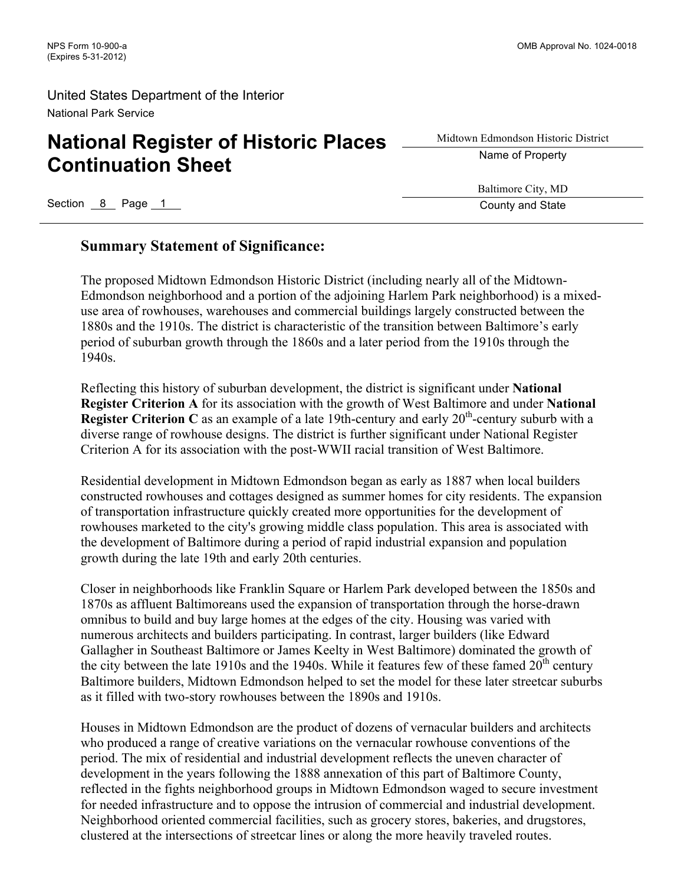# **National Register of Historic Places Continuation Sheet**

Midtown Edmondson Historic District Name of Property

Baltimore City, MD

Section 8 Page 1 County and State

### **Summary Statement of Significance:**

The proposed Midtown Edmondson Historic District (including nearly all of the Midtown-Edmondson neighborhood and a portion of the adjoining Harlem Park neighborhood) is a mixeduse area of rowhouses, warehouses and commercial buildings largely constructed between the 1880s and the 1910s. The district is characteristic of the transition between Baltimore's early period of suburban growth through the 1860s and a later period from the 1910s through the 1940s.

Reflecting this history of suburban development, the district is significant under **National Register Criterion A** for its association with the growth of West Baltimore and under **National Register Criterion C** as an example of a late 19th-century and early 20<sup>th</sup>-century suburb with a diverse range of rowhouse designs. The district is further significant under National Register Criterion A for its association with the post-WWII racial transition of West Baltimore.

Residential development in Midtown Edmondson began as early as 1887 when local builders constructed rowhouses and cottages designed as summer homes for city residents. The expansion of transportation infrastructure quickly created more opportunities for the development of rowhouses marketed to the city's growing middle class population. This area is associated with the development of Baltimore during a period of rapid industrial expansion and population growth during the late 19th and early 20th centuries.

Closer in neighborhoods like Franklin Square or Harlem Park developed between the 1850s and 1870s as affluent Baltimoreans used the expansion of transportation through the horse-drawn omnibus to build and buy large homes at the edges of the city. Housing was varied with numerous architects and builders participating. In contrast, larger builders (like Edward Gallagher in Southeast Baltimore or James Keelty in West Baltimore) dominated the growth of the city between the late 1910s and the 1940s. While it features few of these famed  $20<sup>th</sup>$  century Baltimore builders, Midtown Edmondson helped to set the model for these later streetcar suburbs as it filled with two-story rowhouses between the 1890s and 1910s.

Houses in Midtown Edmondson are the product of dozens of vernacular builders and architects who produced a range of creative variations on the vernacular rowhouse conventions of the period. The mix of residential and industrial development reflects the uneven character of development in the years following the 1888 annexation of this part of Baltimore County, reflected in the fights neighborhood groups in Midtown Edmondson waged to secure investment for needed infrastructure and to oppose the intrusion of commercial and industrial development. Neighborhood oriented commercial facilities, such as grocery stores, bakeries, and drugstores, clustered at the intersections of streetcar lines or along the more heavily traveled routes.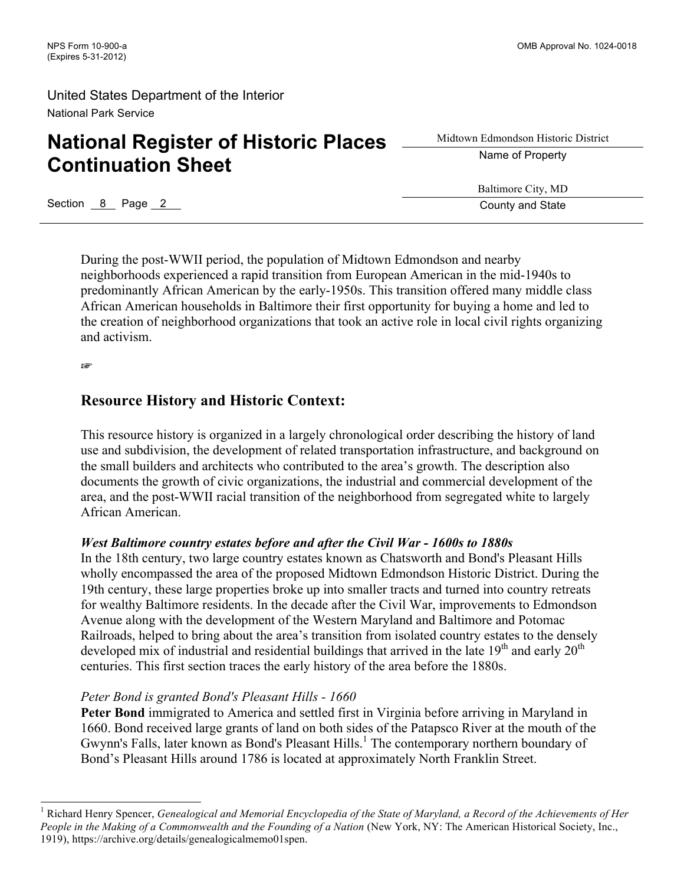# **National Register of Historic Places Continuation Sheet**

Midtown Edmondson Historic District Name of Property

Baltimore City, MD

Section 8 Page 2 County and State

During the post-WWII period, the population of Midtown Edmondson and nearby neighborhoods experienced a rapid transition from European American in the mid-1940s to predominantly African American by the early-1950s. This transition offered many middle class African American households in Baltimore their first opportunity for buying a home and led to the creation of neighborhood organizations that took an active role in local civil rights organizing and activism.

☞

### **Resource History and Historic Context:**

This resource history is organized in a largely chronological order describing the history of land use and subdivision, the development of related transportation infrastructure, and background on the small builders and architects who contributed to the area's growth. The description also documents the growth of civic organizations, the industrial and commercial development of the area, and the post-WWII racial transition of the neighborhood from segregated white to largely African American.

### *West Baltimore country estates before and after the Civil War - 1600s to 1880s*

In the 18th century, two large country estates known as Chatsworth and Bond's Pleasant Hills wholly encompassed the area of the proposed Midtown Edmondson Historic District. During the 19th century, these large properties broke up into smaller tracts and turned into country retreats for wealthy Baltimore residents. In the decade after the Civil War, improvements to Edmondson Avenue along with the development of the Western Maryland and Baltimore and Potomac Railroads, helped to bring about the area's transition from isolated country estates to the densely developed mix of industrial and residential buildings that arrived in the late  $19<sup>th</sup>$  and early  $20<sup>th</sup>$ centuries. This first section traces the early history of the area before the 1880s.

### *Peter Bond is granted Bond's Pleasant Hills - 1660*

**Peter Bond** immigrated to America and settled first in Virginia before arriving in Maryland in 1660. Bond received large grants of land on both sides of the Patapsco River at the mouth of the Gwynn's Falls, later known as Bond's Pleasant Hills. <sup>1</sup> The contemporary northern boundary of Bond's Pleasant Hills around 1786 is located at approximately North Franklin Street.

 <sup>1</sup> Richard Henry Spencer, *Genealogical and Memorial Encyclopedia of the State of Maryland, a Record of the Achievements of Her People in the Making of a Commonwealth and the Founding of a Nation* (New York, NY: The American Historical Society, Inc., 1919), https://archive.org/details/genealogicalmemo01spen.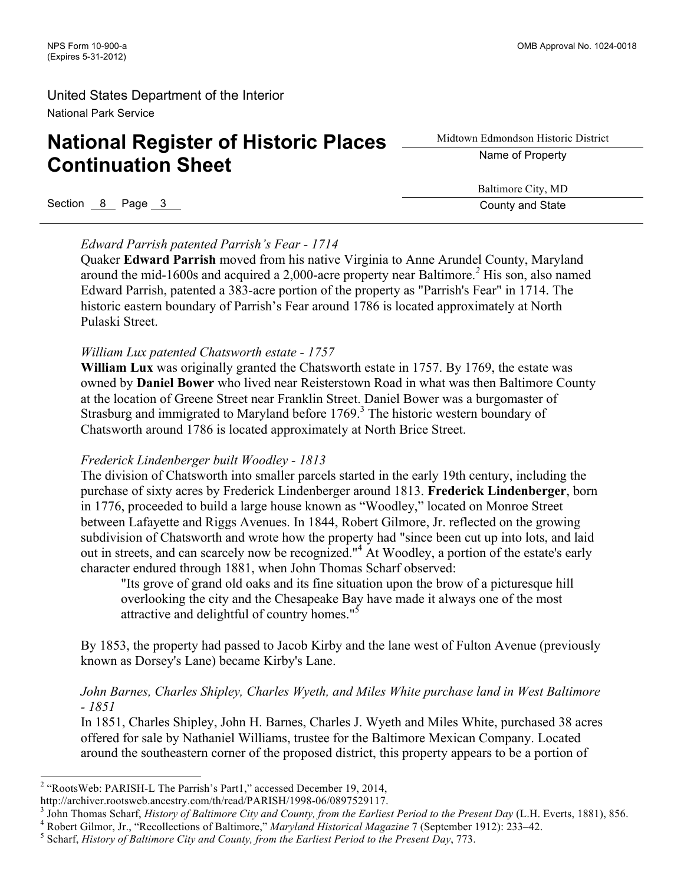# **National Register of Historic Places Continuation Sheet**

Midtown Edmondson Historic District Name of Property

Baltimore City, MD

Section 8 Page 3 County and State 3 County and State 3 County and State

*Edward Parrish patented Parrish's Fear - 1714*

Quaker **Edward Parrish** moved from his native Virginia to Anne Arundel County, Maryland around the mid-1600s and acquired a 2,000-acre property near Baltimore.*<sup>2</sup>* His son, also named Edward Parrish, patented a 383-acre portion of the property as "Parrish's Fear" in 1714. The historic eastern boundary of Parrish's Fear around 1786 is located approximately at North Pulaski Street.

### *William Lux patented Chatsworth estate - 1757*

**William Lux** was originally granted the Chatsworth estate in 1757. By 1769, the estate was owned by **Daniel Bower** who lived near Reisterstown Road in what was then Baltimore County at the location of Greene Street near Franklin Street. Daniel Bower was a burgomaster of Strasburg and immigrated to Maryland before  $1769<sup>3</sup>$ . The historic western boundary of Chatsworth around 1786 is located approximately at North Brice Street.

### *Frederick Lindenberger built Woodley - 1813*

The division of Chatsworth into smaller parcels started in the early 19th century, including the purchase of sixty acres by Frederick Lindenberger around 1813. **Frederick Lindenberger**, born in 1776, proceeded to build a large house known as "Woodley," located on Monroe Street between Lafayette and Riggs Avenues. In 1844, Robert Gilmore, Jr. reflected on the growing subdivision of Chatsworth and wrote how the property had "since been cut up into lots, and laid out in streets, and can scarcely now be recognized."<sup>4</sup> At Woodley, a portion of the estate's early character endured through 1881, when John Thomas Scharf observed:

"Its grove of grand old oaks and its fine situation upon the brow of a picturesque hill overlooking the city and the Chesapeake Bay have made it always one of the most attractive and delightful of country homes."<sup>5</sup>

By 1853, the property had passed to Jacob Kirby and the lane west of Fulton Avenue (previously known as Dorsey's Lane) became Kirby's Lane.

### *John Barnes, Charles Shipley, Charles Wyeth, and Miles White purchase land in West Baltimore - 1851*

In 1851, Charles Shipley, John H. Barnes, Charles J. Wyeth and Miles White, purchased 38 acres offered for sale by Nathaniel Williams, trustee for the Baltimore Mexican Company. Located around the southeastern corner of the proposed district, this property appears to be a portion of

 <sup>2</sup> "RootsWeb: PARISH-L The Parrish's Part1," accessed December 19, 2014,

http://archiver.rootsweb.ancestry.com/th/read/PARISH/1998-06/0897529117.<br><sup>3</sup> John Thomas Scharf, *History of Baltimore City and County, from the Earliest Period to the Present Day (L.H. Everts, 1881), 856.<br><sup>4</sup> Robert Gilmo*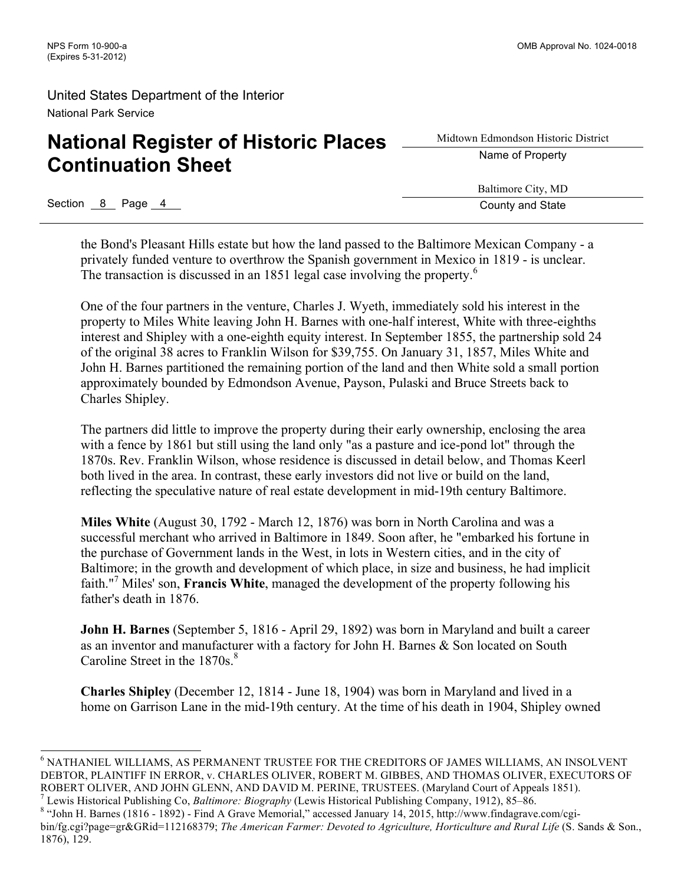# **National Register of Historic Places Continuation Sheet**

Midtown Edmondson Historic District Name of Property

Baltimore City, MD

Section 8 Page 4 County and State

the Bond's Pleasant Hills estate but how the land passed to the Baltimore Mexican Company - a privately funded venture to overthrow the Spanish government in Mexico in 1819 - is unclear. The transaction is discussed in an 1851 legal case involving the property.<sup>6</sup>

One of the four partners in the venture, Charles J. Wyeth, immediately sold his interest in the property to Miles White leaving John H. Barnes with one-half interest, White with three-eighths interest and Shipley with a one-eighth equity interest. In September 1855, the partnership sold 24 of the original 38 acres to Franklin Wilson for \$39,755. On January 31, 1857, Miles White and John H. Barnes partitioned the remaining portion of the land and then White sold a small portion approximately bounded by Edmondson Avenue, Payson, Pulaski and Bruce Streets back to Charles Shipley.

The partners did little to improve the property during their early ownership, enclosing the area with a fence by 1861 but still using the land only "as a pasture and ice-pond lot" through the 1870s. Rev. Franklin Wilson, whose residence is discussed in detail below, and Thomas Keerl both lived in the area. In contrast, these early investors did not live or build on the land, reflecting the speculative nature of real estate development in mid-19th century Baltimore.

**Miles White** (August 30, 1792 - March 12, 1876) was born in North Carolina and was a successful merchant who arrived in Baltimore in 1849. Soon after, he "embarked his fortune in the purchase of Government lands in the West, in lots in Western cities, and in the city of Baltimore; in the growth and development of which place, in size and business, he had implicit faith."<sup>7</sup> Miles' son, **Francis White**, managed the development of the property following his father's death in 1876.

**John H. Barnes** (September 5, 1816 - April 29, 1892) was born in Maryland and built a career as an inventor and manufacturer with a factory for John H. Barnes & Son located on South Caroline Street in the  $1870s<sup>8</sup>$ 

**Charles Shipley** (December 12, 1814 - June 18, 1904) was born in Maryland and lived in a home on Garrison Lane in the mid-19th century. At the time of his death in 1904, Shipley owned

 <sup>6</sup> NATHANIEL WILLIAMS, AS PERMANENT TRUSTEE FOR THE CREDITORS OF JAMES WILLIAMS, AN INSOLVENT DEBTOR, PLAINTIFF IN ERROR, v. CHARLES OLIVER, ROBERT M. GIBBES, AND THOMAS OLIVER, EXECUTORS OF ROBERT OLIVER, AND JOHN GLENN, AND DAVID M. PERINE, TRUSTEES. (Maryland Court of Appeals 1851).

<sup>&</sup>lt;sup>7</sup> Lewis Historical Publishing Co, *Baltimore: Biography* (Lewis Historical Publishing Company, 1912), 85–86.<br><sup>8</sup> "John H. Barnes (1816 - 1892) - Find A Grave Memorial," accessed January 14, 2015, http://www.findagrave.c

bin/fg.cgi?page=gr&GRid=112168379; *The American Farmer: Devoted to Agriculture, Horticulture and Rural Life* (S. Sands & Son., 1876), 129.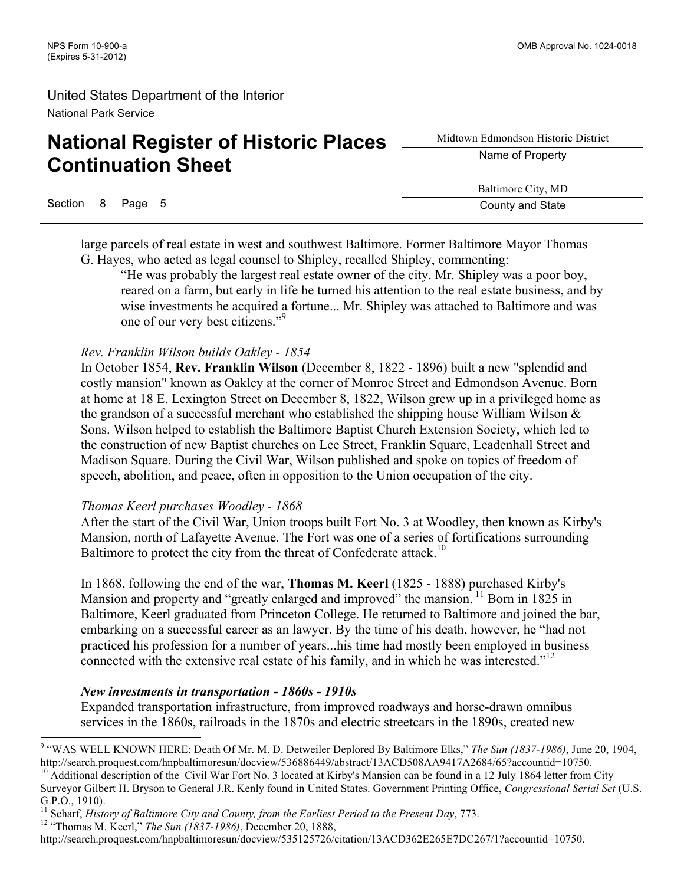# **National Register of Historic Places Continuation Sheet**

Midtown Edmondson Historic District Name of Property

Baltimore City, MD

Section 8 Page 5 County and State Section 8 Page 5 County and State

large parcels of real estate in west and southwest Baltimore. Former Baltimore Mayor Thomas G. Hayes, who acted as legal counsel to Shipley, recalled Shipley, commenting:

"He was probably the largest real estate owner of the city. Mr. Shipley was a poor boy, reared on a farm, but early in life he turned his attention to the real estate business, and by wise investments he acquired a fortune... Mr. Shipley was attached to Baltimore and was one of our very best citizens."<sup>9</sup>

### *Rev. Franklin Wilson builds Oakley - 1854*

In October 1854, **Rev. Franklin Wilson** (December 8, 1822 - 1896) built a new "splendid and costly mansion" known as Oakley at the corner of Monroe Street and Edmondson Avenue. Born at home at 18 E. Lexington Street on December 8, 1822, Wilson grew up in a privileged home as the grandson of a successful merchant who established the shipping house William Wilson & Sons. Wilson helped to establish the Baltimore Baptist Church Extension Society, which led to the construction of new Baptist churches on Lee Street, Franklin Square, Leadenhall Street and Madison Square. During the Civil War, Wilson published and spoke on topics of freedom of speech, abolition, and peace, often in opposition to the Union occupation of the city.

#### *Thomas Keerl purchases Woodley - 1868*

After the start of the Civil War, Union troops built Fort No. 3 at Woodley, then known as Kirby's Mansion, north of Lafayette Avenue. The Fort was one of a series of fortifications surrounding Baltimore to protect the city from the threat of Confederate attack.<sup>10</sup>

In 1868, following the end of the war, **Thomas M. Keerl** (1825 - 1888) purchased Kirby's Mansion and property and "greatly enlarged and improved" the mansion.<sup>11</sup> Born in 1825 in Baltimore, Keerl graduated from Princeton College. He returned to Baltimore and joined the bar, embarking on a successful career as an lawyer. By the time of his death, however, he "had not practiced his profession for a number of years...his time had mostly been employed in business connected with the extensive real estate of his family, and in which he was interested."<sup>12</sup>

### *New investments in transportation - 1860s - 1910s*

Expanded transportation infrastructure, from improved roadways and horse-drawn omnibus services in the 1860s, railroads in the 1870s and electric streetcars in the 1890s, created new

<sup>&</sup>lt;sup>9</sup> "WAS WELL KNOWN HERE: Death Of Mr. M. D. Detweiler Deplored By Baltimore Elks," *The Sun (1837-1986)*, June 20, 1904, http://search.proquest.com/hnpbaltimoresun/docview/536886449/abstract/13ACD508AA9417A2684/65?account

<sup>&</sup>lt;sup>10</sup> Additional description of the Civil War Fort No. 3 located at Kirby's Mansion can be found in a 12 July 1864 letter from City Surveyor Gilbert H. Bryson to General J.R. Kenly found in United States. Government Printing Office, *Congressional Serial Set* (U.S. G.P.O., 1910).

<sup>&</sup>lt;sup>11</sup> Scharf, *History of Baltimore City and County, from the Earliest Period to the Present Day, 773.* <sup>12</sup> "Thomas M. Keerl," *The Sun (1837-1986)*, December 20, 1888,

http://search.proquest.com/hnpbaltimoresun/docview/535125726/citation/13ACD362E265E7DC267/1?accountid=10750.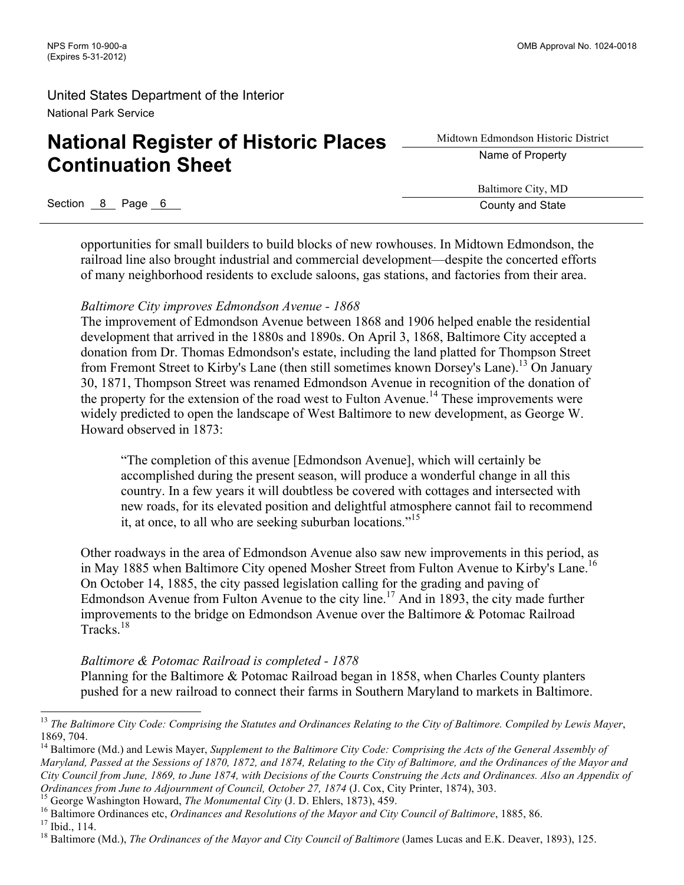# **National Register of Historic Places Continuation Sheet**

Midtown Edmondson Historic District Name of Property

Baltimore City, MD

Section 8 Page 6 County and State

opportunities for small builders to build blocks of new rowhouses. In Midtown Edmondson, the railroad line also brought industrial and commercial development—despite the concerted efforts of many neighborhood residents to exclude saloons, gas stations, and factories from their area.

### *Baltimore City improves Edmondson Avenue - 1868*

The improvement of Edmondson Avenue between 1868 and 1906 helped enable the residential development that arrived in the 1880s and 1890s. On April 3, 1868, Baltimore City accepted a donation from Dr. Thomas Edmondson's estate, including the land platted for Thompson Street from Fremont Street to Kirby's Lane (then still sometimes known Dorsey's Lane).<sup>13</sup> On January 30, 1871, Thompson Street was renamed Edmondson Avenue in recognition of the donation of the property for the extension of the road west to Fulton Avenue.<sup>14</sup> These improvements were widely predicted to open the landscape of West Baltimore to new development, as George W. Howard observed in 1873:

"The completion of this avenue [Edmondson Avenue], which will certainly be accomplished during the present season, will produce a wonderful change in all this country. In a few years it will doubtless be covered with cottages and intersected with new roads, for its elevated position and delightful atmosphere cannot fail to recommend it, at once, to all who are seeking suburban locations.<sup>"15</sup>

Other roadways in the area of Edmondson Avenue also saw new improvements in this period, as in May 1885 when Baltimore City opened Mosher Street from Fulton Avenue to Kirby's Lane.<sup>16</sup> On October 14, 1885, the city passed legislation calling for the grading and paving of Edmondson Avenue from Fulton Avenue to the city line.<sup>17</sup> And in 1893, the city made further improvements to the bridge on Edmondson Avenue over the Baltimore & Potomac Railroad Tracks.<sup>18</sup>

### *Baltimore & Potomac Railroad is completed - 1878*

Planning for the Baltimore & Potomac Railroad began in 1858, when Charles County planters pushed for a new railroad to connect their farms in Southern Maryland to markets in Baltimore.

<sup>&</sup>lt;sup>13</sup> The Baltimore City Code: Comprising the Statutes and Ordinances Relating to the City of Baltimore. Compiled by Lewis Mayer, 1869, 704.

<sup>&</sup>lt;sup>14</sup> Baltimore (Md.) and Lewis Mayer, *Supplement to the Baltimore City Code: Comprising the Acts of the General Assembly of Maryland, Passed at the Sessions of 1870, 1872, and 1874, Relating to the City of Baltimore, and the Ordinances of the Mayor and City Council from June, 1869, to June 1874, with Decisions of the Courts Construing the Acts and Ordinances. Also an Appendix of*  Ordinances from June to Adjournment of Council, October 27, 1874 (J. Cox, City Printer, 1874), 303.<br><sup>15</sup> George Washington Howard, *The Monumental City* (J. D. Ehlers, 1873), 459.<br><sup>16</sup> Baltimore Ordinances etc, *Ordinances*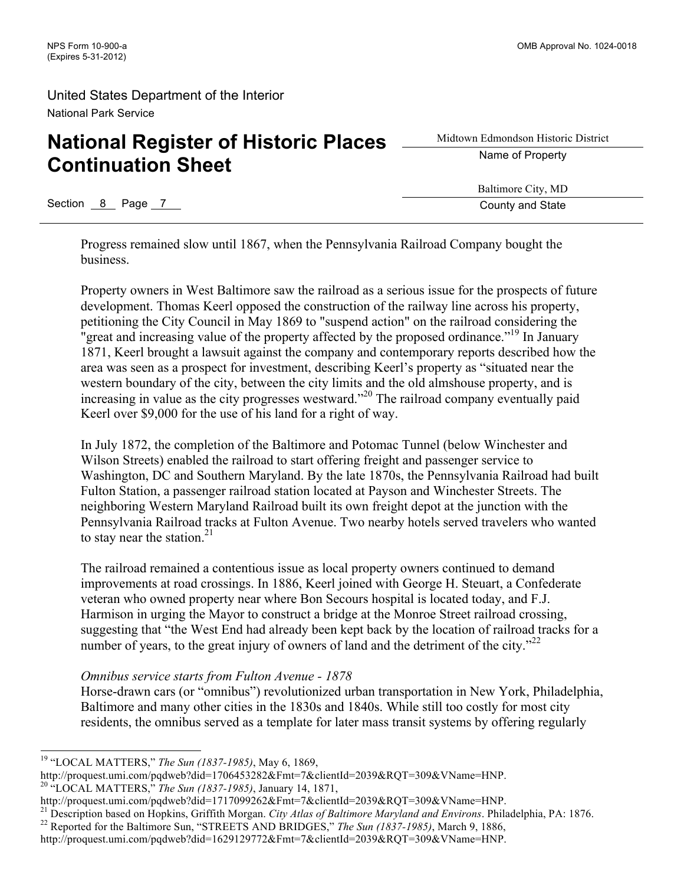# **National Register of Historic Places Continuation Sheet**

Section 8 Page 7 County and State

Midtown Edmondson Historic District Name of Property

Baltimore City, MD

Progress remained slow until 1867, when the Pennsylvania Railroad Company bought the business.

Property owners in West Baltimore saw the railroad as a serious issue for the prospects of future development. Thomas Keerl opposed the construction of the railway line across his property, petitioning the City Council in May 1869 to "suspend action" on the railroad considering the "great and increasing value of the property affected by the proposed ordinance."<sup>19</sup> In January 1871, Keerl brought a lawsuit against the company and contemporary reports described how the area was seen as a prospect for investment, describing Keerl's property as "situated near the western boundary of the city, between the city limits and the old almshouse property, and is increasing in value as the city progresses westward."20 The railroad company eventually paid Keerl over \$9,000 for the use of his land for a right of way.

In July 1872, the completion of the Baltimore and Potomac Tunnel (below Winchester and Wilson Streets) enabled the railroad to start offering freight and passenger service to Washington, DC and Southern Maryland. By the late 1870s, the Pennsylvania Railroad had built Fulton Station, a passenger railroad station located at Payson and Winchester Streets. The neighboring Western Maryland Railroad built its own freight depot at the junction with the Pennsylvania Railroad tracks at Fulton Avenue. Two nearby hotels served travelers who wanted to stay near the station. $21$ 

The railroad remained a contentious issue as local property owners continued to demand improvements at road crossings. In 1886, Keerl joined with George H. Steuart, a Confederate veteran who owned property near where Bon Secours hospital is located today, and F.J. Harmison in urging the Mayor to construct a bridge at the Monroe Street railroad crossing, suggesting that "the West End had already been kept back by the location of railroad tracks for a number of years, to the great injury of owners of land and the detriment of the city." $^{22}$ 

### *Omnibus service starts from Fulton Avenue - 1878*

Horse-drawn cars (or "omnibus") revolutionized urban transportation in New York, Philadelphia, Baltimore and many other cities in the 1830s and 1840s. While still too costly for most city residents, the omnibus served as a template for later mass transit systems by offering regularly

 <sup>19</sup> "LOCAL MATTERS," *The Sun (1837-1985)*, May 6, 1869,

http://proquest.umi.com/pqdweb?did=1706453282&Fmt=7&clientId=2039&RQT=309&VName=HNP. <sup>20</sup> "LOCAL MATTERS," *The Sun (1837-1985)*, January 14, 1871,

http://proquest.umi.com/pqdweb?did=1717099262&Fmt=7&clientId=2039&RQT=309&VName=HNP.

<sup>&</sup>lt;sup>21</sup> Description based on Hopkins, Griffith Morgan. City Atlas of Baltimore Maryland and Environs. Philadelphia, PA: 1876.<br><sup>22</sup> Reported for the Baltimore Sun, "STREETS AND BRIDGES," The Sun (1837-1985), March 9, 1886,

http://proquest.umi.com/pqdweb?did=1629129772&Fmt=7&clientId=2039&RQT=309&VName=HNP.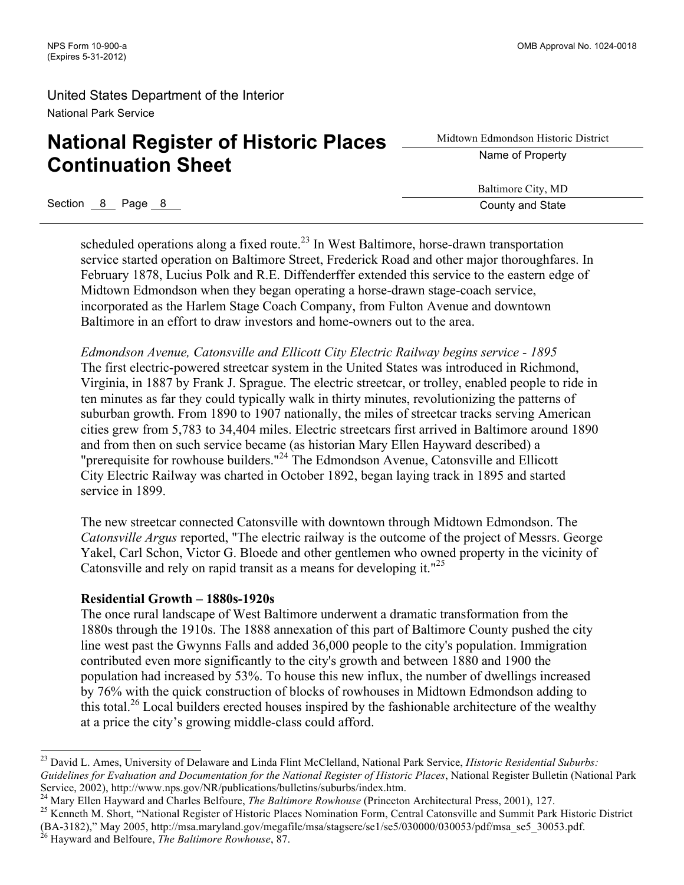# **National Register of Historic Places Continuation Sheet**

Midtown Edmondson Historic District Name of Property

Baltimore City, MD

Section 8 Page 8 County and State

scheduled operations along a fixed route.<sup>23</sup> In West Baltimore, horse-drawn transportation service started operation on Baltimore Street, Frederick Road and other major thoroughfares. In February 1878, Lucius Polk and R.E. Diffenderffer extended this service to the eastern edge of Midtown Edmondson when they began operating a horse-drawn stage-coach service, incorporated as the Harlem Stage Coach Company, from Fulton Avenue and downtown Baltimore in an effort to draw investors and home-owners out to the area.

*Edmondson Avenue, Catonsville and Ellicott City Electric Railway begins service - 1895* The first electric-powered streetcar system in the United States was introduced in Richmond, Virginia, in 1887 by Frank J. Sprague. The electric streetcar, or trolley, enabled people to ride in ten minutes as far they could typically walk in thirty minutes, revolutionizing the patterns of suburban growth. From 1890 to 1907 nationally, the miles of streetcar tracks serving American cities grew from 5,783 to 34,404 miles. Electric streetcars first arrived in Baltimore around 1890 and from then on such service became (as historian Mary Ellen Hayward described) a "prerequisite for rowhouse builders."<sup>24</sup> The Edmondson Avenue, Catonsville and Ellicott City Electric Railway was charted in October 1892, began laying track in 1895 and started service in 1899.

The new streetcar connected Catonsville with downtown through Midtown Edmondson. The *Catonsville Argus* reported, "The electric railway is the outcome of the project of Messrs. George Yakel, Carl Schon, Victor G. Bloede and other gentlemen who owned property in the vicinity of Catonsville and rely on rapid transit as a means for developing it."<sup>25</sup>

#### **Residential Growth – 1880s-1920s**

The once rural landscape of West Baltimore underwent a dramatic transformation from the 1880s through the 1910s. The 1888 annexation of this part of Baltimore County pushed the city line west past the Gwynns Falls and added 36,000 people to the city's population. Immigration contributed even more significantly to the city's growth and between 1880 and 1900 the population had increased by 53%. To house this new influx, the number of dwellings increased by 76% with the quick construction of blocks of rowhouses in Midtown Edmondson adding to this total.<sup>26</sup> Local builders erected houses inspired by the fashionable architecture of the wealthy at a price the city's growing middle-class could afford.

 <sup>23</sup> David L. Ames, University of Delaware and Linda Flint McClelland, National Park Service, *Historic Residential Suburbs: Guidelines for Evaluation and Documentation for the National Register of Historic Places*, National Register Bulletin (National Park Service, 2002), http://www.nps.gov/NR/publications/bulletins/suburbs/index.htm.<br><sup>24</sup> Mary Ellen Hayward and Charles Belfoure, *The Baltimore Rowhouse* (Princeton Architectural Press, 2001), 127.<br><sup>25</sup> Kenneth M. Short, "Nat

<sup>(</sup>BA-3182)," May 2005, http://msa.maryland.gov/megafile/msa/stagsere/se1/se5/030000/030053/pdf/msa\_se5\_30053.pdf. <sup>26</sup> Hayward and Belfoure, *The Baltimore Rowhouse*, 87.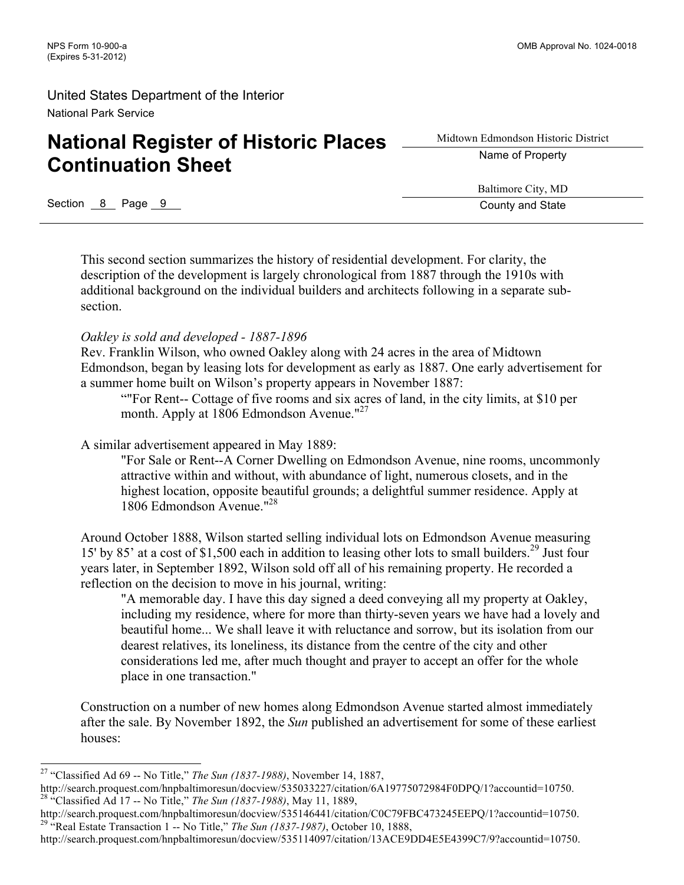# **National Register of Historic Places Continuation Sheet**

Midtown Edmondson Historic District Name of Property

Baltimore City, MD

Section 8 Page 9 County and State

This second section summarizes the history of residential development. For clarity, the description of the development is largely chronological from 1887 through the 1910s with additional background on the individual builders and architects following in a separate subsection.

### *Oakley is sold and developed - 1887-1896*

Rev. Franklin Wilson, who owned Oakley along with 24 acres in the area of Midtown Edmondson, began by leasing lots for development as early as 1887. One early advertisement for a summer home built on Wilson's property appears in November 1887:

""For Rent-- Cottage of five rooms and six acres of land, in the city limits, at \$10 per month. Apply at 1806 Edmondson Avenue."<sup>27</sup>

A similar advertisement appeared in May 1889:

"For Sale or Rent--A Corner Dwelling on Edmondson Avenue, nine rooms, uncommonly attractive within and without, with abundance of light, numerous closets, and in the highest location, opposite beautiful grounds; a delightful summer residence. Apply at 1806 Edmondson Avenue."28

Around October 1888, Wilson started selling individual lots on Edmondson Avenue measuring 15' by 85' at a cost of \$1,500 each in addition to leasing other lots to small builders.<sup>29</sup> Just four years later, in September 1892, Wilson sold off all of his remaining property. He recorded a reflection on the decision to move in his journal, writing:

"A memorable day. I have this day signed a deed conveying all my property at Oakley, including my residence, where for more than thirty-seven years we have had a lovely and beautiful home... We shall leave it with reluctance and sorrow, but its isolation from our dearest relatives, its loneliness, its distance from the centre of the city and other considerations led me, after much thought and prayer to accept an offer for the whole place in one transaction."

Construction on a number of new homes along Edmondson Avenue started almost immediately after the sale. By November 1892, the *Sun* published an advertisement for some of these earliest houses:

 <sup>27</sup> "Classified Ad 69 -- No Title," *The Sun (1837-1988)*, November 14, 1887,

http://search.proquest.com/hnpbaltimoresun/docview/535033227/citation/6A19775072984F0DPQ/1?accountid=10750. <sup>28</sup> "Classified Ad 17 -- No Title," *The Sun (1837-1988)*, May 11, 1889,

http://search.proquest.com/hnpbaltimoresun/docview/535146441/citation/C0C79FBC473245EEPQ/1?accountid=10750. <sup>29</sup> "Real Estate Transaction 1 -- No Title," *The Sun (1837-1987)*, October 10, 1888,

http://search.proquest.com/hnpbaltimoresun/docview/535114097/citation/13ACE9DD4E5E4399C7/9?accountid=10750.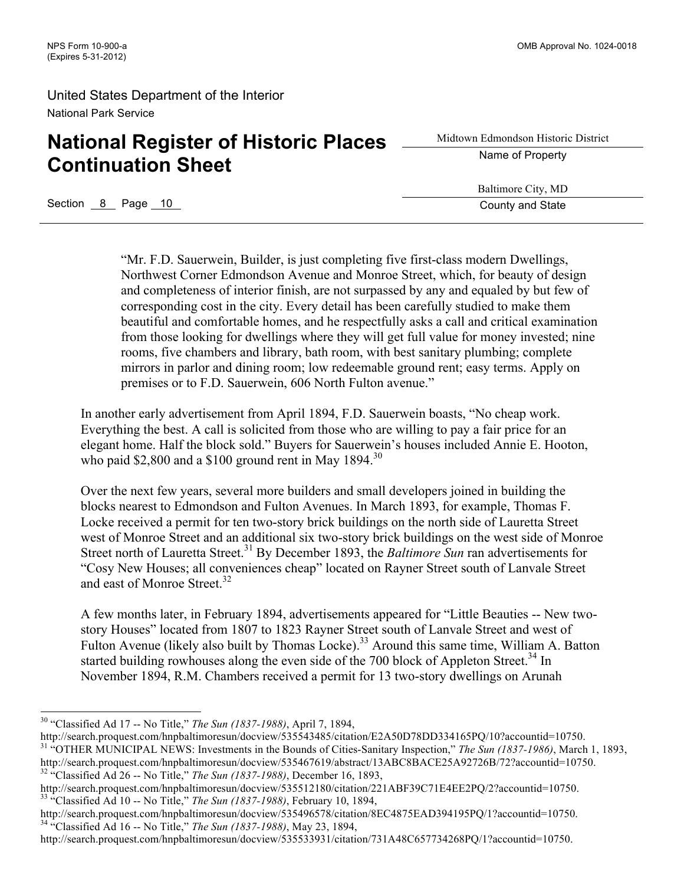# **National Register of Historic Places Continuation Sheet**

Midtown Edmondson Historic District Name of Property

Baltimore City, MD

Section 8 Page 10 County and State Research County and State

"Mr. F.D. Sauerwein, Builder, is just completing five first-class modern Dwellings, Northwest Corner Edmondson Avenue and Monroe Street, which, for beauty of design and completeness of interior finish, are not surpassed by any and equaled by but few of corresponding cost in the city. Every detail has been carefully studied to make them beautiful and comfortable homes, and he respectfully asks a call and critical examination from those looking for dwellings where they will get full value for money invested; nine rooms, five chambers and library, bath room, with best sanitary plumbing; complete mirrors in parlor and dining room; low redeemable ground rent; easy terms. Apply on premises or to F.D. Sauerwein, 606 North Fulton avenue."

In another early advertisement from April 1894, F.D. Sauerwein boasts, "No cheap work. Everything the best. A call is solicited from those who are willing to pay a fair price for an elegant home. Half the block sold." Buyers for Sauerwein's houses included Annie E. Hooton, who paid \$2,800 and a \$100 ground rent in May 1894.<sup>30</sup>

Over the next few years, several more builders and small developers joined in building the blocks nearest to Edmondson and Fulton Avenues. In March 1893, for example, Thomas F. Locke received a permit for ten two-story brick buildings on the north side of Lauretta Street west of Monroe Street and an additional six two-story brick buildings on the west side of Monroe Street north of Lauretta Street.<sup>31</sup> By December 1893, the *Baltimore Sun* ran advertisements for "Cosy New Houses; all conveniences cheap" located on Rayner Street south of Lanvale Street and east of Monroe Street.<sup>32</sup>

A few months later, in February 1894, advertisements appeared for "Little Beauties -- New twostory Houses" located from 1807 to 1823 Rayner Street south of Lanvale Street and west of Fulton Avenue (likely also built by Thomas Locke).<sup>33</sup> Around this same time, William A. Batton started building rowhouses along the even side of the 700 block of Appleton Street.<sup>34</sup> In November 1894, R.M. Chambers received a permit for 13 two-story dwellings on Arunah

 <sup>30</sup> "Classified Ad 17 -- No Title," *The Sun (1837-1988)*, April 7, 1894,

http://search.proquest.com/hnpbaltimoresun/docview/535543485/citation/E2A50D78DD334165PQ/10?accountid=10750.<br><sup>31</sup> "OTHER MUNICIPAL NEWS: Investments in the Bounds of Cities-Sanitary Inspection," The Sun (1837-1986), March http://search.proquest.com/hnpbaltimoresun/docview/535467619/abstract/13ABC8BACE25A92726B/72?accountid=10750. <sup>32</sup> "Classified Ad 26 -- No Title," *The Sun (1837-1988)*, December 16, 1893,

http://search.proquest.com/hnpbaltimoresun/docview/535512180/citation/221ABF39C71E4EE2PQ/2?accountid=10750. <sup>33</sup> "Classified Ad 10 -- No Title," *The Sun (1837-1988)*, February 10, 1894,

http://search.proquest.com/hnpbaltimoresun/docview/535496578/citation/8EC4875EAD394195PQ/1?accountid=10750. <sup>34</sup> "Classified Ad 16 -- No Title," *The Sun (1837-1988)*, May 23, 1894,

http://search.proquest.com/hnpbaltimoresun/docview/535533931/citation/731A48C657734268PQ/1?accountid=10750.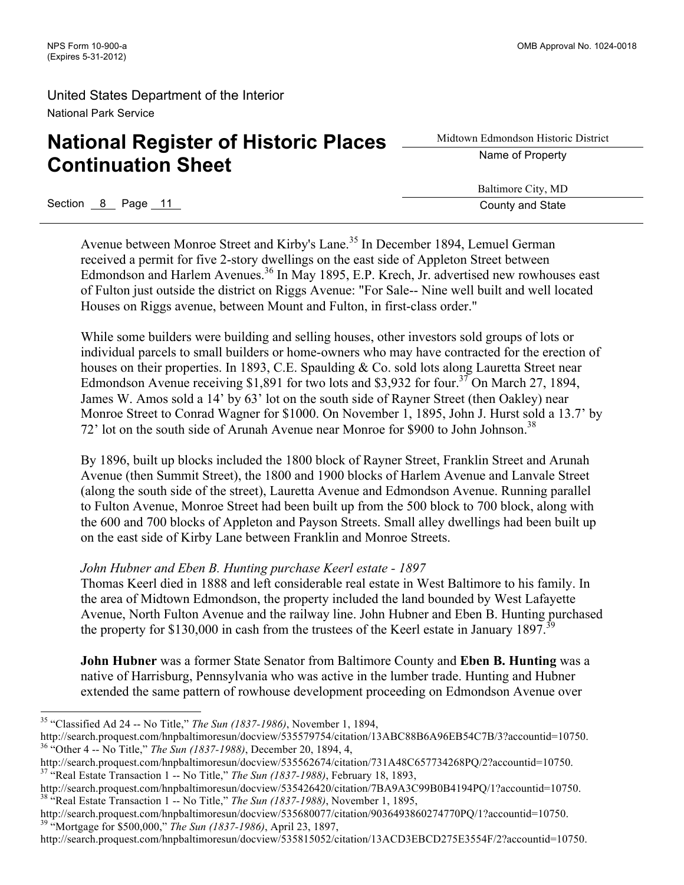# **National Register of Historic Places Continuation Sheet**

Midtown Edmondson Historic District Name of Property

Baltimore City, MD

Section 8 Page 11 County and State Section 8 Page 11 County and State

Avenue between Monroe Street and Kirby's Lane.<sup>35</sup> In December 1894, Lemuel German received a permit for five 2-story dwellings on the east side of Appleton Street between Edmondson and Harlem Avenues.<sup>36</sup> In May 1895, E.P. Krech, Jr. advertised new rowhouses east of Fulton just outside the district on Riggs Avenue: "For Sale-- Nine well built and well located Houses on Riggs avenue, between Mount and Fulton, in first-class order."

While some builders were building and selling houses, other investors sold groups of lots or individual parcels to small builders or home-owners who may have contracted for the erection of houses on their properties. In 1893, C.E. Spaulding & Co. sold lots along Lauretta Street near Edmondson Avenue receiving \$1,891 for two lots and \$3,932 for four.<sup>37</sup> On March 27, 1894, James W. Amos sold a 14' by 63' lot on the south side of Rayner Street (then Oakley) near Monroe Street to Conrad Wagner for \$1000. On November 1, 1895, John J. Hurst sold a 13.7' by 72' lot on the south side of Arunah Avenue near Monroe for \$900 to John Johnson. 38

By 1896, built up blocks included the 1800 block of Rayner Street, Franklin Street and Arunah Avenue (then Summit Street), the 1800 and 1900 blocks of Harlem Avenue and Lanvale Street (along the south side of the street), Lauretta Avenue and Edmondson Avenue. Running parallel to Fulton Avenue, Monroe Street had been built up from the 500 block to 700 block, along with the 600 and 700 blocks of Appleton and Payson Streets. Small alley dwellings had been built up on the east side of Kirby Lane between Franklin and Monroe Streets.

### *John Hubner and Eben B. Hunting purchase Keerl estate - 1897*

Thomas Keerl died in 1888 and left considerable real estate in West Baltimore to his family. In the area of Midtown Edmondson, the property included the land bounded by West Lafayette Avenue, North Fulton Avenue and the railway line. John Hubner and Eben B. Hunting purchased the property for \$130,000 in cash from the trustees of the Keerl estate in January 1897.<sup>3</sup>

**John Hubner** was a former State Senator from Baltimore County and **Eben B. Hunting** was a native of Harrisburg, Pennsylvania who was active in the lumber trade. Hunting and Hubner extended the same pattern of rowhouse development proceeding on Edmondson Avenue over

 <sup>35</sup> "Classified Ad 24 -- No Title," *The Sun (1837-1986)*, November 1, 1894,

http://search.proquest.com/hnpbaltimoresun/docview/535579754/citation/13ABC88B6A96EB54C7B/3?accountid=10750. <sup>36</sup> "Other 4 -- No Title," *The Sun (1837-1988)*, December 20, 1894, 4,

http://search.proquest.com/hnpbaltimoresun/docview/535562674/citation/731A48C657734268PQ/2?accountid=10750. <sup>37</sup> "Real Estate Transaction 1 -- No Title," *The Sun (1837-1988)*, February 18, 1893,

http://search.proquest.com/hnpbaltimoresun/docview/535426420/citation/7BA9A3C99B0B4194PQ/1?accountid=10750. <sup>38</sup> "Real Estate Transaction 1 -- No Title," *The Sun (1837-1988)*, November 1, 1895,

http://search.proquest.com/hnpbaltimoresun/docview/535680077/citation/9036493860274770PQ/1?accountid=10750. <sup>39</sup> "Mortgage for \$500,000," *The Sun (1837-1986)*, April 23, 1897,

http://search.proquest.com/hnpbaltimoresun/docview/535815052/citation/13ACD3EBCD275E3554F/2?accountid=10750.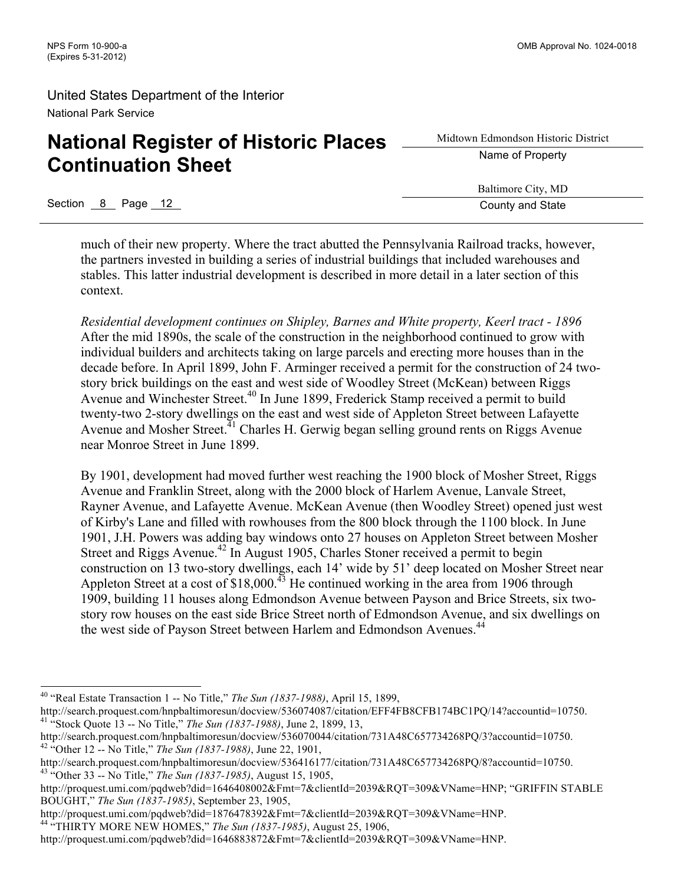# **National Register of Historic Places Continuation Sheet**

Midtown Edmondson Historic District Name of Property

Baltimore City, MD

Section 8 Page 12 County and State

much of their new property. Where the tract abutted the Pennsylvania Railroad tracks, however, the partners invested in building a series of industrial buildings that included warehouses and stables. This latter industrial development is described in more detail in a later section of this context.

*Residential development continues on Shipley, Barnes and White property, Keerl tract - 1896* After the mid 1890s, the scale of the construction in the neighborhood continued to grow with individual builders and architects taking on large parcels and erecting more houses than in the decade before. In April 1899, John F. Arminger received a permit for the construction of 24 twostory brick buildings on the east and west side of Woodley Street (McKean) between Riggs Avenue and Winchester Street.<sup>40</sup> In June 1899, Frederick Stamp received a permit to build twenty-two 2-story dwellings on the east and west side of Appleton Street between Lafayette Avenue and Mosher Street.<sup>41</sup> Charles H. Gerwig began selling ground rents on Riggs Avenue near Monroe Street in June 1899.

By 1901, development had moved further west reaching the 1900 block of Mosher Street, Riggs Avenue and Franklin Street, along with the 2000 block of Harlem Avenue, Lanvale Street, Rayner Avenue, and Lafayette Avenue. McKean Avenue (then Woodley Street) opened just west of Kirby's Lane and filled with rowhouses from the 800 block through the 1100 block. In June 1901, J.H. Powers was adding bay windows onto 27 houses on Appleton Street between Mosher Street and Riggs Avenue.<sup>42</sup> In August 1905, Charles Stoner received a permit to begin construction on 13 two-story dwellings, each 14' wide by 51' deep located on Mosher Street near Appleton Street at a cost of  $$18,000$ .<sup>43</sup> He continued working in the area from 1906 through 1909, building 11 houses along Edmondson Avenue between Payson and Brice Streets, six twostory row houses on the east side Brice Street north of Edmondson Avenue, and six dwellings on the west side of Payson Street between Harlem and Edmondson Avenues.<sup>44</sup>

 <sup>40</sup> "Real Estate Transaction 1 -- No Title," *The Sun (1837-1988)*, April 15, 1899,

http://search.proquest.com/hnpbaltimoresun/docview/536074087/citation/EFF4FB8CFB174BC1PQ/14?accountid=10750. <sup>41</sup> "Stock Quote 13 -- No Title," *The Sun (1837-1988)*, June 2, 1899, 13,

http://search.proquest.com/hnpbaltimoresun/docview/536070044/citation/731A48C657734268PQ/3?accountid=10750. <sup>42</sup> "Other 12 -- No Title," *The Sun (1837-1988)*, June 22, 1901,

http://search.proquest.com/hnpbaltimoresun/docview/536416177/citation/731A48C657734268PQ/8?accountid=10750. <sup>43</sup> "Other 33 -- No Title," *The Sun (1837-1985)*, August 15, 1905,

http://proquest.umi.com/pqdweb?did=1646408002&Fmt=7&clientId=2039&RQT=309&VName=HNP; "GRIFFIN STABLE BOUGHT," *The Sun (1837-1985)*, September 23, 1905,

http://proquest.umi.com/pqdweb?did=1876478392&Fmt=7&clientId=2039&RQT=309&VName=HNP.

<sup>44</sup> "THIRTY MORE NEW HOMES," *The Sun (1837-1985)*, August 25, 1906,

http://proquest.umi.com/pqdweb?did=1646883872&Fmt=7&clientId=2039&RQT=309&VName=HNP.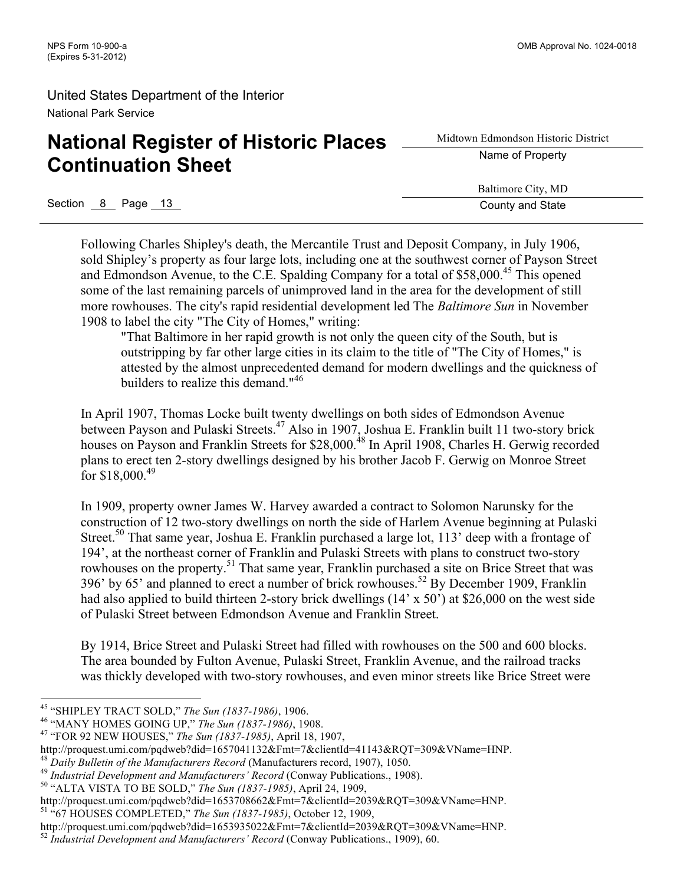# **National Register of Historic Places Continuation Sheet**

Midtown Edmondson Historic District Name of Property

Baltimore City, MD

Section 8 Page 13 County and State

Following Charles Shipley's death, the Mercantile Trust and Deposit Company, in July 1906, sold Shipley's property as four large lots, including one at the southwest corner of Payson Street and Edmondson Avenue, to the C.E. Spalding Company for a total of \$58,000.<sup>45</sup> This opened some of the last remaining parcels of unimproved land in the area for the development of still more rowhouses. The city's rapid residential development led The *Baltimore Sun* in November 1908 to label the city "The City of Homes," writing:

"That Baltimore in her rapid growth is not only the queen city of the South, but is outstripping by far other large cities in its claim to the title of "The City of Homes," is attested by the almost unprecedented demand for modern dwellings and the quickness of builders to realize this demand."<sup>46</sup>

In April 1907, Thomas Locke built twenty dwellings on both sides of Edmondson Avenue between Payson and Pulaski Streets.<sup>47</sup> Also in 1907, Joshua E. Franklin built 11 two-story brick houses on Payson and Franklin Streets for \$28,000.<sup>48</sup> In April 1908, Charles H. Gerwig recorded plans to erect ten 2-story dwellings designed by his brother Jacob F. Gerwig on Monroe Street for \$18,000.<sup>49</sup>

In 1909, property owner James W. Harvey awarded a contract to Solomon Narunsky for the construction of 12 two-story dwellings on north the side of Harlem Avenue beginning at Pulaski Street.<sup>50</sup> That same year, Joshua E. Franklin purchased a large lot, 113' deep with a frontage of 194', at the northeast corner of Franklin and Pulaski Streets with plans to construct two-story rowhouses on the property.<sup>51</sup> That same year, Franklin purchased a site on Brice Street that was 396' by 65' and planned to erect a number of brick rowhouses.<sup>52</sup> By December 1909, Franklin had also applied to build thirteen 2-story brick dwellings (14' x 50') at \$26,000 on the west side of Pulaski Street between Edmondson Avenue and Franklin Street.

By 1914, Brice Street and Pulaski Street had filled with rowhouses on the 500 and 600 blocks. The area bounded by Fulton Avenue, Pulaski Street, Franklin Avenue, and the railroad tracks was thickly developed with two-story rowhouses, and even minor streets like Brice Street were

<sup>45</sup> "SHIPLEY TRACT SOLD," *The Sun (1837-1986)*, 1906. <sup>46</sup> "MANY HOMES GOING UP," *The Sun (1837-1986)*, 1908. <sup>47</sup> "FOR 92 NEW HOUSES," *The Sun (1837-1985)*, April 18, 1907,

http://proquest.umi.com/pqdweb?did=1657041132&Fmt=7&clientId=41143&RQT=309&VName=HNP.<br><sup>48</sup> Daily Bulletin of the Manufacturers Record (Manufacturers record, 1907), 1050.<br><sup>49</sup> Industrial Development and Manufacturers' Recor

http://proquest.umi.com/pqdweb?did=1653708662&Fmt=7&clientId=2039&RQT=309&VName=HNP. <sup>51</sup> "67 HOUSES COMPLETED," *The Sun (1837-1985)*, October 12, 1909,

http://proquest.umi.com/pqdweb?did=1653935022&Fmt=7&clientId=2039&RQT=309&VName=HNP.

<sup>52</sup> *Industrial Development and Manufacturers' Record* (Conway Publications., 1909), 60.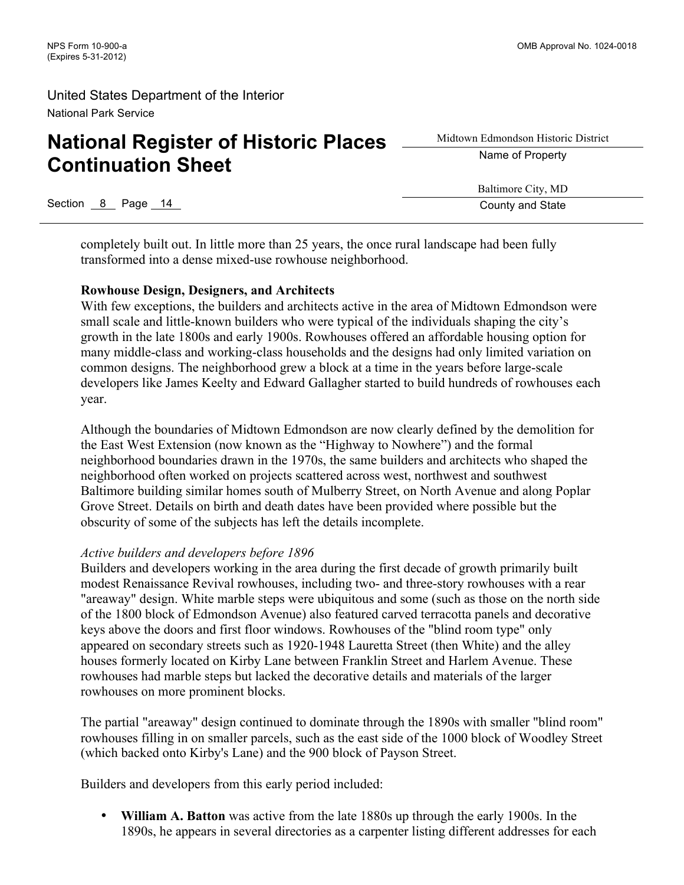# **National Register of Historic Places Continuation Sheet**

Midtown Edmondson Historic District Name of Property

Baltimore City, MD

Section 8 Page 14 County and State Section 8 Page 14 County and State

completely built out. In little more than 25 years, the once rural landscape had been fully transformed into a dense mixed-use rowhouse neighborhood.

#### **Rowhouse Design, Designers, and Architects**

With few exceptions, the builders and architects active in the area of Midtown Edmondson were small scale and little-known builders who were typical of the individuals shaping the city's growth in the late 1800s and early 1900s. Rowhouses offered an affordable housing option for many middle-class and working-class households and the designs had only limited variation on common designs. The neighborhood grew a block at a time in the years before large-scale developers like James Keelty and Edward Gallagher started to build hundreds of rowhouses each year.

Although the boundaries of Midtown Edmondson are now clearly defined by the demolition for the East West Extension (now known as the "Highway to Nowhere") and the formal neighborhood boundaries drawn in the 1970s, the same builders and architects who shaped the neighborhood often worked on projects scattered across west, northwest and southwest Baltimore building similar homes south of Mulberry Street, on North Avenue and along Poplar Grove Street. Details on birth and death dates have been provided where possible but the obscurity of some of the subjects has left the details incomplete.

#### *Active builders and developers before 1896*

Builders and developers working in the area during the first decade of growth primarily built modest Renaissance Revival rowhouses, including two- and three-story rowhouses with a rear "areaway" design. White marble steps were ubiquitous and some (such as those on the north side of the 1800 block of Edmondson Avenue) also featured carved terracotta panels and decorative keys above the doors and first floor windows. Rowhouses of the "blind room type" only appeared on secondary streets such as 1920-1948 Lauretta Street (then White) and the alley houses formerly located on Kirby Lane between Franklin Street and Harlem Avenue. These rowhouses had marble steps but lacked the decorative details and materials of the larger rowhouses on more prominent blocks.

The partial "areaway" design continued to dominate through the 1890s with smaller "blind room" rowhouses filling in on smaller parcels, such as the east side of the 1000 block of Woodley Street (which backed onto Kirby's Lane) and the 900 block of Payson Street.

Builders and developers from this early period included:

• **William A. Batton** was active from the late 1880s up through the early 1900s. In the 1890s, he appears in several directories as a carpenter listing different addresses for each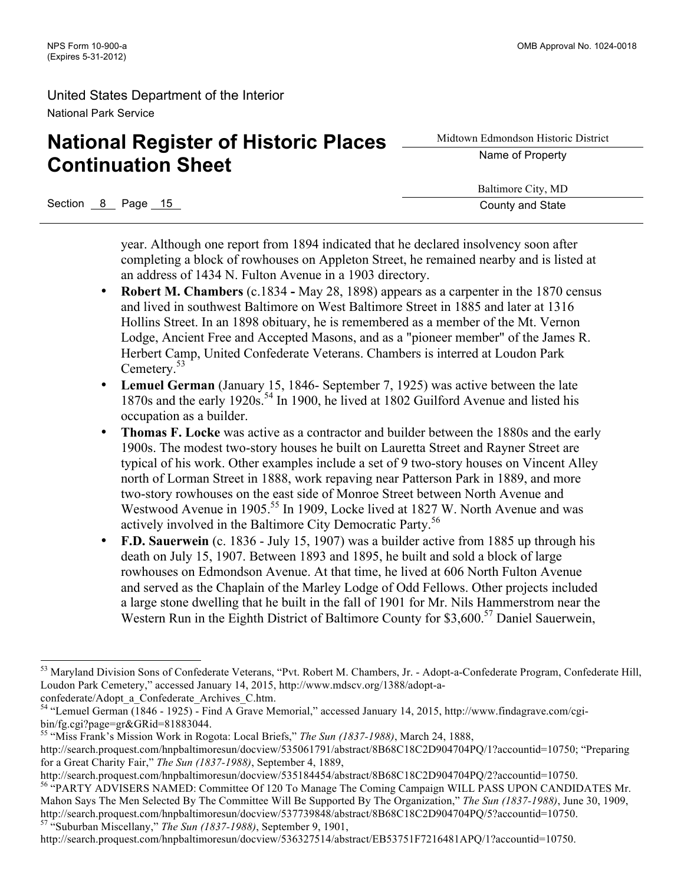# **National Register of Historic Places Continuation Sheet**

Midtown Edmondson Historic District Name of Property

Baltimore City, MD

Section 8 Page 15 County and State

year. Although one report from 1894 indicated that he declared insolvency soon after completing a block of rowhouses on Appleton Street, he remained nearby and is listed at an address of 1434 N. Fulton Avenue in a 1903 directory.

- **Robert M. Chambers** (c.1834 **-** May 28, 1898) appears as a carpenter in the 1870 census and lived in southwest Baltimore on West Baltimore Street in 1885 and later at 1316 Hollins Street. In an 1898 obituary, he is remembered as a member of the Mt. Vernon Lodge, Ancient Free and Accepted Masons, and as a "pioneer member" of the James R. Herbert Camp, United Confederate Veterans. Chambers is interred at Loudon Park Cemetery.<sup>53</sup>
- **Lemuel German** (January 15, 1846- September 7, 1925) was active between the late 1870s and the early 1920s.<sup>54</sup> In 1900, he lived at 1802 Guilford Avenue and listed his occupation as a builder.
- **Thomas F. Locke** was active as a contractor and builder between the 1880s and the early 1900s. The modest two-story houses he built on Lauretta Street and Rayner Street are typical of his work. Other examples include a set of 9 two-story houses on Vincent Alley north of Lorman Street in 1888, work repaving near Patterson Park in 1889, and more two-story rowhouses on the east side of Monroe Street between North Avenue and Westwood Avenue in 1905.<sup>55</sup> In 1909, Locke lived at 1827 W. North Avenue and was actively involved in the Baltimore City Democratic Party.<sup>56</sup>
- **F.D. Sauerwein** (c. 1836 July 15, 1907) was a builder active from 1885 up through his death on July 15, 1907. Between 1893 and 1895, he built and sold a block of large rowhouses on Edmondson Avenue. At that time, he lived at 606 North Fulton Avenue and served as the Chaplain of the Marley Lodge of Odd Fellows. Other projects included a large stone dwelling that he built in the fall of 1901 for Mr. Nils Hammerstrom near the Western Run in the Eighth District of Baltimore County for \$3,600. <sup>57</sup> Daniel Sauerwein,

<sup>53</sup> Maryland Division Sons of Confederate Veterans, "Pvt. Robert M. Chambers, Jr. - Adopt-a-Confederate Program, Confederate Hill, Loudon Park Cemetery," accessed January 14, 2015, http://www.mdscv.org/1388/adopt-aconfederate/Adopt\_a\_Confederate\_Archives\_C.htm.

<sup>54</sup> "Lemuel German (1846 - 1925) - Find A Grave Memorial," accessed January 14, 2015, http://www.findagrave.com/cgibin/fg.cgi?page=gr&GRid=81883044.

<sup>55</sup> "Miss Frank's Mission Work in Rogota: Local Briefs," *The Sun (1837-1988)*, March 24, 1888,

http://search.proquest.com/hnpbaltimoresun/docview/535061791/abstract/8B68C18C2D904704PQ/1?accountid=10750; "Preparing for a Great Charity Fair," *The Sun (1837-1988)*, September 4, 1889,

http://search.proquest.com/hnpbaltimoresun/docview/535184454/abstract/8B68C18C2D904704PQ/2?accountid=10750. <sup>56</sup> "PARTY ADVISERS NAMED: Committee Of 120 To Manage The Coming Campaign WILL PASS UPON CANDIDATES Mr. Mahon Says The Men Selected By The Committee Will Be Supported By The Organization," *The Sun (1837-1988)*, June 30, 1909, http://search.proquest.com/hnpbaltimoresun/docview/537739848/abstract/8B68C18C2D904704PQ/5?accountid=10750. <sup>57</sup> "Suburban Miscellany," *The Sun (1837-1988)*, September 9, 1901,

http://search.proquest.com/hnpbaltimoresun/docview/536327514/abstract/EB53751F7216481APQ/1?accountid=10750.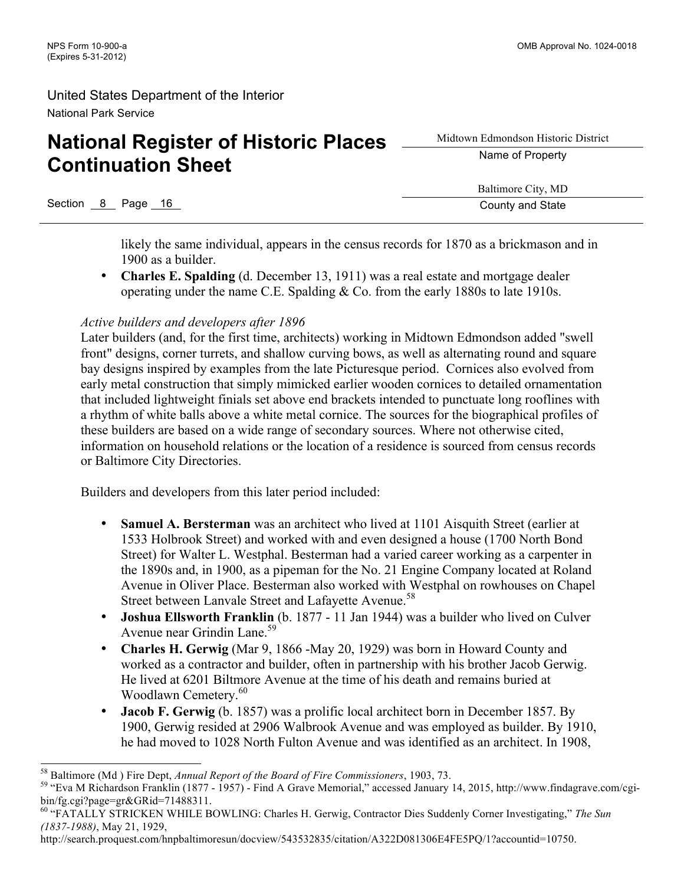# **National Register of Historic Places Continuation Sheet**

Midtown Edmondson Historic District Name of Property

Baltimore City, MD

Section 8 Page 16 County and State County and State County and State

likely the same individual, appears in the census records for 1870 as a brickmason and in 1900 as a builder.

• **Charles E. Spalding** (d. December 13, 1911) was a real estate and mortgage dealer operating under the name C.E. Spalding & Co. from the early 1880s to late 1910s.

### *Active builders and developers after 1896*

Later builders (and, for the first time, architects) working in Midtown Edmondson added "swell front" designs, corner turrets, and shallow curving bows, as well as alternating round and square bay designs inspired by examples from the late Picturesque period. Cornices also evolved from early metal construction that simply mimicked earlier wooden cornices to detailed ornamentation that included lightweight finials set above end brackets intended to punctuate long rooflines with a rhythm of white balls above a white metal cornice. The sources for the biographical profiles of these builders are based on a wide range of secondary sources. Where not otherwise cited, information on household relations or the location of a residence is sourced from census records or Baltimore City Directories.

Builders and developers from this later period included:

- **Samuel A. Bersterman** was an architect who lived at 1101 Aisquith Street (earlier at 1533 Holbrook Street) and worked with and even designed a house (1700 North Bond Street) for Walter L. Westphal. Besterman had a varied career working as a carpenter in the 1890s and, in 1900, as a pipeman for the No. 21 Engine Company located at Roland Avenue in Oliver Place. Besterman also worked with Westphal on rowhouses on Chapel Street between Lanvale Street and Lafayette Avenue.<sup>58</sup>
- **Joshua Ellsworth Franklin** (b. 1877 11 Jan 1944) was a builder who lived on Culver Avenue near Grindin Lane.<sup>59</sup>
- **Charles H. Gerwig** (Mar 9, 1866 -May 20, 1929) was born in Howard County and worked as a contractor and builder, often in partnership with his brother Jacob Gerwig. He lived at 6201 Biltmore Avenue at the time of his death and remains buried at Woodlawn Cemetery. 60
- **Jacob F. Gerwig** (b. 1857) was a prolific local architect born in December 1857. By 1900, Gerwig resided at 2906 Walbrook Avenue and was employed as builder. By 1910, he had moved to 1028 North Fulton Avenue and was identified as an architect. In 1908,

http://search.proquest.com/hnpbaltimoresun/docview/543532835/citation/A322D081306E4FE5PQ/1?accountid=10750.

<sup>&</sup>lt;sup>58</sup> Baltimore (Md ) Fire Dept, *Annual Report of the Board of Fire Commissioners*, 1903, 73.<br><sup>59</sup> "Eva M Richardson Franklin (1877 - 1957) - Find A Grave Memorial," accessed January 14, 2015, http://www.findagrave.com/cgi bin/fg.cgi?page=gr&GRid=71488311.

<sup>60</sup> "FATALLY STRICKEN WHILE BOWLING: Charles H. Gerwig, Contractor Dies Suddenly Corner Investigating," *The Sun (1837-1988)*, May 21, 1929,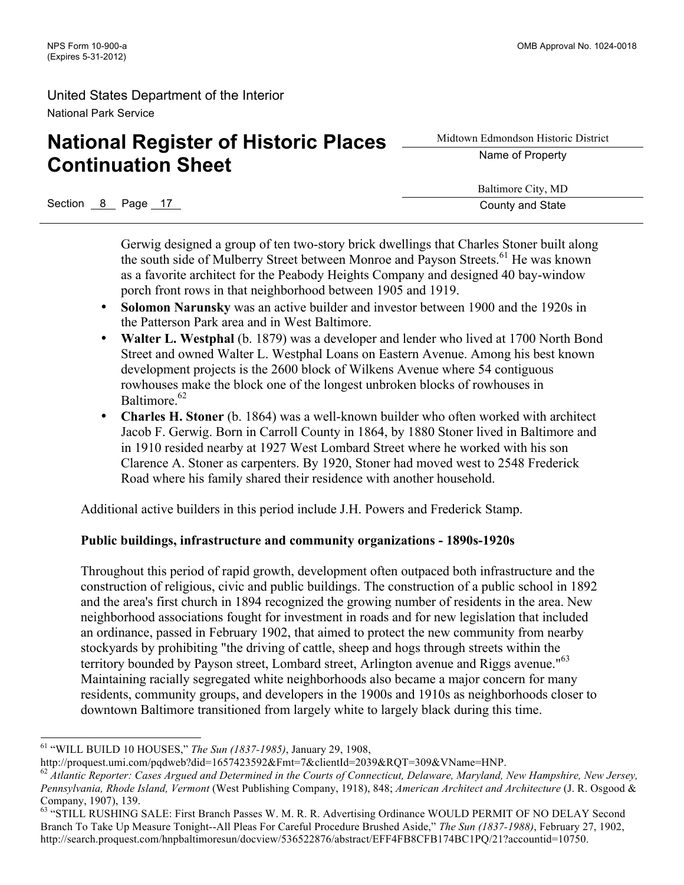# **National Register of Historic Places Continuation Sheet**

Midtown Edmondson Historic District Name of Property

Baltimore City, MD

Section 8 Page 17 County and State Section 8 Page 17 County and State

Gerwig designed a group of ten two-story brick dwellings that Charles Stoner built along the south side of Mulberry Street between Monroe and Payson Streets.<sup>61</sup> He was known as a favorite architect for the Peabody Heights Company and designed 40 bay-window porch front rows in that neighborhood between 1905 and 1919.

- **Solomon Narunsky** was an active builder and investor between 1900 and the 1920s in the Patterson Park area and in West Baltimore.
- **Walter L. Westphal** (b. 1879) was a developer and lender who lived at 1700 North Bond Street and owned Walter L. Westphal Loans on Eastern Avenue. Among his best known development projects is the 2600 block of Wilkens Avenue where 54 contiguous rowhouses make the block one of the longest unbroken blocks of rowhouses in Baltimore.<sup>62</sup>
- **Charles H. Stoner** (b. 1864) was a well-known builder who often worked with architect Jacob F. Gerwig. Born in Carroll County in 1864, by 1880 Stoner lived in Baltimore and in 1910 resided nearby at 1927 West Lombard Street where he worked with his son Clarence A. Stoner as carpenters. By 1920, Stoner had moved west to 2548 Frederick Road where his family shared their residence with another household.

Additional active builders in this period include J.H. Powers and Frederick Stamp.

### **Public buildings, infrastructure and community organizations - 1890s-1920s**

Throughout this period of rapid growth, development often outpaced both infrastructure and the construction of religious, civic and public buildings. The construction of a public school in 1892 and the area's first church in 1894 recognized the growing number of residents in the area. New neighborhood associations fought for investment in roads and for new legislation that included an ordinance, passed in February 1902, that aimed to protect the new community from nearby stockyards by prohibiting "the driving of cattle, sheep and hogs through streets within the territory bounded by Payson street, Lombard street, Arlington avenue and Riggs avenue."<sup>63</sup> Maintaining racially segregated white neighborhoods also became a major concern for many residents, community groups, and developers in the 1900s and 1910s as neighborhoods closer to downtown Baltimore transitioned from largely white to largely black during this time.

 <sup>61</sup> "WILL BUILD 10 HOUSES," *The Sun (1837-1985)*, January 29, 1908,

http://proquest.umi.com/pqdweb?did=1657423592&Fmt=7&clientId=2039&RQT=309&VName=HNP.

<sup>62</sup> *Atlantic Reporter: Cases Argued and Determined in the Courts of Connecticut, Delaware, Maryland, New Hampshire, New Jersey, Pennsylvania, Rhode Island, Vermont* (West Publishing Company, 1918), 848; *American Architect and Architecture* (J. R. Osgood & Company, 1907), 139.

<sup>&</sup>lt;sup>63</sup> "STILL RUSHING SALE: First Branch Passes W. M. R. R. Advertising Ordinance WOULD PERMIT OF NO DELAY Second Branch To Take Up Measure Tonight--All Pleas For Careful Procedure Brushed Aside," *The Sun (1837-1988)*, February 27, 1902, http://search.proquest.com/hnpbaltimoresun/docview/536522876/abstract/EFF4FB8CFB174BC1PQ/21?accountid=10750.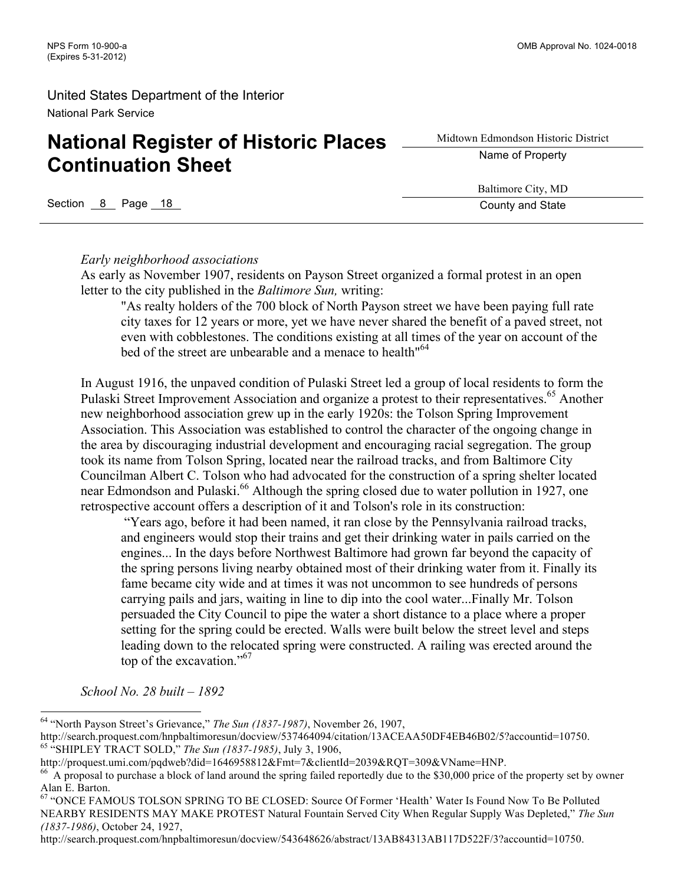# **National Register of Historic Places Continuation Sheet**

Midtown Edmondson Historic District Name of Property

Section 8 Page 18 County and State

Baltimore City, MD

#### *Early neighborhood associations*

As early as November 1907, residents on Payson Street organized a formal protest in an open letter to the city published in the *Baltimore Sun,* writing:

"As realty holders of the 700 block of North Payson street we have been paying full rate city taxes for 12 years or more, yet we have never shared the benefit of a paved street, not even with cobblestones. The conditions existing at all times of the year on account of the bed of the street are unbearable and a menace to health<sup>"64</sup>

In August 1916, the unpaved condition of Pulaski Street led a group of local residents to form the Pulaski Street Improvement Association and organize a protest to their representatives.<sup>65</sup> Another new neighborhood association grew up in the early 1920s: the Tolson Spring Improvement Association. This Association was established to control the character of the ongoing change in the area by discouraging industrial development and encouraging racial segregation. The group took its name from Tolson Spring, located near the railroad tracks, and from Baltimore City Councilman Albert C. Tolson who had advocated for the construction of a spring shelter located near Edmondson and Pulaski.<sup>66</sup> Although the spring closed due to water pollution in 1927, one retrospective account offers a description of it and Tolson's role in its construction:

"Years ago, before it had been named, it ran close by the Pennsylvania railroad tracks, and engineers would stop their trains and get their drinking water in pails carried on the engines... In the days before Northwest Baltimore had grown far beyond the capacity of the spring persons living nearby obtained most of their drinking water from it. Finally its fame became city wide and at times it was not uncommon to see hundreds of persons carrying pails and jars, waiting in line to dip into the cool water...Finally Mr. Tolson persuaded the City Council to pipe the water a short distance to a place where a proper setting for the spring could be erected. Walls were built below the street level and steps leading down to the relocated spring were constructed. A railing was erected around the top of the excavation."67

*School No. 28 built – 1892*

http://search.proquest.com/hnpbaltimoresun/docview/543648626/abstract/13AB84313AB117D522F/3?accountid=10750.

 <sup>64</sup> "North Payson Street's Grievance," *The Sun (1837-1987)*, November 26, 1907,

http://search.proquest.com/hnpbaltimoresun/docview/537464094/citation/13ACEAA50DF4EB46B02/5?accountid=10750. <sup>65</sup> "SHIPLEY TRACT SOLD," *The Sun (1837-1985)*, July 3, 1906,

http://proquest.umi.com/pqdweb?did=1646958812&Fmt=7&clientId=2039&RQT=309&VName=HNP.

<sup>&</sup>lt;sup>66</sup> A proposal to purchase a block of land around the spring failed reportedly due to the \$30,000 price of the property set by owner Alan E. Barton.

<sup>67</sup> "ONCE FAMOUS TOLSON SPRING TO BE CLOSED: Source Of Former 'Health' Water Is Found Now To Be Polluted NEARBY RESIDENTS MAY MAKE PROTEST Natural Fountain Served City When Regular Supply Was Depleted," *The Sun (1837-1986)*, October 24, 1927,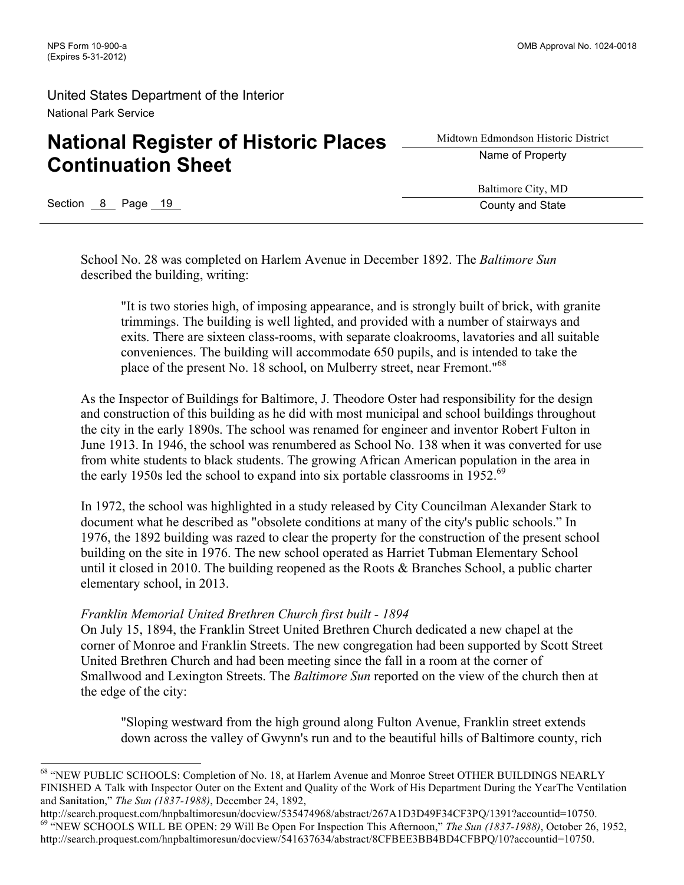# **National Register of Historic Places Continuation Sheet**

Midtown Edmondson Historic District Name of Property

Section 8 Page 19 County and State Research County and State

Baltimore City, MD

School No. 28 was completed on Harlem Avenue in December 1892. The *Baltimore Sun* described the building, writing:

"It is two stories high, of imposing appearance, and is strongly built of brick, with granite trimmings. The building is well lighted, and provided with a number of stairways and exits. There are sixteen class-rooms, with separate cloakrooms, lavatories and all suitable conveniences. The building will accommodate 650 pupils, and is intended to take the place of the present No. 18 school, on Mulberry street, near Fremont."<sup>68</sup>

As the Inspector of Buildings for Baltimore, J. Theodore Oster had responsibility for the design and construction of this building as he did with most municipal and school buildings throughout the city in the early 1890s. The school was renamed for engineer and inventor Robert Fulton in June 1913. In 1946, the school was renumbered as School No. 138 when it was converted for use from white students to black students. The growing African American population in the area in the early 1950s led the school to expand into six portable classrooms in 1952.<sup>69</sup>

In 1972, the school was highlighted in a study released by City Councilman Alexander Stark to document what he described as "obsolete conditions at many of the city's public schools." In 1976, the 1892 building was razed to clear the property for the construction of the present school building on the site in 1976. The new school operated as Harriet Tubman Elementary School until it closed in 2010. The building reopened as the Roots & Branches School, a public charter elementary school, in 2013.

### *Franklin Memorial United Brethren Church first built - 1894*

On July 15, 1894, the Franklin Street United Brethren Church dedicated a new chapel at the corner of Monroe and Franklin Streets. The new congregation had been supported by Scott Street United Brethren Church and had been meeting since the fall in a room at the corner of Smallwood and Lexington Streets. The *Baltimore Sun* reported on the view of the church then at the edge of the city:

"Sloping westward from the high ground along Fulton Avenue, Franklin street extends down across the valley of Gwynn's run and to the beautiful hills of Baltimore county, rich

 <sup>68</sup> "NEW PUBLIC SCHOOLS: Completion of No. 18, at Harlem Avenue and Monroe Street OTHER BUILDINGS NEARLY FINISHED A Talk with Inspector Outer on the Extent and Quality of the Work of His Department During the YearThe Ventilation and Sanitation," *The Sun (1837-1988)*, December 24, 1892,

http://search.proquest.com/hnpbaltimoresun/docview/535474968/abstract/267A1D3D49F34CF3PQ/1391?accountid=10750.<br><sup>69</sup> "NEW SCHOOLS WILL BE OPEN: 29 Will Be Open For Inspection This Afternoon," The Sun (1837-1988), October 26 http://search.proquest.com/hnpbaltimoresun/docview/541637634/abstract/8CFBEE3BB4BD4CFBPQ/10?accountid=10750.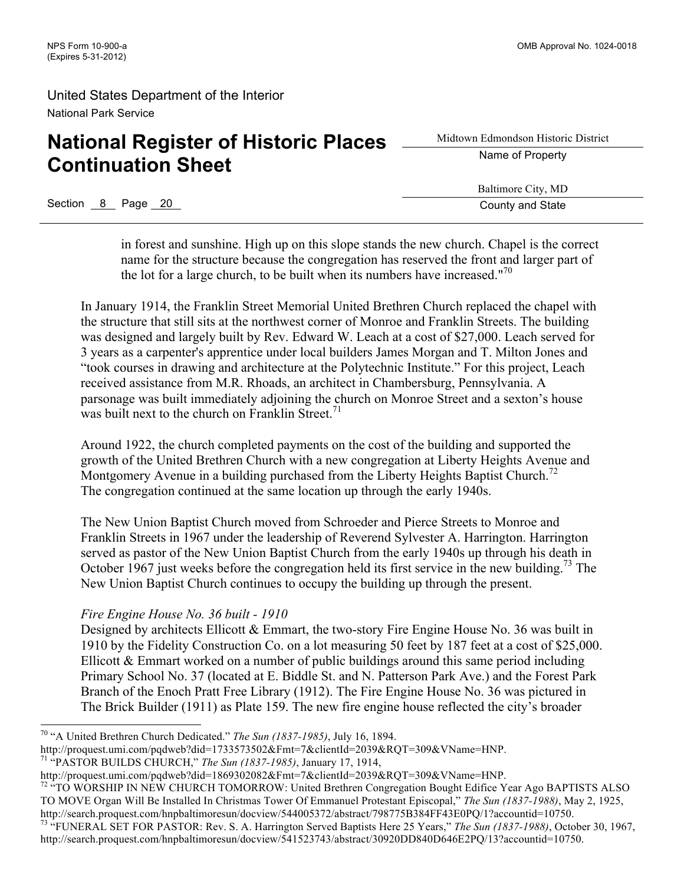# **National Register of Historic Places Continuation Sheet**

Midtown Edmondson Historic District Name of Property

Baltimore City, MD

Section 8 Page 20 County and State

in forest and sunshine. High up on this slope stands the new church. Chapel is the correct name for the structure because the congregation has reserved the front and larger part of the lot for a large church, to be built when its numbers have increased."<sup>70</sup>

In January 1914, the Franklin Street Memorial United Brethren Church replaced the chapel with the structure that still sits at the northwest corner of Monroe and Franklin Streets. The building was designed and largely built by Rev. Edward W. Leach at a cost of \$27,000. Leach served for 3 years as a carpenter's apprentice under local builders James Morgan and T. Milton Jones and "took courses in drawing and architecture at the Polytechnic Institute." For this project, Leach received assistance from M.R. Rhoads, an architect in Chambersburg, Pennsylvania. A parsonage was built immediately adjoining the church on Monroe Street and a sexton's house was built next to the church on Franklin Street.<sup>71</sup>

Around 1922, the church completed payments on the cost of the building and supported the growth of the United Brethren Church with a new congregation at Liberty Heights Avenue and Montgomery Avenue in a building purchased from the Liberty Heights Baptist Church.<sup>72</sup> The congregation continued at the same location up through the early 1940s.

The New Union Baptist Church moved from Schroeder and Pierce Streets to Monroe and Franklin Streets in 1967 under the leadership of Reverend Sylvester A. Harrington. Harrington served as pastor of the New Union Baptist Church from the early 1940s up through his death in October 1967 just weeks before the congregation held its first service in the new building.<sup>73</sup> The New Union Baptist Church continues to occupy the building up through the present.

### *Fire Engine House No. 36 built - 1910*

Designed by architects Ellicott & Emmart, the two-story Fire Engine House No. 36 was built in 1910 by the Fidelity Construction Co. on a lot measuring 50 feet by 187 feet at a cost of \$25,000. Ellicott & Emmart worked on a number of public buildings around this same period including Primary School No. 37 (located at E. Biddle St. and N. Patterson Park Ave.) and the Forest Park Branch of the Enoch Pratt Free Library (1912). The Fire Engine House No. 36 was pictured in The Brick Builder (1911) as Plate 159. The new fire engine house reflected the city's broader

<sup>72 "</sup>TO WORSHIP IN NEW CHURCH TOMORROW: United Brethren Congregation Bought Edifice Year Ago BAPTISTS ALSO TO MOVE Organ Will Be Installed In Christmas Tower Of Emmanuel Protestant Episcopal," *The Sun (1837-1988)*, May 2, 1925, http://search.proquest.com/hnpbaltimoresun/docview/544005372/abstract/798775B384FF43E0PQ/1?accountid=10750.

 <sup>70</sup> "A United Brethren Church Dedicated." *The Sun (1837-1985)*, July 16, 1894.

http://proquest.umi.com/pqdweb?did=1733573502&Fmt=7&clientId=2039&RQT=309&VName=HNP. <sup>71</sup> "PASTOR BUILDS CHURCH," *The Sun (1837-1985)*, January 17, 1914,

http://proquest.umi.com/pqdweb?did=1869302082&Fmt=7&clientId=2039&RQT=309&VName=HNP.

<sup>73</sup> "FUNERAL SET FOR PASTOR: Rev. S. A. Harrington Served Baptists Here 25 Years," *The Sun (1837-1988)*, October 30, 1967, http://search.proquest.com/hnpbaltimoresun/docview/541523743/abstract/30920DD840D646E2PQ/13?accountid=10750.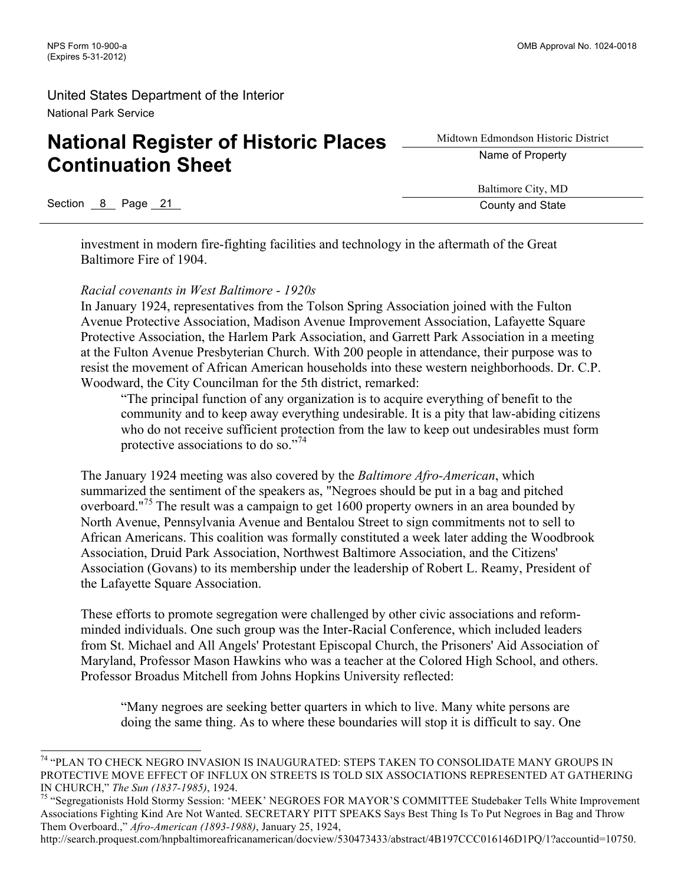# **National Register of Historic Places Continuation Sheet**

Midtown Edmondson Historic District Name of Property

Baltimore City, MD

Section 8 Page 21 County and State

investment in modern fire-fighting facilities and technology in the aftermath of the Great Baltimore Fire of 1904.

### *Racial covenants in West Baltimore - 1920s*

In January 1924, representatives from the Tolson Spring Association joined with the Fulton Avenue Protective Association, Madison Avenue Improvement Association, Lafayette Square Protective Association, the Harlem Park Association, and Garrett Park Association in a meeting at the Fulton Avenue Presbyterian Church. With 200 people in attendance, their purpose was to resist the movement of African American households into these western neighborhoods. Dr. C.P. Woodward, the City Councilman for the 5th district, remarked:

"The principal function of any organization is to acquire everything of benefit to the community and to keep away everything undesirable. It is a pity that law-abiding citizens who do not receive sufficient protection from the law to keep out undesirables must form protective associations to do so."<sup>74</sup>

The January 1924 meeting was also covered by the *Baltimore Afro-American*, which summarized the sentiment of the speakers as, "Negroes should be put in a bag and pitched overboard."<sup>75</sup> The result was a campaign to get 1600 property owners in an area bounded by North Avenue, Pennsylvania Avenue and Bentalou Street to sign commitments not to sell to African Americans. This coalition was formally constituted a week later adding the Woodbrook Association, Druid Park Association, Northwest Baltimore Association, and the Citizens' Association (Govans) to its membership under the leadership of Robert L. Reamy, President of the Lafayette Square Association.

These efforts to promote segregation were challenged by other civic associations and reformminded individuals. One such group was the Inter-Racial Conference, which included leaders from St. Michael and All Angels' Protestant Episcopal Church, the Prisoners' Aid Association of Maryland, Professor Mason Hawkins who was a teacher at the Colored High School, and others. Professor Broadus Mitchell from Johns Hopkins University reflected:

"Many negroes are seeking better quarters in which to live. Many white persons are doing the same thing. As to where these boundaries will stop it is difficult to say. One

http://search.proquest.com/hnpbaltimoreafricanamerican/docview/530473433/abstract/4B197CCC016146D1PQ/1?accountid=10750.

 <sup>74</sup> "PLAN TO CHECK NEGRO INVASION IS INAUGURATED: STEPS TAKEN TO CONSOLIDATE MANY GROUPS IN PROTECTIVE MOVE EFFECT OF INFLUX ON STREETS IS TOLD SIX ASSOCIATIONS REPRESENTED AT GATHERING IN CHURCH," *The Sun (1837-1985)*, 1924.<br><sup>75</sup> "Segregationists Hold Stormy Session: 'MEEK' NEGROES FOR MAYOR'S COMMITTEE Studebaker Tells White Improvement

Associations Fighting Kind Are Not Wanted. SECRETARY PITT SPEAKS Says Best Thing Is To Put Negroes in Bag and Throw Them Overboard.," *Afro-American (1893-1988)*, January 25, 1924,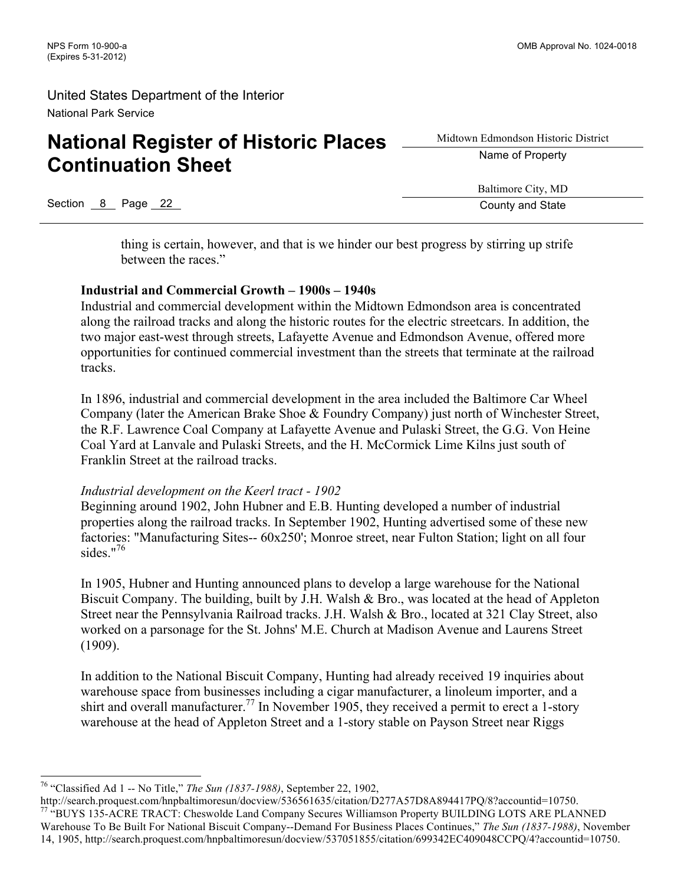# **National Register of Historic Places Continuation Sheet**

Midtown Edmondson Historic District Name of Property

Baltimore City, MD

Section 8 Page 22 County and State

thing is certain, however, and that is we hinder our best progress by stirring up strife

between the races."

### **Industrial and Commercial Growth – 1900s – 1940s**

Industrial and commercial development within the Midtown Edmondson area is concentrated along the railroad tracks and along the historic routes for the electric streetcars. In addition, the two major east-west through streets, Lafayette Avenue and Edmondson Avenue, offered more opportunities for continued commercial investment than the streets that terminate at the railroad tracks.

In 1896, industrial and commercial development in the area included the Baltimore Car Wheel Company (later the American Brake Shoe & Foundry Company) just north of Winchester Street, the R.F. Lawrence Coal Company at Lafayette Avenue and Pulaski Street, the G.G. Von Heine Coal Yard at Lanvale and Pulaski Streets, and the H. McCormick Lime Kilns just south of Franklin Street at the railroad tracks.

### *Industrial development on the Keerl tract - 1902*

Beginning around 1902, John Hubner and E.B. Hunting developed a number of industrial properties along the railroad tracks. In September 1902, Hunting advertised some of these new factories: "Manufacturing Sites-- 60x250'; Monroe street, near Fulton Station; light on all four sides." $76$ 

In 1905, Hubner and Hunting announced plans to develop a large warehouse for the National Biscuit Company. The building, built by J.H. Walsh & Bro., was located at the head of Appleton Street near the Pennsylvania Railroad tracks. J.H. Walsh & Bro., located at 321 Clay Street, also worked on a parsonage for the St. Johns' M.E. Church at Madison Avenue and Laurens Street (1909).

In addition to the National Biscuit Company, Hunting had already received 19 inquiries about warehouse space from businesses including a cigar manufacturer, a linoleum importer, and a shirt and overall manufacturer.<sup>77</sup> In November 1905, they received a permit to erect a 1-story warehouse at the head of Appleton Street and a 1-story stable on Payson Street near Riggs

 <sup>76</sup> "Classified Ad 1 -- No Title," *The Sun (1837-1988)*, September 22, 1902,

http://search.proquest.com/hnpbaltimoresun/docview/536561635/citation/D277A57D8A894417PQ/8?accountid=10750.<br><sup>77</sup> "BUYS 135-ACRE TRACT: Cheswolde Land Company Secures Williamson Property BUILDING LOTS ARE PLANNED Warehouse To Be Built For National Biscuit Company--Demand For Business Places Continues," *The Sun (1837-1988)*, November 14, 1905, http://search.proquest.com/hnpbaltimoresun/docview/537051855/citation/699342EC409048CCPQ/4?accountid=10750.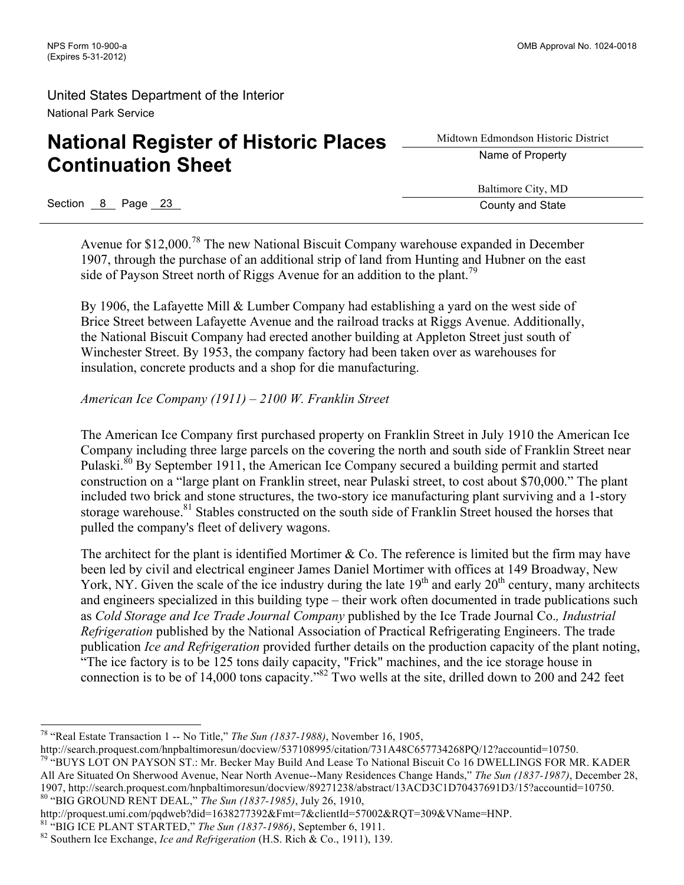# **National Register of Historic Places Continuation Sheet**

Midtown Edmondson Historic District Name of Property

Baltimore City, MD

Section 8 Page 23 County and State

Avenue for \$12,000.<sup>78</sup> The new National Biscuit Company warehouse expanded in December 1907, through the purchase of an additional strip of land from Hunting and Hubner on the east side of Payson Street north of Riggs Avenue for an addition to the plant.<sup>79</sup>

By 1906, the Lafayette Mill & Lumber Company had establishing a yard on the west side of Brice Street between Lafayette Avenue and the railroad tracks at Riggs Avenue. Additionally, the National Biscuit Company had erected another building at Appleton Street just south of Winchester Street. By 1953, the company factory had been taken over as warehouses for insulation, concrete products and a shop for die manufacturing.

*American Ice Company (1911) – 2100 W. Franklin Street*

The American Ice Company first purchased property on Franklin Street in July 1910 the American Ice Company including three large parcels on the covering the north and south side of Franklin Street near Pulaski.<sup>80</sup> By September 1911, the American Ice Company secured a building permit and started construction on a "large plant on Franklin street, near Pulaski street, to cost about \$70,000." The plant included two brick and stone structures, the two-story ice manufacturing plant surviving and a 1-story storage warehouse.<sup>81</sup> Stables constructed on the south side of Franklin Street housed the horses that pulled the company's fleet of delivery wagons.

The architect for the plant is identified Mortimer & Co. The reference is limited but the firm may have been led by civil and electrical engineer James Daniel Mortimer with offices at 149 Broadway, New York, NY. Given the scale of the ice industry during the late  $19<sup>th</sup>$  and early  $20<sup>th</sup>$  century, many architects and engineers specialized in this building type – their work often documented in trade publications such as *Cold Storage and Ice Trade Journal Company* published by the Ice Trade Journal Co.*, Industrial Refrigeration* published by the National Association of Practical Refrigerating Engineers. The trade publication *Ice and Refrigeration* provided further details on the production capacity of the plant noting, "The ice factory is to be 125 tons daily capacity, "Frick" machines, and the ice storage house in connection is to be of 14,000 tons capacity."82 Two wells at the site, drilled down to 200 and 242 feet

 <sup>78</sup> "Real Estate Transaction 1 -- No Title," *The Sun (1837-1988)*, November 16, 1905,

http://search.proquest.com/hnpbaltimoresun/docview/537108995/citation/731A48C657734268PQ/12?accountid=10750.

<sup>&</sup>lt;sup>79 a</sup>BUYS LOT ON PAYSON ST.: Mr. Becker May Build And Lease To National Biscuit Co 16 DWELLINGS FOR MR. KADER All Are Situated On Sherwood Avenue, Near North Avenue--Many Residences Change Hands," *The Sun (1837-1987)*, December 28, 1907, http://search.proquest.com/hnpbaltimoresun/docview/89271238/abstract/13ACD3C1D70437691D3/15?accountid=10750.<br><sup>80</sup> "BIG GROUND RENT DEAL," *The Sun (1837-1985)*, July 26, 1910,<br>http://proquest.umi.com/pqdweb?did=16382

<sup>&</sup>lt;sup>81</sup> "BIG ICE PLANT STARTED," *The Sun (1837-1986)*, September 6, 1911.<br><sup>82</sup> Southern Ice Exchange, *Ice and Refrigeration* (H.S. Rich & Co., 1911), 139.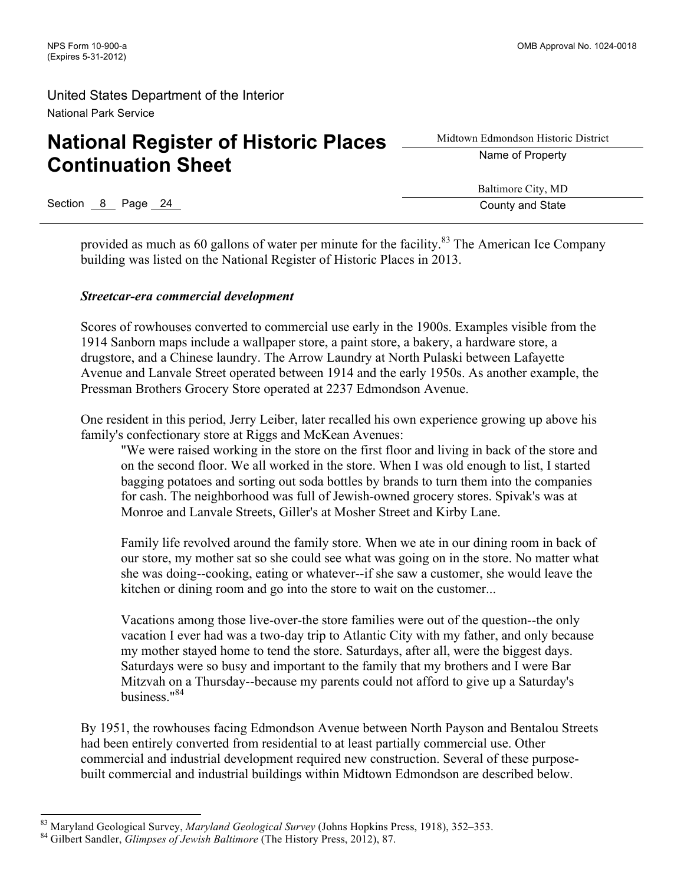# **National Register of Historic Places Continuation Sheet**

Midtown Edmondson Historic District Name of Property

Baltimore City, MD

Section 8 Page 24 County and State County and State

provided as much as 60 gallons of water per minute for the facility.<sup>83</sup> The American Ice Company building was listed on the National Register of Historic Places in 2013.

#### *Streetcar-era commercial development*

Scores of rowhouses converted to commercial use early in the 1900s. Examples visible from the 1914 Sanborn maps include a wallpaper store, a paint store, a bakery, a hardware store, a drugstore, and a Chinese laundry. The Arrow Laundry at North Pulaski between Lafayette Avenue and Lanvale Street operated between 1914 and the early 1950s. As another example, the Pressman Brothers Grocery Store operated at 2237 Edmondson Avenue.

One resident in this period, Jerry Leiber, later recalled his own experience growing up above his family's confectionary store at Riggs and McKean Avenues:

"We were raised working in the store on the first floor and living in back of the store and on the second floor. We all worked in the store. When I was old enough to list, I started bagging potatoes and sorting out soda bottles by brands to turn them into the companies for cash. The neighborhood was full of Jewish-owned grocery stores. Spivak's was at Monroe and Lanvale Streets, Giller's at Mosher Street and Kirby Lane.

Family life revolved around the family store. When we ate in our dining room in back of our store, my mother sat so she could see what was going on in the store. No matter what she was doing--cooking, eating or whatever--if she saw a customer, she would leave the kitchen or dining room and go into the store to wait on the customer...

Vacations among those live-over-the store families were out of the question--the only vacation I ever had was a two-day trip to Atlantic City with my father, and only because my mother stayed home to tend the store. Saturdays, after all, were the biggest days. Saturdays were so busy and important to the family that my brothers and I were Bar Mitzvah on a Thursday--because my parents could not afford to give up a Saturday's business."84

By 1951, the rowhouses facing Edmondson Avenue between North Payson and Bentalou Streets had been entirely converted from residential to at least partially commercial use. Other commercial and industrial development required new construction. Several of these purposebuilt commercial and industrial buildings within Midtown Edmondson are described below.

<sup>83</sup> Maryland Geological Survey, *Maryland Geological Survey* (Johns Hopkins Press, 1918), 352–353. <sup>84</sup> Gilbert Sandler, *Glimpses of Jewish Baltimore* (The History Press, 2012), 87.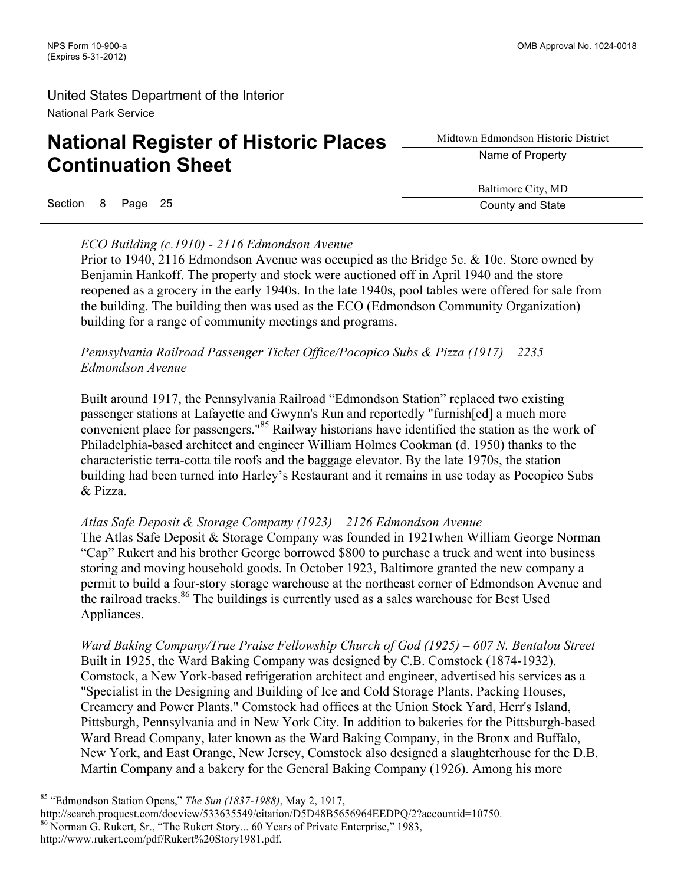# **National Register of Historic Places Continuation Sheet**

Midtown Edmondson Historic District Name of Property

Section 8 Page 25 County and State County and State County and State

Baltimore City, MD

### *ECO Building (c.1910) - 2116 Edmondson Avenue*

Prior to 1940, 2116 Edmondson Avenue was occupied as the Bridge 5c. & 10c. Store owned by Benjamin Hankoff. The property and stock were auctioned off in April 1940 and the store reopened as a grocery in the early 1940s. In the late 1940s, pool tables were offered for sale from the building. The building then was used as the ECO (Edmondson Community Organization) building for a range of community meetings and programs.

### *Pennsylvania Railroad Passenger Ticket Office/Pocopico Subs & Pizza (1917) – 2235 Edmondson Avenue*

Built around 1917, the Pennsylvania Railroad "Edmondson Station" replaced two existing passenger stations at Lafayette and Gwynn's Run and reportedly "furnish[ed] a much more convenient place for passengers."<sup>85</sup> Railway historians have identified the station as the work of Philadelphia-based architect and engineer William Holmes Cookman (d. 1950) thanks to the characteristic terra-cotta tile roofs and the baggage elevator. By the late 1970s, the station building had been turned into Harley's Restaurant and it remains in use today as Pocopico Subs & Pizza.

### *Atlas Safe Deposit & Storage Company (1923) – 2126 Edmondson Avenue*

The Atlas Safe Deposit & Storage Company was founded in 1921when William George Norman "Cap" Rukert and his brother George borrowed \$800 to purchase a truck and went into business storing and moving household goods. In October 1923, Baltimore granted the new company a permit to build a four-story storage warehouse at the northeast corner of Edmondson Avenue and the railroad tracks.<sup>86</sup> The buildings is currently used as a sales warehouse for Best Used Appliances.

*Ward Baking Company/True Praise Fellowship Church of God (1925) – 607 N. Bentalou Street* Built in 1925, the Ward Baking Company was designed by C.B. Comstock (1874-1932). Comstock, a New York-based refrigeration architect and engineer, advertised his services as a "Specialist in the Designing and Building of Ice and Cold Storage Plants, Packing Houses, Creamery and Power Plants." Comstock had offices at the Union Stock Yard, Herr's Island, Pittsburgh, Pennsylvania and in New York City. In addition to bakeries for the Pittsburgh-based Ward Bread Company, later known as the Ward Baking Company, in the Bronx and Buffalo, New York, and East Orange, New Jersey, Comstock also designed a slaughterhouse for the D.B. Martin Company and a bakery for the General Baking Company (1926). Among his more

 <sup>85</sup> "Edmondson Station Opens," *The Sun (1837-1988)*, May 2, 1917,

http://search.proquest.com/docview/533635549/citation/D5D48B5656964EEDPQ/2?accountid=10750.<br><sup>86</sup> Norman G. Rukert, Sr., "The Rukert Story... 60 Years of Private Enterprise," 1983, http://www.rukert.com/pdf/Rukert%20Story1981.pdf.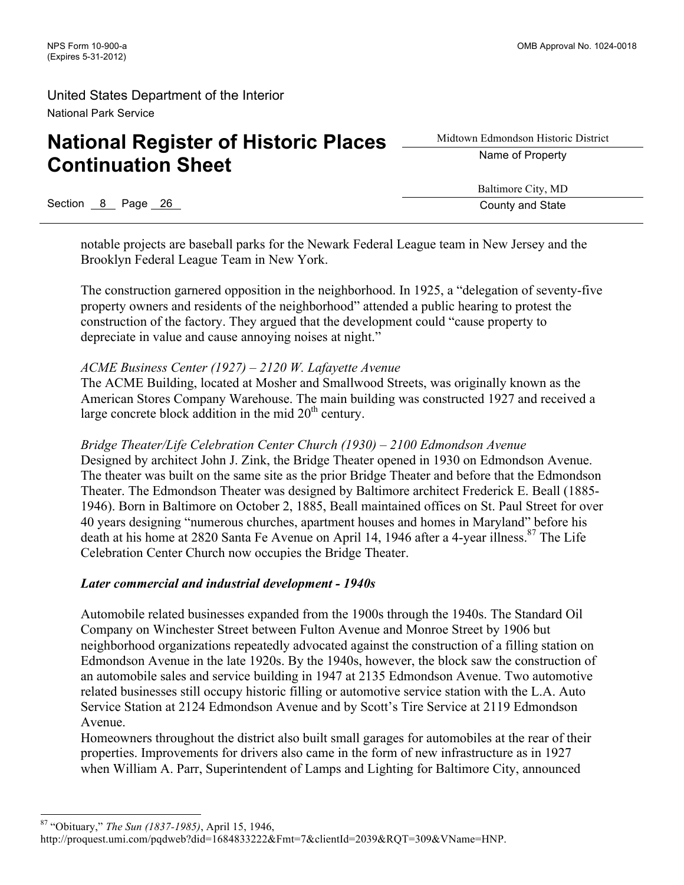# **National Register of Historic Places Continuation Sheet**

Midtown Edmondson Historic District Name of Property

Section 8 Page 26 County and State

Baltimore City, MD

notable projects are baseball parks for the Newark Federal League team in New Jersey and the Brooklyn Federal League Team in New York.

The construction garnered opposition in the neighborhood. In 1925, a "delegation of seventy-five property owners and residents of the neighborhood" attended a public hearing to protest the construction of the factory. They argued that the development could "cause property to depreciate in value and cause annoying noises at night."

### *ACME Business Center (1927) – 2120 W. Lafayette Avenue*

The ACME Building, located at Mosher and Smallwood Streets, was originally known as the American Stores Company Warehouse. The main building was constructed 1927 and received a large concrete block addition in the mid  $20<sup>th</sup>$  century.

*Bridge Theater/Life Celebration Center Church (1930) – 2100 Edmondson Avenue*  Designed by architect John J. Zink, the Bridge Theater opened in 1930 on Edmondson Avenue. The theater was built on the same site as the prior Bridge Theater and before that the Edmondson Theater. The Edmondson Theater was designed by Baltimore architect Frederick E. Beall (1885- 1946). Born in Baltimore on October 2, 1885, Beall maintained offices on St. Paul Street for over 40 years designing "numerous churches, apartment houses and homes in Maryland" before his death at his home at 2820 Santa Fe Avenue on April 14, 1946 after a 4-year illness.<sup>87</sup> The Life Celebration Center Church now occupies the Bridge Theater.

### *Later commercial and industrial development - 1940s*

Automobile related businesses expanded from the 1900s through the 1940s. The Standard Oil Company on Winchester Street between Fulton Avenue and Monroe Street by 1906 but neighborhood organizations repeatedly advocated against the construction of a filling station on Edmondson Avenue in the late 1920s. By the 1940s, however, the block saw the construction of an automobile sales and service building in 1947 at 2135 Edmondson Avenue. Two automotive related businesses still occupy historic filling or automotive service station with the L.A. Auto Service Station at 2124 Edmondson Avenue and by Scott's Tire Service at 2119 Edmondson Avenue.

Homeowners throughout the district also built small garages for automobiles at the rear of their properties. Improvements for drivers also came in the form of new infrastructure as in 1927 when William A. Parr, Superintendent of Lamps and Lighting for Baltimore City, announced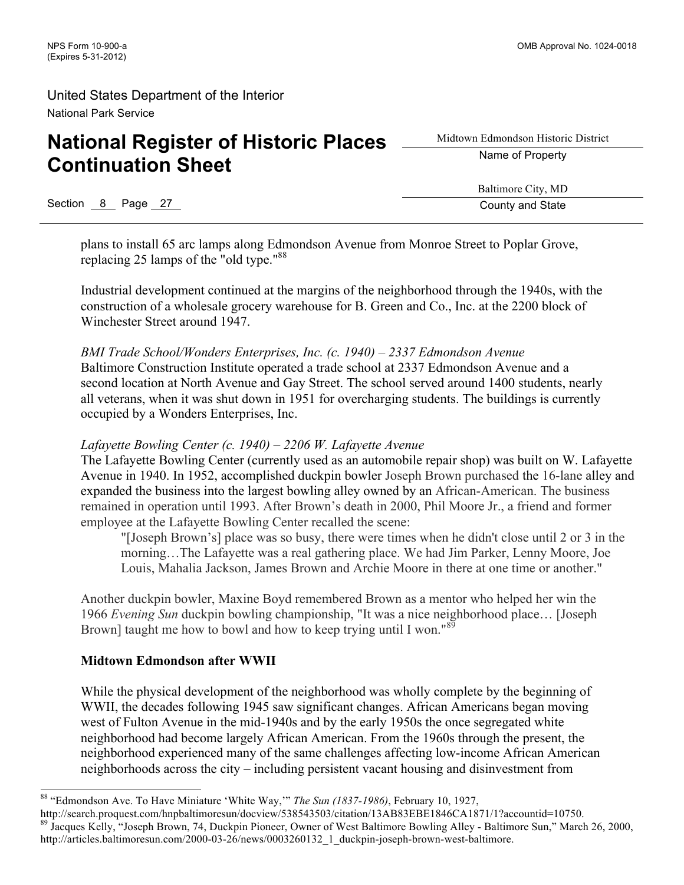# **National Register of Historic Places Continuation Sheet**

Midtown Edmondson Historic District Name of Property

Section 8 Page 27 County and State Section 8 Page 27

Baltimore City, MD

plans to install 65 arc lamps along Edmondson Avenue from Monroe Street to Poplar Grove, replacing 25 lamps of the "old type."88

Industrial development continued at the margins of the neighborhood through the 1940s, with the construction of a wholesale grocery warehouse for B. Green and Co., Inc. at the 2200 block of Winchester Street around 1947.

*BMI Trade School/Wonders Enterprises, Inc. (c. 1940) – 2337 Edmondson Avenue* Baltimore Construction Institute operated a trade school at 2337 Edmondson Avenue and a second location at North Avenue and Gay Street. The school served around 1400 students, nearly all veterans, when it was shut down in 1951 for overcharging students. The buildings is currently occupied by a Wonders Enterprises, Inc.

### *Lafayette Bowling Center (c. 1940) – 2206 W. Lafayette Avenue*

The Lafayette Bowling Center (currently used as an automobile repair shop) was built on W. Lafayette Avenue in 1940. In 1952, accomplished duckpin bowler Joseph Brown purchased the 16-lane alley and expanded the business into the largest bowling alley owned by an African-American. The business remained in operation until 1993. After Brown's death in 2000, Phil Moore Jr., a friend and former employee at the Lafayette Bowling Center recalled the scene:

"[Joseph Brown's] place was so busy, there were times when he didn't close until 2 or 3 in the morning…The Lafayette was a real gathering place. We had Jim Parker, Lenny Moore, Joe Louis, Mahalia Jackson, James Brown and Archie Moore in there at one time or another."

Another duckpin bowler, Maxine Boyd remembered Brown as a mentor who helped her win the 1966 *Evening Sun* duckpin bowling championship, "It was a nice neighborhood place… [Joseph Brown] taught me how to bowl and how to keep trying until I won."<sup>89</sup>

### **Midtown Edmondson after WWII**

While the physical development of the neighborhood was wholly complete by the beginning of WWII, the decades following 1945 saw significant changes. African Americans began moving west of Fulton Avenue in the mid-1940s and by the early 1950s the once segregated white neighborhood had become largely African American. From the 1960s through the present, the neighborhood experienced many of the same challenges affecting low-income African American neighborhoods across the city – including persistent vacant housing and disinvestment from

 <sup>88</sup> "Edmondson Ave. To Have Miniature 'White Way,'" *The Sun (1837-1986)*, February 10, 1927,

http://search.proquest.com/hnpbaltimoresun/docview/538543503/citation/13AB83EBE1846CA1871/1?accountid=10750.<br><sup>89</sup> Jacques Kelly, "Joseph Brown, 74, Duckpin Pioneer, Owner of West Baltimore Bowling Alley - Baltimore Sun," M http://articles.baltimoresun.com/2000-03-26/news/0003260132\_1\_duckpin-joseph-brown-west-baltimore.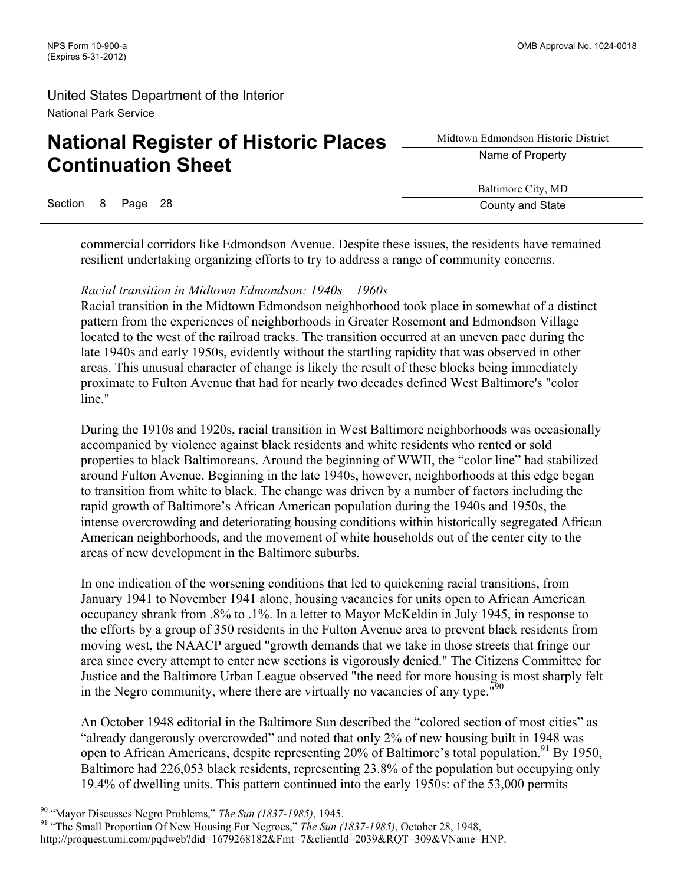# **National Register of Historic Places Continuation Sheet**

Midtown Edmondson Historic District Name of Property

Baltimore City, MD

Section 8 Page 28 County and State

commercial corridors like Edmondson Avenue. Despite these issues, the residents have remained resilient undertaking organizing efforts to try to address a range of community concerns.

# *Racial transition in Midtown Edmondson: 1940s – 1960s*

Racial transition in the Midtown Edmondson neighborhood took place in somewhat of a distinct pattern from the experiences of neighborhoods in Greater Rosemont and Edmondson Village located to the west of the railroad tracks. The transition occurred at an uneven pace during the late 1940s and early 1950s, evidently without the startling rapidity that was observed in other areas. This unusual character of change is likely the result of these blocks being immediately proximate to Fulton Avenue that had for nearly two decades defined West Baltimore's "color line."

During the 1910s and 1920s, racial transition in West Baltimore neighborhoods was occasionally accompanied by violence against black residents and white residents who rented or sold properties to black Baltimoreans. Around the beginning of WWII, the "color line" had stabilized around Fulton Avenue. Beginning in the late 1940s, however, neighborhoods at this edge began to transition from white to black. The change was driven by a number of factors including the rapid growth of Baltimore's African American population during the 1940s and 1950s, the intense overcrowding and deteriorating housing conditions within historically segregated African American neighborhoods, and the movement of white households out of the center city to the areas of new development in the Baltimore suburbs.

In one indication of the worsening conditions that led to quickening racial transitions, from January 1941 to November 1941 alone, housing vacancies for units open to African American occupancy shrank from .8% to .1%. In a letter to Mayor McKeldin in July 1945, in response to the efforts by a group of 350 residents in the Fulton Avenue area to prevent black residents from moving west, the NAACP argued "growth demands that we take in those streets that fringe our area since every attempt to enter new sections is vigorously denied." The Citizens Committee for Justice and the Baltimore Urban League observed "the need for more housing is most sharply felt in the Negro community, where there are virtually no vacancies of any type.<sup>"90</sup>

An October 1948 editorial in the Baltimore Sun described the "colored section of most cities" as "already dangerously overcrowded" and noted that only 2% of new housing built in 1948 was open to African Americans, despite representing  $20\%$  of Baltimore's total population.<sup>91</sup> By 1950, Baltimore had 226,053 black residents, representing 23.8% of the population but occupying only 19.4% of dwelling units. This pattern continued into the early 1950s: of the 53,000 permits

<sup>&</sup>lt;sup>90</sup> "Mayor Discusses Negro Problems," *The Sun (1837-1985)*, 1945.<br><sup>91</sup> "The Small Proportion Of New Housing For Negroes," *The Sun (1837-1985)*, October 28, 1948,

http://proquest.umi.com/pqdweb?did=1679268182&Fmt=7&clientId=2039&RQT=309&VName=HNP.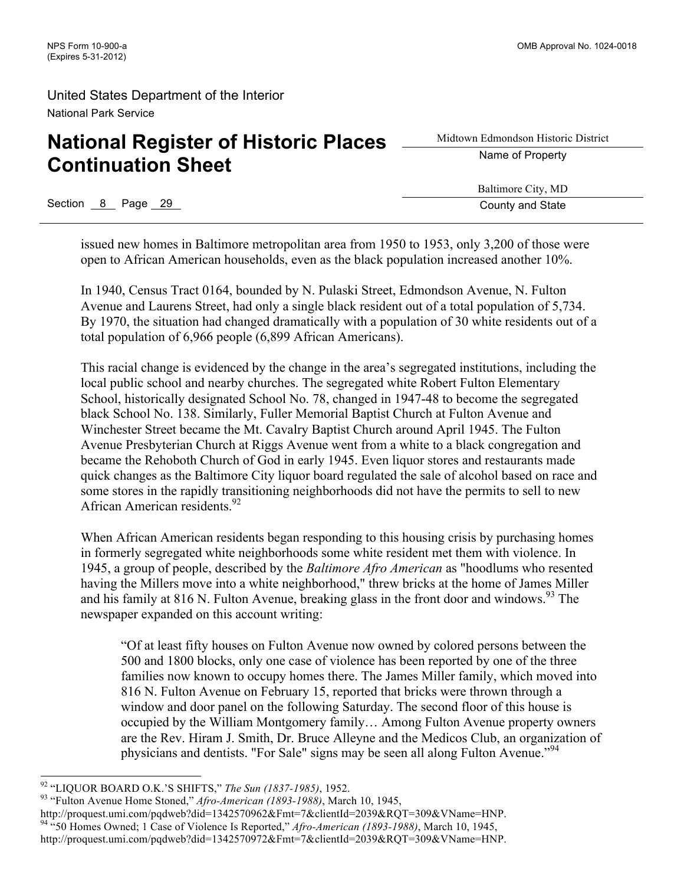# **National Register of Historic Places Continuation Sheet**

Midtown Edmondson Historic District Name of Property

Section 8 Page 29 County and State

Baltimore City, MD

issued new homes in Baltimore metropolitan area from 1950 to 1953, only 3,200 of those were open to African American households, even as the black population increased another 10%.

In 1940, Census Tract 0164, bounded by N. Pulaski Street, Edmondson Avenue, N. Fulton Avenue and Laurens Street, had only a single black resident out of a total population of 5,734. By 1970, the situation had changed dramatically with a population of 30 white residents out of a total population of 6,966 people (6,899 African Americans).

This racial change is evidenced by the change in the area's segregated institutions, including the local public school and nearby churches. The segregated white Robert Fulton Elementary School, historically designated School No. 78, changed in 1947-48 to become the segregated black School No. 138. Similarly, Fuller Memorial Baptist Church at Fulton Avenue and Winchester Street became the Mt. Cavalry Baptist Church around April 1945. The Fulton Avenue Presbyterian Church at Riggs Avenue went from a white to a black congregation and became the Rehoboth Church of God in early 1945. Even liquor stores and restaurants made quick changes as the Baltimore City liquor board regulated the sale of alcohol based on race and some stores in the rapidly transitioning neighborhoods did not have the permits to sell to new African American residents.<sup>92</sup>

When African American residents began responding to this housing crisis by purchasing homes in formerly segregated white neighborhoods some white resident met them with violence. In 1945, a group of people, described by the *Baltimore Afro American* as "hoodlums who resented having the Millers move into a white neighborhood," threw bricks at the home of James Miller and his family at 816 N. Fulton Avenue, breaking glass in the front door and windows.<sup>93</sup> The newspaper expanded on this account writing:

"Of at least fifty houses on Fulton Avenue now owned by colored persons between the 500 and 1800 blocks, only one case of violence has been reported by one of the three families now known to occupy homes there. The James Miller family, which moved into 816 N. Fulton Avenue on February 15, reported that bricks were thrown through a window and door panel on the following Saturday. The second floor of this house is occupied by the William Montgomery family… Among Fulton Avenue property owners are the Rev. Hiram J. Smith, Dr. Bruce Alleyne and the Medicos Club, an organization of physicians and dentists. "For Sale" signs may be seen all along Fulton Avenue."<sup>94</sup>

<sup>&</sup>lt;sup>92</sup> "LIQUOR BOARD O.K.'S SHIFTS," *The Sun (1837-1985)*, 1952.<br><sup>93</sup> "Fulton Avenue Home Stoned," *Afro-American (1893-1988)*, March 10, 1945,

http://proquest.umi.com/pqdweb?did=1342570962&Fmt=7&clientId=2039&RQT=309&VName=HNP. <sup>94</sup> "50 Homes Owned; 1 Case of Violence Is Reported," *Afro-American (1893-1988)*, March 10, 1945,

http://proquest.umi.com/pqdweb?did=1342570972&Fmt=7&clientId=2039&RQT=309&VName=HNP.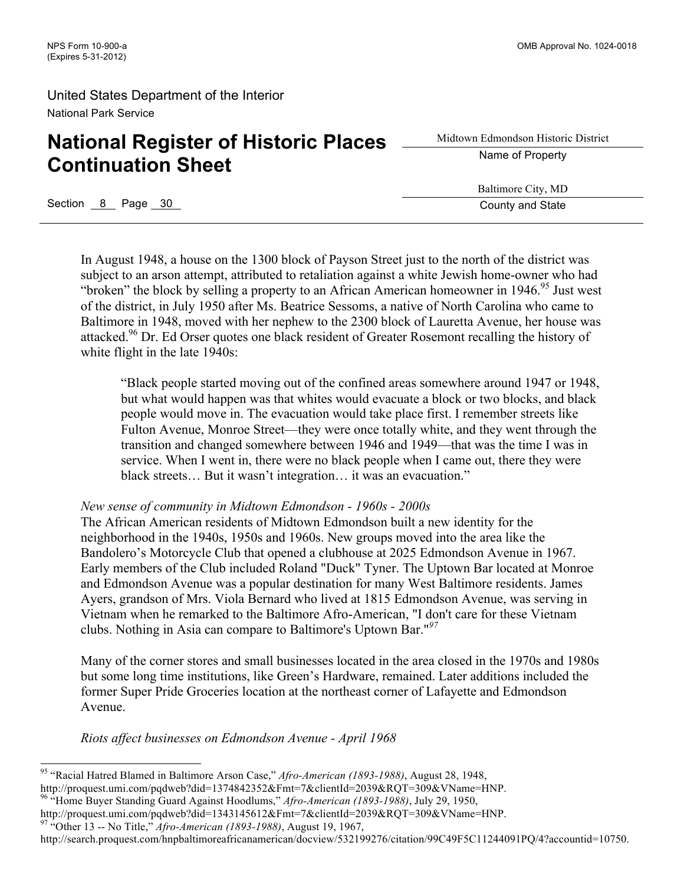# **National Register of Historic Places Continuation Sheet**

Midtown Edmondson Historic District Name of Property

Baltimore City, MD

Section 8 Page 30 County and State

In August 1948, a house on the 1300 block of Payson Street just to the north of the district was subject to an arson attempt, attributed to retaliation against a white Jewish home-owner who had "broken" the block by selling a property to an African American homeowner in  $1946$ .<sup>95</sup> Just west of the district, in July 1950 after Ms. Beatrice Sessoms, a native of North Carolina who came to Baltimore in 1948, moved with her nephew to the 2300 block of Lauretta Avenue, her house was attacked.<sup>96</sup> Dr. Ed Orser quotes one black resident of Greater Rosemont recalling the history of white flight in the late 1940s:

"Black people started moving out of the confined areas somewhere around 1947 or 1948, but what would happen was that whites would evacuate a block or two blocks, and black people would move in. The evacuation would take place first. I remember streets like Fulton Avenue, Monroe Street—they were once totally white, and they went through the transition and changed somewhere between 1946 and 1949—that was the time I was in service. When I went in, there were no black people when I came out, there they were black streets… But it wasn't integration… it was an evacuation."

#### *New sense of community in Midtown Edmondson - 1960s - 2000s*

The African American residents of Midtown Edmondson built a new identity for the neighborhood in the 1940s, 1950s and 1960s. New groups moved into the area like the Bandolero's Motorcycle Club that opened a clubhouse at 2025 Edmondson Avenue in 1967. Early members of the Club included Roland "Duck" Tyner. The Uptown Bar located at Monroe and Edmondson Avenue was a popular destination for many West Baltimore residents. James Ayers, grandson of Mrs. Viola Bernard who lived at 1815 Edmondson Avenue, was serving in Vietnam when he remarked to the Baltimore Afro-American, "I don't care for these Vietnam clubs. Nothing in Asia can compare to Baltimore's Uptown Bar."*<sup>97</sup>*

Many of the corner stores and small businesses located in the area closed in the 1970s and 1980s but some long time institutions, like Green's Hardware, remained. Later additions included the former Super Pride Groceries location at the northeast corner of Lafayette and Edmondson Avenue.

*Riots affect businesses on Edmondson Avenue - April 1968* 

<sup>96</sup> "Home Buyer Standing Guard Against Hoodlums," *Afro-American (1893-1988)*, July 29, 1950,

#### http://search.proquest.com/hnpbaltimoreafricanamerican/docview/532199276/citation/99C49F5C11244091PQ/4?accountid=10750.

 <sup>95</sup> "Racial Hatred Blamed in Baltimore Arson Case," *Afro-American (1893-1988)*, August 28, 1948, http://proquest.umi.com/pqdweb?did=1374842352&Fmt=7&clientId=2039&RQT=309&VName=HNP.

http://proquest.umi.com/pqdweb?did=1343145612&Fmt=7&clientId=2039&RQT=309&VName=HNP. <sup>97</sup> "Other 13 -- No Title," *Afro-American (1893-1988)*, August 19, 1967,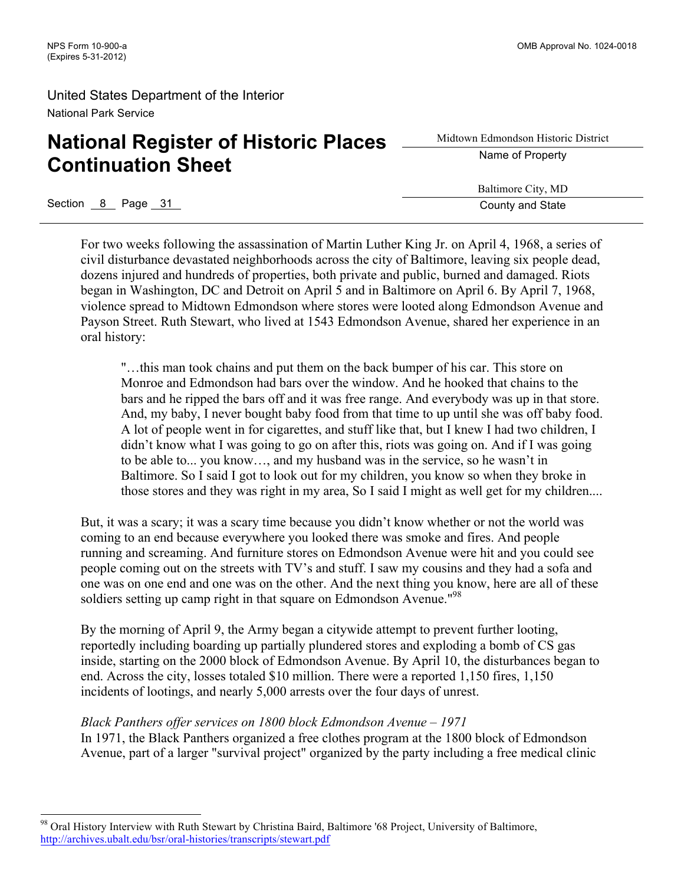# **National Register of Historic Places Continuation Sheet**

Midtown Edmondson Historic District Name of Property

Baltimore City, MD

Section 8 Page 31 County and State Section 8 Page 31 County and State

For two weeks following the assassination of Martin Luther King Jr. on April 4, 1968, a series of civil disturbance devastated neighborhoods across the city of Baltimore, leaving six people dead, dozens injured and hundreds of properties, both private and public, burned and damaged. Riots began in Washington, DC and Detroit on April 5 and in Baltimore on April 6. By April 7, 1968, violence spread to Midtown Edmondson where stores were looted along Edmondson Avenue and Payson Street. Ruth Stewart, who lived at 1543 Edmondson Avenue, shared her experience in an oral history:

"…this man took chains and put them on the back bumper of his car. This store on Monroe and Edmondson had bars over the window. And he hooked that chains to the bars and he ripped the bars off and it was free range. And everybody was up in that store. And, my baby, I never bought baby food from that time to up until she was off baby food. A lot of people went in for cigarettes, and stuff like that, but I knew I had two children, I didn't know what I was going to go on after this, riots was going on. And if I was going to be able to... you know…, and my husband was in the service, so he wasn't in Baltimore. So I said I got to look out for my children, you know so when they broke in those stores and they was right in my area, So I said I might as well get for my children....

But, it was a scary; it was a scary time because you didn't know whether or not the world was coming to an end because everywhere you looked there was smoke and fires. And people running and screaming. And furniture stores on Edmondson Avenue were hit and you could see people coming out on the streets with TV's and stuff. I saw my cousins and they had a sofa and one was on one end and one was on the other. And the next thing you know, here are all of these soldiers setting up camp right in that square on Edmondson Avenue."<sup>98</sup>

By the morning of April 9, the Army began a citywide attempt to prevent further looting, reportedly including boarding up partially plundered stores and exploding a bomb of CS gas inside, starting on the 2000 block of Edmondson Avenue. By April 10, the disturbances began to end. Across the city, losses totaled \$10 million. There were a reported 1,150 fires, 1,150 incidents of lootings, and nearly 5,000 arrests over the four days of unrest.

### *Black Panthers offer services on 1800 block Edmondson Avenue – 1971*

In 1971, the Black Panthers organized a free clothes program at the 1800 block of Edmondson Avenue, part of a larger "survival project" organized by the party including a free medical clinic

<sup>&</sup>lt;sup>98</sup> Oral History Interview with Ruth Stewart by Christina Baird, Baltimore '68 Project, University of Baltimore, http://archives.ubalt.edu/bsr/oral-histories/transcripts/stewart.pdf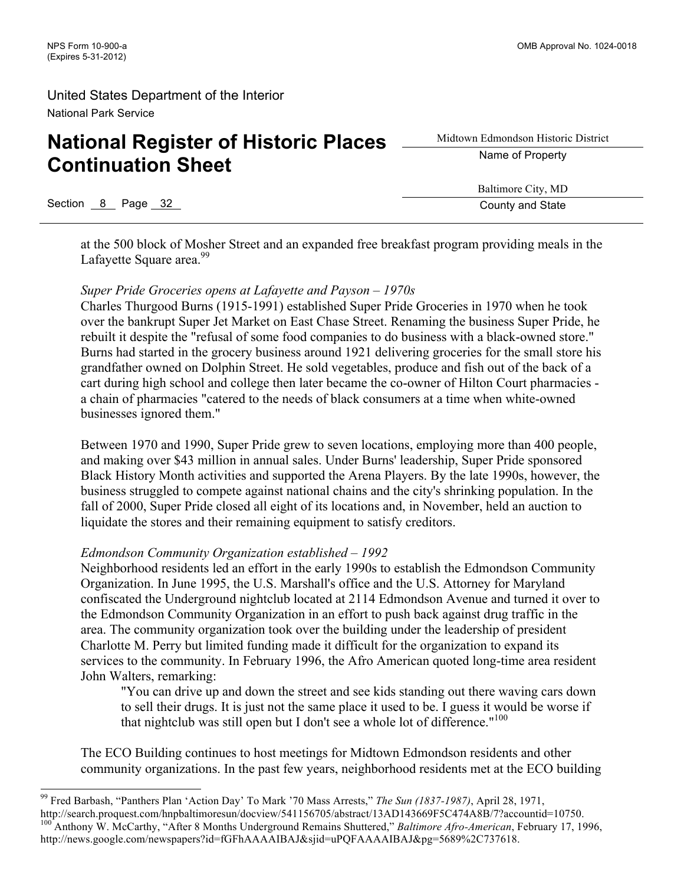# **National Register of Historic Places Continuation Sheet**

Midtown Edmondson Historic District Name of Property

Baltimore City, MD

Section 8 Page 32 County and State

at the 500 block of Mosher Street and an expanded free breakfast program providing meals in the Lafayette Square area.<sup>99</sup>

### *Super Pride Groceries opens at Lafayette and Payson – 1970s*

Charles Thurgood Burns (1915-1991) established Super Pride Groceries in 1970 when he took over the bankrupt Super Jet Market on East Chase Street. Renaming the business Super Pride, he rebuilt it despite the "refusal of some food companies to do business with a black-owned store." Burns had started in the grocery business around 1921 delivering groceries for the small store his grandfather owned on Dolphin Street. He sold vegetables, produce and fish out of the back of a cart during high school and college then later became the co-owner of Hilton Court pharmacies a chain of pharmacies "catered to the needs of black consumers at a time when white-owned businesses ignored them."

Between 1970 and 1990, Super Pride grew to seven locations, employing more than 400 people, and making over \$43 million in annual sales. Under Burns' leadership, Super Pride sponsored Black History Month activities and supported the Arena Players. By the late 1990s, however, the business struggled to compete against national chains and the city's shrinking population. In the fall of 2000, Super Pride closed all eight of its locations and, in November, held an auction to liquidate the stores and their remaining equipment to satisfy creditors.

### *Edmondson Community Organization established – 1992*

Neighborhood residents led an effort in the early 1990s to establish the Edmondson Community Organization. In June 1995, the U.S. Marshall's office and the U.S. Attorney for Maryland confiscated the Underground nightclub located at 2114 Edmondson Avenue and turned it over to the Edmondson Community Organization in an effort to push back against drug traffic in the area. The community organization took over the building under the leadership of president Charlotte M. Perry but limited funding made it difficult for the organization to expand its services to the community. In February 1996, the Afro American quoted long-time area resident John Walters, remarking:

"You can drive up and down the street and see kids standing out there waving cars down to sell their drugs. It is just not the same place it used to be. I guess it would be worse if that nightclub was still open but I don't see a whole lot of difference."<sup>100</sup>

The ECO Building continues to host meetings for Midtown Edmondson residents and other community organizations. In the past few years, neighborhood residents met at the ECO building

 <sup>99</sup> Fred Barbash, "Panthers Plan 'Action Day' To Mark '70 Mass Arrests," *The Sun (1837-1987)*, April 28, 1971, http://search.proquest.com/hnpbaltimoresun/docview/541156705/abstract/13AD143669F5C474A8B/7?accountid=10750. <sup>100</sup> Anthony W. McCarthy, "After 8 Months Underground Remains Shuttered," *Baltimore Afro-American*, February 17, 1996, http://news.google.com/newspapers?id=fGFhAAAAIBAJ&sjid=uPQFAAAAIBAJ&pg=5689%2C737618.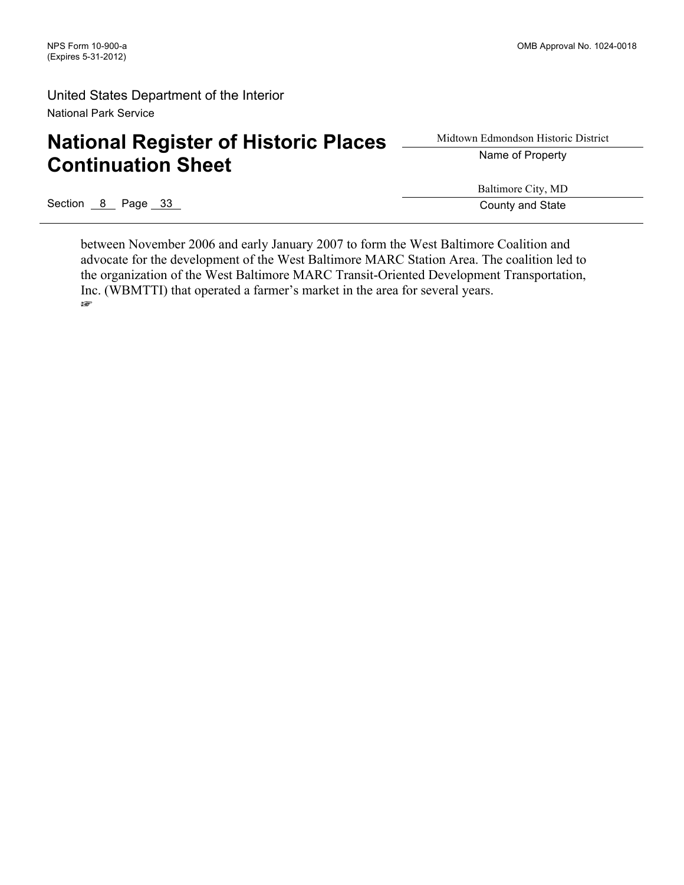# **National Register of Historic Places Continuation Sheet**

# Midtown Edmondson Historic District Name of Property

Section 8 Page 33 County and State

Baltimore City, MD

between November 2006 and early January 2007 to form the West Baltimore Coalition and advocate for the development of the West Baltimore MARC Station Area. The coalition led to the organization of the West Baltimore MARC Transit-Oriented Development Transportation, Inc. (WBMTTI) that operated a farmer's market in the area for several years. ☞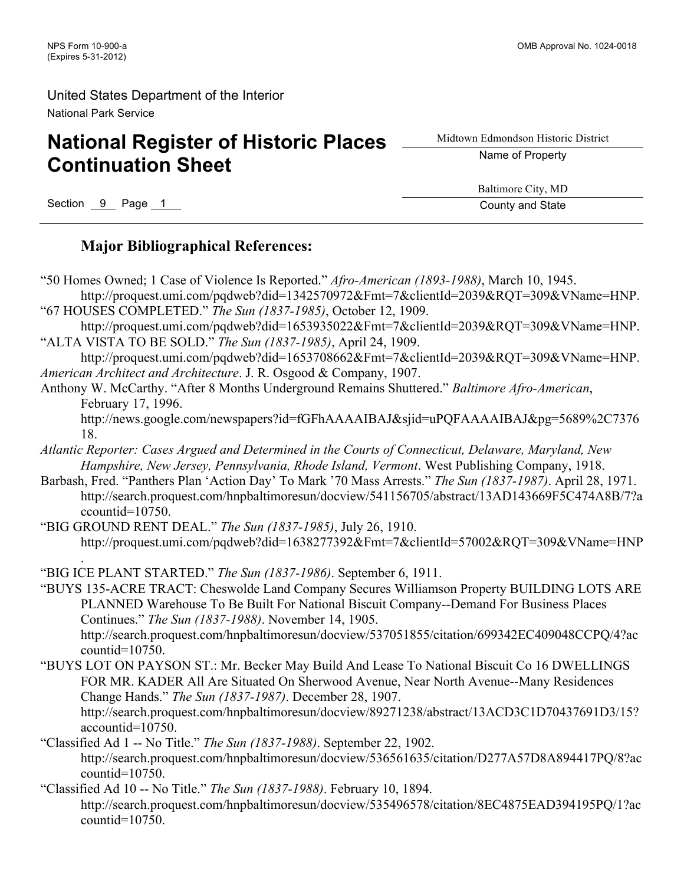# **National Register of Historic Places Continuation Sheet**

Midtown Edmondson Historic District

Name of Property

Section 9 Page 1 County and State

Baltimore City, MD

### **Major Bibliographical References:**

- "50 Homes Owned; 1 Case of Violence Is Reported." *Afro-American (1893-1988)*, March 10, 1945. http://proquest.umi.com/pqdweb?did=1342570972&Fmt=7&clientId=2039&RQT=309&VName=HNP.
- "67 HOUSES COMPLETED." *The Sun (1837-1985)*, October 12, 1909. http://proquest.umi.com/pqdweb?did=1653935022&Fmt=7&clientId=2039&RQT=309&VName=HNP.
- "ALTA VISTA TO BE SOLD." *The Sun (1837-1985)*, April 24, 1909.
- http://proquest.umi.com/pqdweb?did=1653708662&Fmt=7&clientId=2039&RQT=309&VName=HNP. *American Architect and Architecture*. J. R. Osgood & Company, 1907.
- Anthony W. McCarthy. "After 8 Months Underground Remains Shuttered." *Baltimore Afro-American*, February 17, 1996.
	- http://news.google.com/newspapers?id=fGFhAAAAIBAJ&sjid=uPQFAAAAIBAJ&pg=5689%2C7376 18.
- *Atlantic Reporter: Cases Argued and Determined in the Courts of Connecticut, Delaware, Maryland, New Hampshire, New Jersey, Pennsylvania, Rhode Island, Vermont*. West Publishing Company, 1918.
- Barbash, Fred. "Panthers Plan 'Action Day' To Mark '70 Mass Arrests." *The Sun (1837-1987)*. April 28, 1971. http://search.proquest.com/hnpbaltimoresun/docview/541156705/abstract/13AD143669F5C474A8B/7?a ccountid=10750.
- "BIG GROUND RENT DEAL." *The Sun (1837-1985)*, July 26, 1910. http://proquest.umi.com/pqdweb?did=1638277392&Fmt=7&clientId=57002&RQT=309&VName=HNP
- . "BIG ICE PLANT STARTED." *The Sun (1837-1986)*. September 6, 1911.
- "BUYS 135-ACRE TRACT: Cheswolde Land Company Secures Williamson Property BUILDING LOTS ARE PLANNED Warehouse To Be Built For National Biscuit Company--Demand For Business Places Continues." *The Sun (1837-1988)*. November 14, 1905. http://search.proquest.com/hnpbaltimoresun/docview/537051855/citation/699342EC409048CCPQ/4?ac countid=10750.
- "BUYS LOT ON PAYSON ST.: Mr. Becker May Build And Lease To National Biscuit Co 16 DWELLINGS FOR MR. KADER All Are Situated On Sherwood Avenue, Near North Avenue--Many Residences Change Hands." *The Sun (1837-1987)*. December 28, 1907. http://search.proquest.com/hnpbaltimoresun/docview/89271238/abstract/13ACD3C1D70437691D3/15? accountid=10750.
- "Classified Ad 1 -- No Title." *The Sun (1837-1988)*. September 22, 1902. http://search.proquest.com/hnpbaltimoresun/docview/536561635/citation/D277A57D8A894417PQ/8?ac countid=10750.
- "Classified Ad 10 -- No Title." *The Sun (1837-1988)*. February 10, 1894. http://search.proquest.com/hnpbaltimoresun/docview/535496578/citation/8EC4875EAD394195PQ/1?ac countid=10750.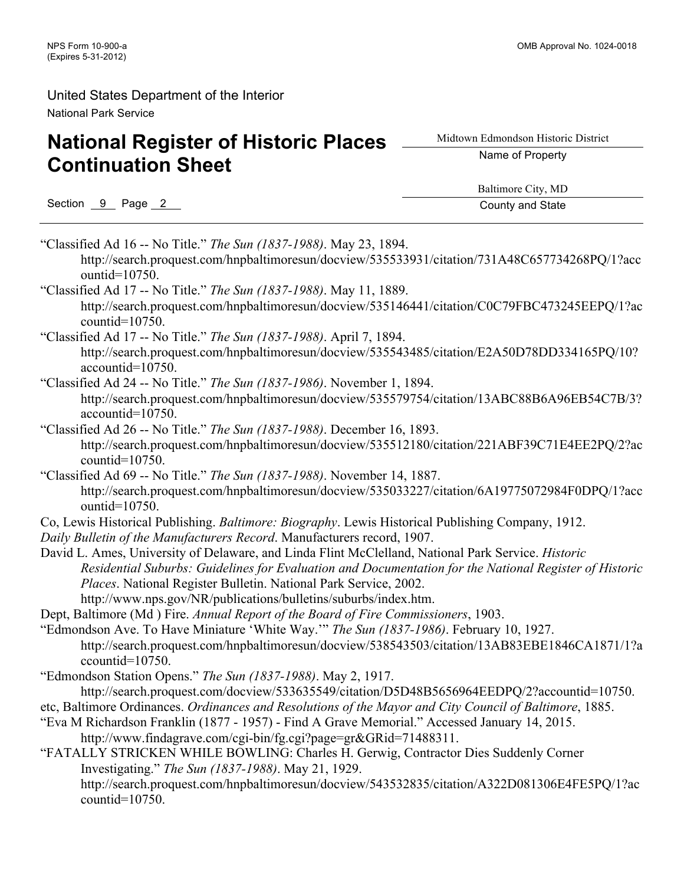# **National Register of Historic Places Continuation Sheet**

Midtown Edmondson Historic District

Name of Property

Section 9 Page 2 County and State

Baltimore City, MD

"Classified Ad 16 -- No Title." *The Sun (1837-1988)*. May 23, 1894. http://search.proquest.com/hnpbaltimoresun/docview/535533931/citation/731A48C657734268PQ/1?acc ountid=10750. "Classified Ad 17 -- No Title." *The Sun (1837-1988)*. May 11, 1889. http://search.proquest.com/hnpbaltimoresun/docview/535146441/citation/C0C79FBC473245EEPQ/1?ac

countid=10750. "Classified Ad 17 -- No Title." *The Sun (1837-1988)*. April 7, 1894. http://search.proquest.com/hnpbaltimoresun/docview/535543485/citation/E2A50D78DD334165PQ/10? accountid=10750.

### "Classified Ad 24 -- No Title." *The Sun (1837-1986)*. November 1, 1894. http://search.proquest.com/hnpbaltimoresun/docview/535579754/citation/13ABC88B6A96EB54C7B/3? accountid=10750.

"Classified Ad 26 -- No Title." *The Sun (1837-1988)*. December 16, 1893. http://search.proquest.com/hnpbaltimoresun/docview/535512180/citation/221ABF39C71E4EE2PQ/2?ac countid=10750.

"Classified Ad 69 -- No Title." *The Sun (1837-1988)*. November 14, 1887. http://search.proquest.com/hnpbaltimoresun/docview/535033227/citation/6A19775072984F0DPQ/1?acc ountid=10750.

- Co, Lewis Historical Publishing. *Baltimore: Biography*. Lewis Historical Publishing Company, 1912.
- *Daily Bulletin of the Manufacturers Record*. Manufacturers record, 1907.
- David L. Ames, University of Delaware, and Linda Flint McClelland, National Park Service. *Historic Residential Suburbs: Guidelines for Evaluation and Documentation for the National Register of Historic Places*. National Register Bulletin. National Park Service, 2002. http://www.nps.gov/NR/publications/bulletins/suburbs/index.htm.
- Dept, Baltimore (Md ) Fire. *Annual Report of the Board of Fire Commissioners*, 1903.

"Edmondson Ave. To Have Miniature 'White Way.'" *The Sun (1837-1986)*. February 10, 1927. http://search.proquest.com/hnpbaltimoresun/docview/538543503/citation/13AB83EBE1846CA1871/1?a ccountid=10750.

- "Edmondson Station Opens." *The Sun (1837-1988)*. May 2, 1917.
- http://search.proquest.com/docview/533635549/citation/D5D48B5656964EEDPQ/2?accountid=10750.
- etc, Baltimore Ordinances. *Ordinances and Resolutions of the Mayor and City Council of Baltimore*, 1885.
- "Eva M Richardson Franklin (1877 1957) Find A Grave Memorial." Accessed January 14, 2015. http://www.findagrave.com/cgi-bin/fg.cgi?page=gr&GRid=71488311.
- "FATALLY STRICKEN WHILE BOWLING: Charles H. Gerwig, Contractor Dies Suddenly Corner Investigating." *The Sun (1837-1988)*. May 21, 1929. http://search.proquest.com/hnpbaltimoresun/docview/543532835/citation/A322D081306E4FE5PQ/1?ac countid=10750.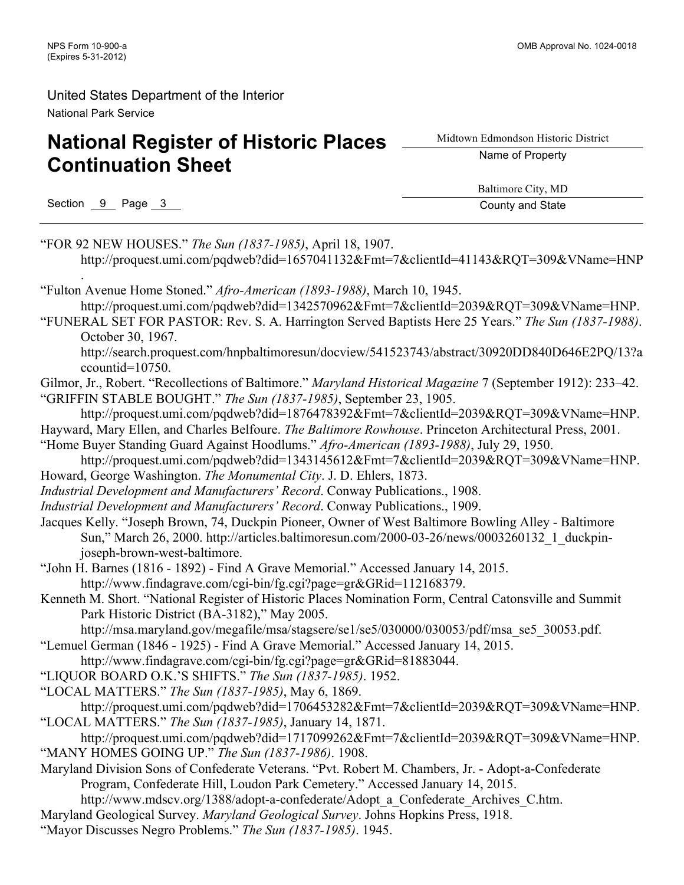# **National Register of Historic Places Continuation Sheet**

Midtown Edmondson Historic District

Name of Property

Section 9 Page 3 County and State

Baltimore City, MD

"FOR 92 NEW HOUSES." *The Sun (1837-1985)*, April 18, 1907. http://proquest.umi.com/pqdweb?did=1657041132&Fmt=7&clientId=41143&RQT=309&VName=HNP . "Fulton Avenue Home Stoned." *Afro-American (1893-1988)*, March 10, 1945. http://proquest.umi.com/pqdweb?did=1342570962&Fmt=7&clientId=2039&RQT=309&VName=HNP. "FUNERAL SET FOR PASTOR: Rev. S. A. Harrington Served Baptists Here 25 Years." *The Sun (1837-1988)*. October 30, 1967. http://search.proquest.com/hnpbaltimoresun/docview/541523743/abstract/30920DD840D646E2PQ/13?a ccountid=10750. Gilmor, Jr., Robert. "Recollections of Baltimore." *Maryland Historical Magazine* 7 (September 1912): 233–42. "GRIFFIN STABLE BOUGHT." *The Sun (1837-1985)*, September 23, 1905. http://proquest.umi.com/pqdweb?did=1876478392&Fmt=7&clientId=2039&RQT=309&VName=HNP. Hayward, Mary Ellen, and Charles Belfoure. *The Baltimore Rowhouse*. Princeton Architectural Press, 2001. "Home Buyer Standing Guard Against Hoodlums." *Afro-American (1893-1988)*, July 29, 1950. http://proquest.umi.com/pqdweb?did=1343145612&Fmt=7&clientId=2039&RQT=309&VName=HNP. Howard, George Washington. *The Monumental City*. J. D. Ehlers, 1873. *Industrial Development and Manufacturers' Record*. Conway Publications., 1908. *Industrial Development and Manufacturers' Record*. Conway Publications., 1909. Jacques Kelly. "Joseph Brown, 74, Duckpin Pioneer, Owner of West Baltimore Bowling Alley - Baltimore Sun," March 26, 2000. http://articles.baltimoresun.com/2000-03-26/news/0003260132\_1\_duckpinjoseph-brown-west-baltimore. "John H. Barnes (1816 - 1892) - Find A Grave Memorial." Accessed January 14, 2015. http://www.findagrave.com/cgi-bin/fg.cgi?page=gr&GRid=112168379. Kenneth M. Short. "National Register of Historic Places Nomination Form, Central Catonsville and Summit Park Historic District (BA-3182)," May 2005. http://msa.maryland.gov/megafile/msa/stagsere/se1/se5/030000/030053/pdf/msa\_se5\_30053.pdf. "Lemuel German (1846 - 1925) - Find A Grave Memorial." Accessed January 14, 2015. http://www.findagrave.com/cgi-bin/fg.cgi?page=gr&GRid=81883044. "LIQUOR BOARD O.K.'S SHIFTS." *The Sun (1837-1985)*. 1952. "LOCAL MATTERS." *The Sun (1837-1985)*, May 6, 1869. http://proquest.umi.com/pqdweb?did=1706453282&Fmt=7&clientId=2039&RQT=309&VName=HNP. "LOCAL MATTERS." *The Sun (1837-1985)*, January 14, 1871. http://proquest.umi.com/pqdweb?did=1717099262&Fmt=7&clientId=2039&RQT=309&VName=HNP. "MANY HOMES GOING UP." *The Sun (1837-1986)*. 1908. Maryland Division Sons of Confederate Veterans. "Pvt. Robert M. Chambers, Jr. - Adopt-a-Confederate Program, Confederate Hill, Loudon Park Cemetery." Accessed January 14, 2015. http://www.mdscv.org/1388/adopt-a-confederate/Adopt\_a\_Confederate\_Archives\_C.htm. Maryland Geological Survey. *Maryland Geological Survey*. Johns Hopkins Press, 1918. "Mayor Discusses Negro Problems." *The Sun (1837-1985)*. 1945.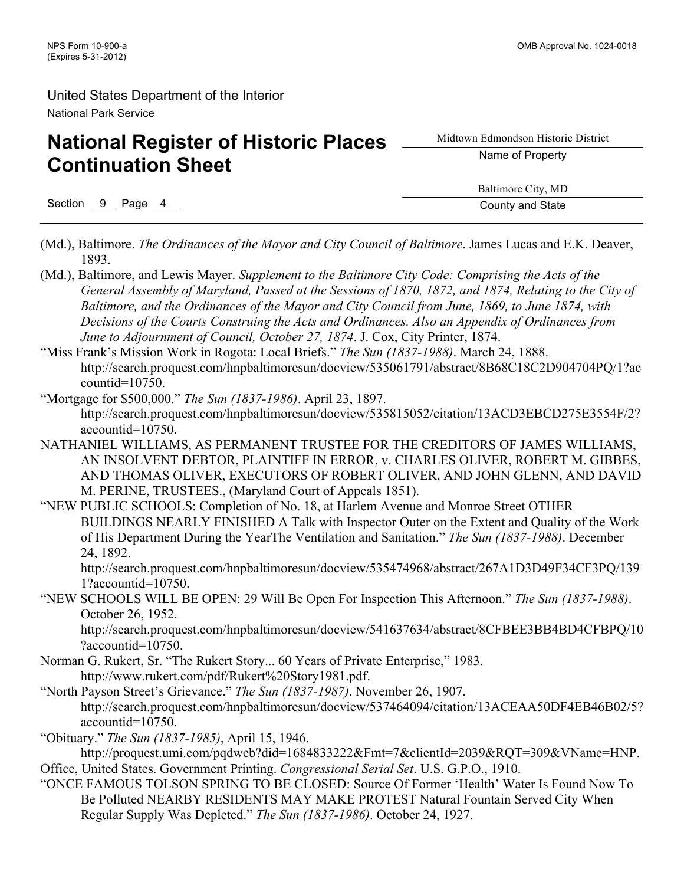# **National Register of Historic Places Continuation Sheet**

Midtown Edmondson Historic District Name of Property

Section 9 Page 4 County and State

Baltimore City, MD

- (Md.), Baltimore. *The Ordinances of the Mayor and City Council of Baltimore*. James Lucas and E.K. Deaver, 1893.
- (Md.), Baltimore, and Lewis Mayer. *Supplement to the Baltimore City Code: Comprising the Acts of the General Assembly of Maryland, Passed at the Sessions of 1870, 1872, and 1874, Relating to the City of Baltimore, and the Ordinances of the Mayor and City Council from June, 1869, to June 1874, with Decisions of the Courts Construing the Acts and Ordinances. Also an Appendix of Ordinances from June to Adjournment of Council, October 27, 1874*. J. Cox, City Printer, 1874.
- "Miss Frank's Mission Work in Rogota: Local Briefs." *The Sun (1837-1988)*. March 24, 1888. http://search.proquest.com/hnpbaltimoresun/docview/535061791/abstract/8B68C18C2D904704PQ/1?ac countid=10750.
- "Mortgage for \$500,000." *The Sun (1837-1986)*. April 23, 1897. http://search.proquest.com/hnpbaltimoresun/docview/535815052/citation/13ACD3EBCD275E3554F/2? accountid=10750.
- NATHANIEL WILLIAMS, AS PERMANENT TRUSTEE FOR THE CREDITORS OF JAMES WILLIAMS, AN INSOLVENT DEBTOR, PLAINTIFF IN ERROR, v. CHARLES OLIVER, ROBERT M. GIBBES, AND THOMAS OLIVER, EXECUTORS OF ROBERT OLIVER, AND JOHN GLENN, AND DAVID M. PERINE, TRUSTEES., (Maryland Court of Appeals 1851).
- "NEW PUBLIC SCHOOLS: Completion of No. 18, at Harlem Avenue and Monroe Street OTHER BUILDINGS NEARLY FINISHED A Talk with Inspector Outer on the Extent and Quality of the Work of His Department During the YearThe Ventilation and Sanitation." *The Sun (1837-1988)*. December 24, 1892.

http://search.proquest.com/hnpbaltimoresun/docview/535474968/abstract/267A1D3D49F34CF3PQ/139 1?accountid=10750.

"NEW SCHOOLS WILL BE OPEN: 29 Will Be Open For Inspection This Afternoon." *The Sun (1837-1988)*. October 26, 1952.

http://search.proquest.com/hnpbaltimoresun/docview/541637634/abstract/8CFBEE3BB4BD4CFBPQ/10 ?accountid=10750.

- Norman G. Rukert, Sr. "The Rukert Story... 60 Years of Private Enterprise," 1983. http://www.rukert.com/pdf/Rukert%20Story1981.pdf.
- "North Payson Street's Grievance." *The Sun (1837-1987)*. November 26, 1907. http://search.proquest.com/hnpbaltimoresun/docview/537464094/citation/13ACEAA50DF4EB46B02/5? accountid=10750.
- "Obituary." *The Sun (1837-1985)*, April 15, 1946.
- http://proquest.umi.com/pqdweb?did=1684833222&Fmt=7&clientId=2039&RQT=309&VName=HNP. Office, United States. Government Printing. *Congressional Serial Set*. U.S. G.P.O., 1910.
- "ONCE FAMOUS TOLSON SPRING TO BE CLOSED: Source Of Former 'Health' Water Is Found Now To Be Polluted NEARBY RESIDENTS MAY MAKE PROTEST Natural Fountain Served City When Regular Supply Was Depleted." *The Sun (1837-1986)*. October 24, 1927.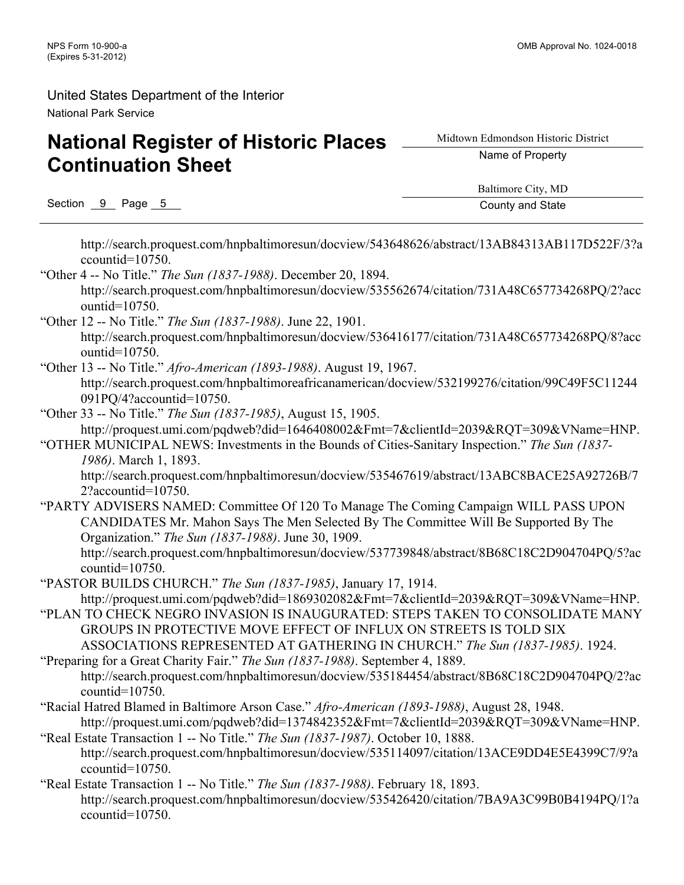# **National Register of Historic Places Continuation Sheet**

Midtown Edmondson Historic District

Name of Property

Section 9 Page 5 County and State

Baltimore City, MD

http://search.proquest.com/hnpbaltimoresun/docview/543648626/abstract/13AB84313AB117D522F/3?a ccountid=10750.

- "Other 4 -- No Title." *The Sun (1837-1988)*. December 20, 1894. http://search.proquest.com/hnpbaltimoresun/docview/535562674/citation/731A48C657734268PQ/2?acc ountid=10750.
- "Other 12 -- No Title." *The Sun (1837-1988)*. June 22, 1901. http://search.proquest.com/hnpbaltimoresun/docview/536416177/citation/731A48C657734268PQ/8?acc ountid=10750.
- "Other 13 -- No Title." *Afro-American (1893-1988)*. August 19, 1967. http://search.proquest.com/hnpbaltimoreafricanamerican/docview/532199276/citation/99C49F5C11244 091PQ/4?accountid=10750.
- "Other 33 -- No Title." *The Sun (1837-1985)*, August 15, 1905. http://proquest.umi.com/pqdweb?did=1646408002&Fmt=7&clientId=2039&RQT=309&VName=HNP.
- "OTHER MUNICIPAL NEWS: Investments in the Bounds of Cities-Sanitary Inspection." *The Sun (1837- 1986)*. March 1, 1893.

http://search.proquest.com/hnpbaltimoresun/docview/535467619/abstract/13ABC8BACE25A92726B/7 2?accountid=10750.

"PARTY ADVISERS NAMED: Committee Of 120 To Manage The Coming Campaign WILL PASS UPON CANDIDATES Mr. Mahon Says The Men Selected By The Committee Will Be Supported By The Organization." *The Sun (1837-1988)*. June 30, 1909.

http://search.proquest.com/hnpbaltimoresun/docview/537739848/abstract/8B68C18C2D904704PQ/5?ac countid=10750.

- "PASTOR BUILDS CHURCH." *The Sun (1837-1985)*, January 17, 1914. http://proquest.umi.com/pqdweb?did=1869302082&Fmt=7&clientId=2039&RQT=309&VName=HNP.
- "PLAN TO CHECK NEGRO INVASION IS INAUGURATED: STEPS TAKEN TO CONSOLIDATE MANY GROUPS IN PROTECTIVE MOVE EFFECT OF INFLUX ON STREETS IS TOLD SIX ASSOCIATIONS REPRESENTED AT GATHERING IN CHURCH." *The Sun (1837-1985)*. 1924.
- "Preparing for a Great Charity Fair." *The Sun (1837-1988)*. September 4, 1889. http://search.proquest.com/hnpbaltimoresun/docview/535184454/abstract/8B68C18C2D904704PQ/2?ac countid=10750.
- "Racial Hatred Blamed in Baltimore Arson Case." *Afro-American (1893-1988)*, August 28, 1948. http://proquest.umi.com/pqdweb?did=1374842352&Fmt=7&clientId=2039&RQT=309&VName=HNP.
- "Real Estate Transaction 1 -- No Title." *The Sun (1837-1987)*. October 10, 1888. http://search.proquest.com/hnpbaltimoresun/docview/535114097/citation/13ACE9DD4E5E4399C7/9?a ccountid=10750.
- "Real Estate Transaction 1 -- No Title." *The Sun (1837-1988)*. February 18, 1893. http://search.proquest.com/hnpbaltimoresun/docview/535426420/citation/7BA9A3C99B0B4194PQ/1?a ccountid=10750.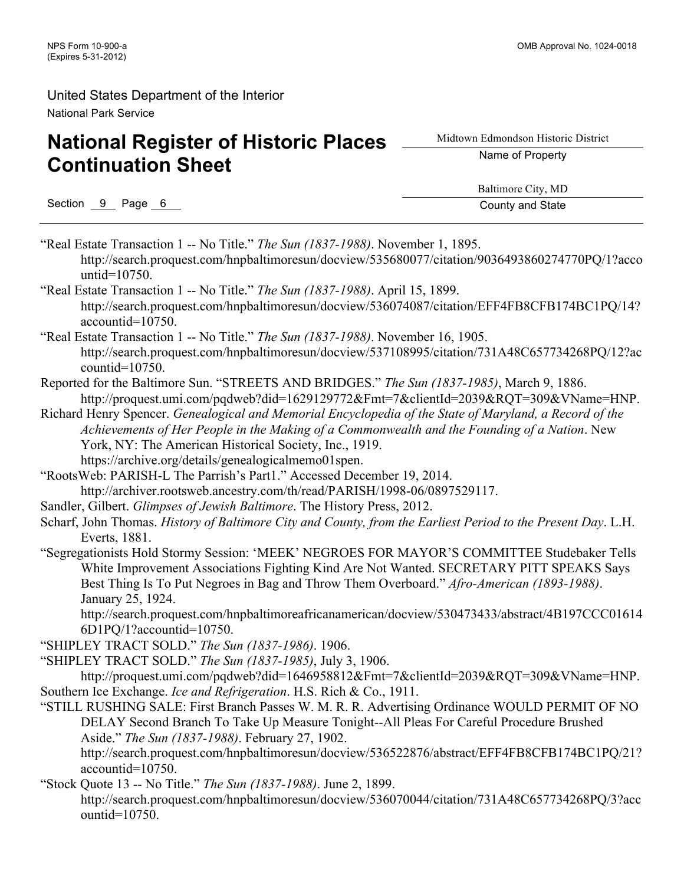# **National Register of Historic Places Continuation Sheet**

Midtown Edmondson Historic District

Name of Property

Section 9 Page 6 County and State

Baltimore City, MD

"Real Estate Transaction 1 -- No Title." *The Sun (1837-1988)*. November 1, 1895. http://search.proquest.com/hnpbaltimoresun/docview/535680077/citation/9036493860274770PQ/1?acco untid=10750. "Real Estate Transaction 1 -- No Title." *The Sun (1837-1988)*. April 15, 1899. http://search.proquest.com/hnpbaltimoresun/docview/536074087/citation/EFF4FB8CFB174BC1PQ/14? accountid=10750. "Real Estate Transaction 1 -- No Title." *The Sun (1837-1988)*. November 16, 1905. http://search.proquest.com/hnpbaltimoresun/docview/537108995/citation/731A48C657734268PQ/12?ac countid=10750. Reported for the Baltimore Sun. "STREETS AND BRIDGES." *The Sun (1837-1985)*, March 9, 1886. http://proquest.umi.com/pqdweb?did=1629129772&Fmt=7&clientId=2039&RQT=309&VName=HNP. Richard Henry Spencer. *Genealogical and Memorial Encyclopedia of the State of Maryland, a Record of the Achievements of Her People in the Making of a Commonwealth and the Founding of a Nation*. New York, NY: The American Historical Society, Inc., 1919. https://archive.org/details/genealogicalmemo01spen. "RootsWeb: PARISH-L The Parrish's Part1." Accessed December 19, 2014. http://archiver.rootsweb.ancestry.com/th/read/PARISH/1998-06/0897529117. Sandler, Gilbert. *Glimpses of Jewish Baltimore*. The History Press, 2012. Scharf, John Thomas. *History of Baltimore City and County, from the Earliest Period to the Present Day*. L.H. Everts, 1881. "Segregationists Hold Stormy Session: 'MEEK' NEGROES FOR MAYOR'S COMMITTEE Studebaker Tells White Improvement Associations Fighting Kind Are Not Wanted. SECRETARY PITT SPEAKS Says Best Thing Is To Put Negroes in Bag and Throw Them Overboard." *Afro-American (1893-1988)*. January 25, 1924. http://search.proquest.com/hnpbaltimoreafricanamerican/docview/530473433/abstract/4B197CCC01614 6D1PQ/1?accountid=10750. "SHIPLEY TRACT SOLD." *The Sun (1837-1986)*. 1906. "SHIPLEY TRACT SOLD." *The Sun (1837-1985)*, July 3, 1906. http://proquest.umi.com/pqdweb?did=1646958812&Fmt=7&clientId=2039&RQT=309&VName=HNP. Southern Ice Exchange. *Ice and Refrigeration*. H.S. Rich & Co., 1911. "STILL RUSHING SALE: First Branch Passes W. M. R. R. Advertising Ordinance WOULD PERMIT OF NO DELAY Second Branch To Take Up Measure Tonight--All Pleas For Careful Procedure Brushed Aside." *The Sun (1837-1988)*. February 27, 1902. http://search.proquest.com/hnpbaltimoresun/docview/536522876/abstract/EFF4FB8CFB174BC1PQ/21? accountid=10750. "Stock Quote 13 -- No Title." *The Sun (1837-1988)*. June 2, 1899. http://search.proquest.com/hnpbaltimoresun/docview/536070044/citation/731A48C657734268PQ/3?acc ountid=10750.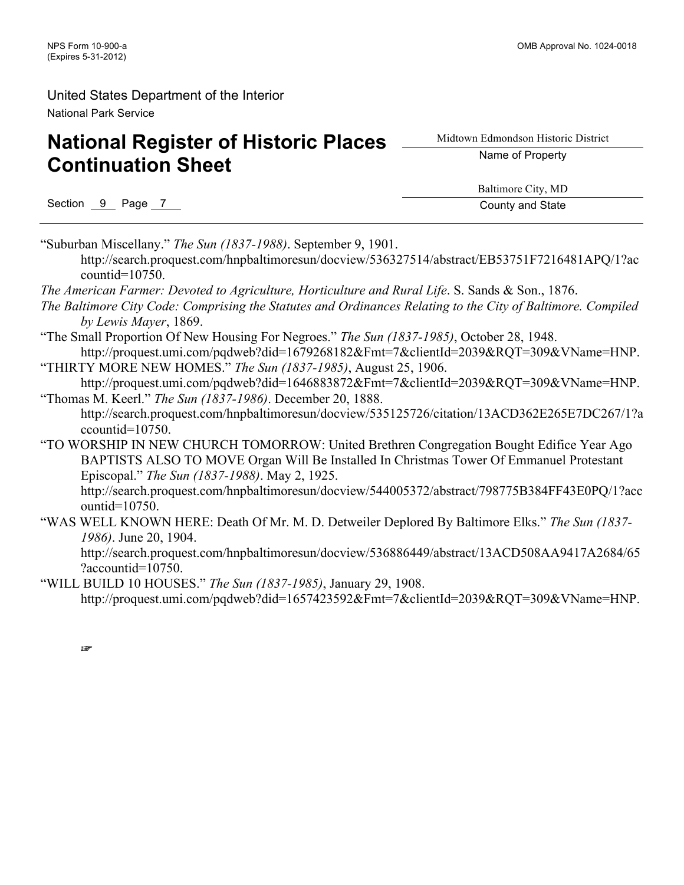# **National Register of Historic Places Continuation Sheet**

Midtown Edmondson Historic District

Name of Property

Section 9 Page 7 County and State

Baltimore City, MD

"Suburban Miscellany." *The Sun (1837-1988)*. September 9, 1901. http://search.proquest.com/hnpbaltimoresun/docview/536327514/abstract/EB53751F7216481APQ/1?ac

countid=10750. *The American Farmer: Devoted to Agriculture, Horticulture and Rural Life*. S. Sands & Son., 1876.

- *The Baltimore City Code: Comprising the Statutes and Ordinances Relating to the City of Baltimore. Compiled by Lewis Mayer*, 1869.
- "The Small Proportion Of New Housing For Negroes." *The Sun (1837-1985)*, October 28, 1948. http://proquest.umi.com/pqdweb?did=1679268182&Fmt=7&clientId=2039&RQT=309&VName=HNP.
- "THIRTY MORE NEW HOMES." *The Sun (1837-1985)*, August 25, 1906. http://proquest.umi.com/pqdweb?did=1646883872&Fmt=7&clientId=2039&ROT=309&VName=HNP.
- "Thomas M. Keerl." *The Sun (1837-1986)*. December 20, 1888. http://search.proquest.com/hnpbaltimoresun/docview/535125726/citation/13ACD362E265E7DC267/1?a ccountid=10750.
- "TO WORSHIP IN NEW CHURCH TOMORROW: United Brethren Congregation Bought Edifice Year Ago BAPTISTS ALSO TO MOVE Organ Will Be Installed In Christmas Tower Of Emmanuel Protestant Episcopal." *The Sun (1837-1988)*. May 2, 1925. http://search.proquest.com/hnpbaltimoresun/docview/544005372/abstract/798775B384FF43E0PQ/1?acc ountid=10750.
- "WAS WELL KNOWN HERE: Death Of Mr. M. D. Detweiler Deplored By Baltimore Elks." *The Sun (1837- 1986)*. June 20, 1904.

http://search.proquest.com/hnpbaltimoresun/docview/536886449/abstract/13ACD508AA9417A2684/65 ?accountid=10750.

"WILL BUILD 10 HOUSES." *The Sun (1837-1985)*, January 29, 1908. http://proquest.umi.com/pqdweb?did=1657423592&Fmt=7&clientId=2039&RQT=309&VName=HNP.

☞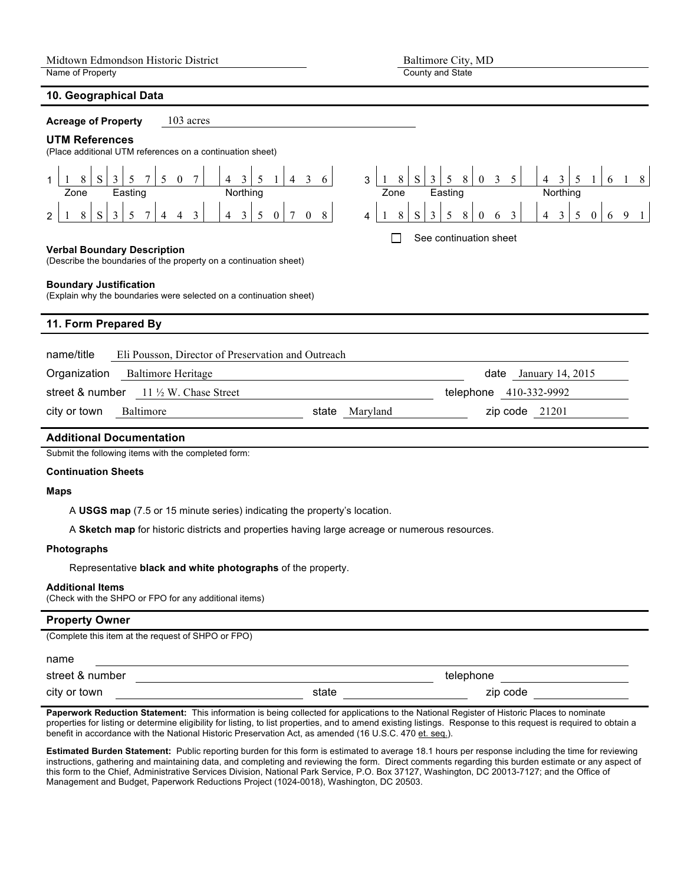#### **10. Geographical Data**

| $\sigma$ . $\sigma$ $\sigma$ $\sigma$ . $\sigma$ $\sigma$ . $\sigma$ $\sigma$ . $\sigma$                                                                                                                                                                                     |  |  |  |  |  |  |  |
|------------------------------------------------------------------------------------------------------------------------------------------------------------------------------------------------------------------------------------------------------------------------------|--|--|--|--|--|--|--|
| 103 acres<br><b>Acreage of Property</b>                                                                                                                                                                                                                                      |  |  |  |  |  |  |  |
| <b>UTM References</b><br>(Place additional UTM references on a continuation sheet)                                                                                                                                                                                           |  |  |  |  |  |  |  |
| 3<br>S.<br>8<br>3<br>5 <sup>5</sup><br>3<br>3 <sup>°</sup><br>8<br>8<br>S.<br>5<br>$\mathbf{3}$<br>$\overline{4}$<br>5<br>$\overline{4}$<br>3<br>$\theta$<br>6<br>6                                                                                                          |  |  |  |  |  |  |  |
| Northing<br>Easting<br>Northing<br>Zone<br>Easting<br>Zone                                                                                                                                                                                                                   |  |  |  |  |  |  |  |
| $\mathfrak{Z}$<br>$\overline{3}$<br>$\tau$<br>S<br>8<br>$\mathfrak{Z}$<br>5<br>S<br>5<br>3<br>8<br>8<br>3<br>5<br>$\overline{3}$<br>$\mathbf{0}$<br>8<br>$\overline{4}$<br>5<br>$\overline{0}$<br>$\boldsymbol{0}$<br>4<br>9<br>6<br>6<br>$\overline{2}$<br>4<br>0<br>4<br>4 |  |  |  |  |  |  |  |
| See continuation sheet<br><b>Verbal Boundary Description</b><br>(Describe the boundaries of the property on a continuation sheet)<br><b>Boundary Justification</b><br>(Explain why the boundaries were selected on a continuation sheet)                                     |  |  |  |  |  |  |  |
| 11. Form Prepared By                                                                                                                                                                                                                                                         |  |  |  |  |  |  |  |
| name/title<br>Eli Pousson, Director of Preservation and Outreach                                                                                                                                                                                                             |  |  |  |  |  |  |  |
| Organization<br><b>Baltimore Heritage</b><br>date<br>January 14, 2015                                                                                                                                                                                                        |  |  |  |  |  |  |  |
| $11 \frac{1}{2}$ W. Chase Street<br>street & number<br>telephone<br>410-332-9992                                                                                                                                                                                             |  |  |  |  |  |  |  |
| city or town<br>Baltimore<br>Maryland<br>$zip code$ 21201<br>state                                                                                                                                                                                                           |  |  |  |  |  |  |  |

County and State

#### **Additional Documentation**

Submit the following items with the completed form:

#### **Continuation Sheets**

#### **Maps**

A **USGS map** (7.5 or 15 minute series) indicating the property's location.

A **Sketch map** for historic districts and properties having large acreage or numerous resources.

#### **Photographs**

Representative **black and white photographs** of the property.

#### **Additional Items**

(Check with the SHPO or FPO for any additional items)

#### **Property Owner**

(Complete this item at the request of SHPO or FPO)

#### name

| street<br>.  |     |       |      |  |
|--------------|-----|-------|------|--|
| city or town | . . | 7 I r | rnd. |  |

**Paperwork Reduction Statement:** This information is being collected for applications to the National Register of Historic Places to nominate properties for listing or determine eligibility for listing, to list properties, and to amend existing listings. Response to this request is required to obtain a benefit in accordance with the National Historic Preservation Act, as amended (16 U.S.C. 470 et. seq.).

**Estimated Burden Statement:** Public reporting burden for this form is estimated to average 18.1 hours per response including the time for reviewing instructions, gathering and maintaining data, and completing and reviewing the form. Direct comments regarding this burden estimate or any aspect of this form to the Chief, Administrative Services Division, National Park Service, P.O. Box 37127, Washington, DC 20013-7127; and the Office of Management and Budget, Paperwork Reductions Project (1024-0018), Washington, DC 20503.